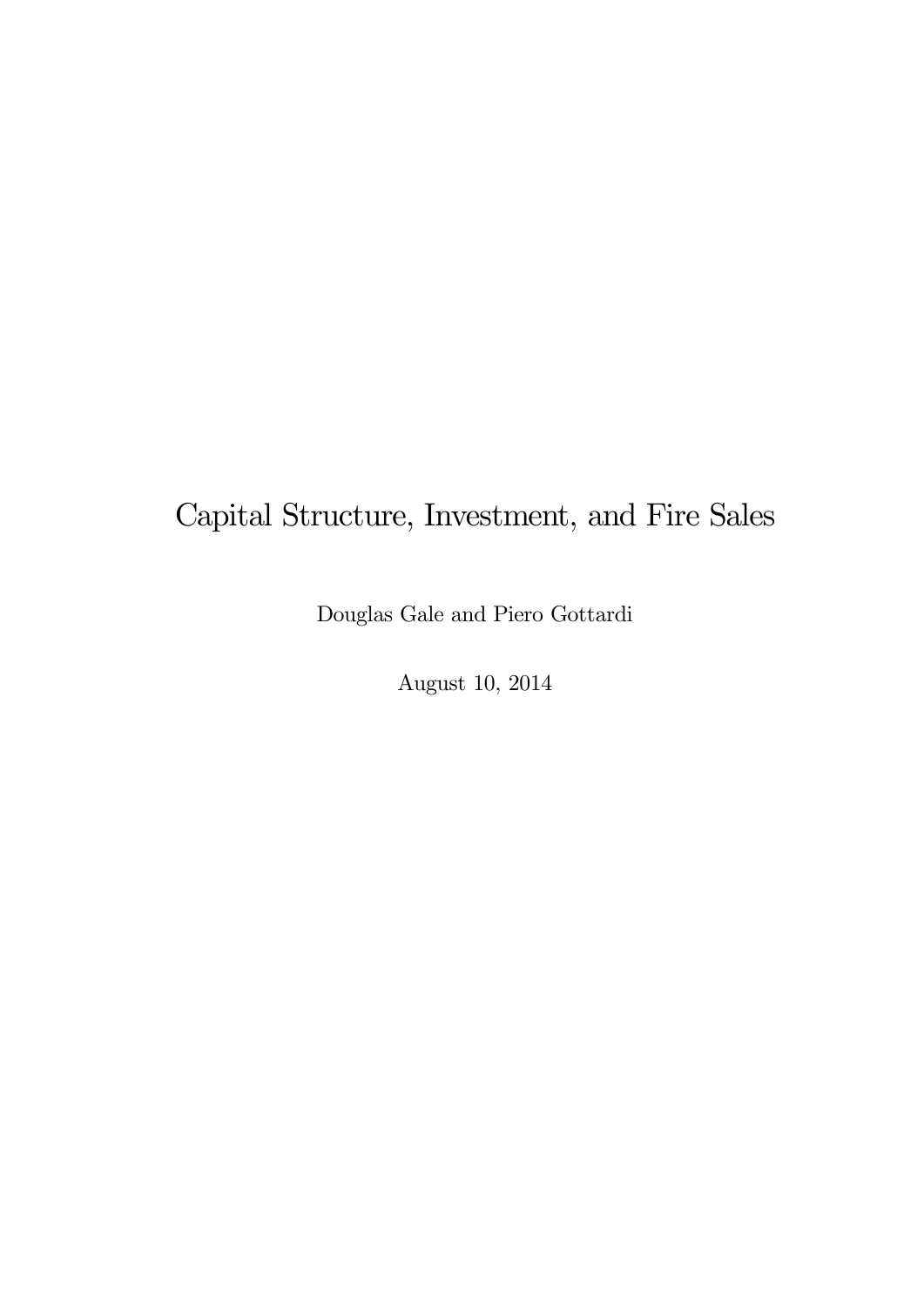# Capital Structure, Investment, and Fire Sales

Douglas Gale and Piero Gottardi

August 10, 2014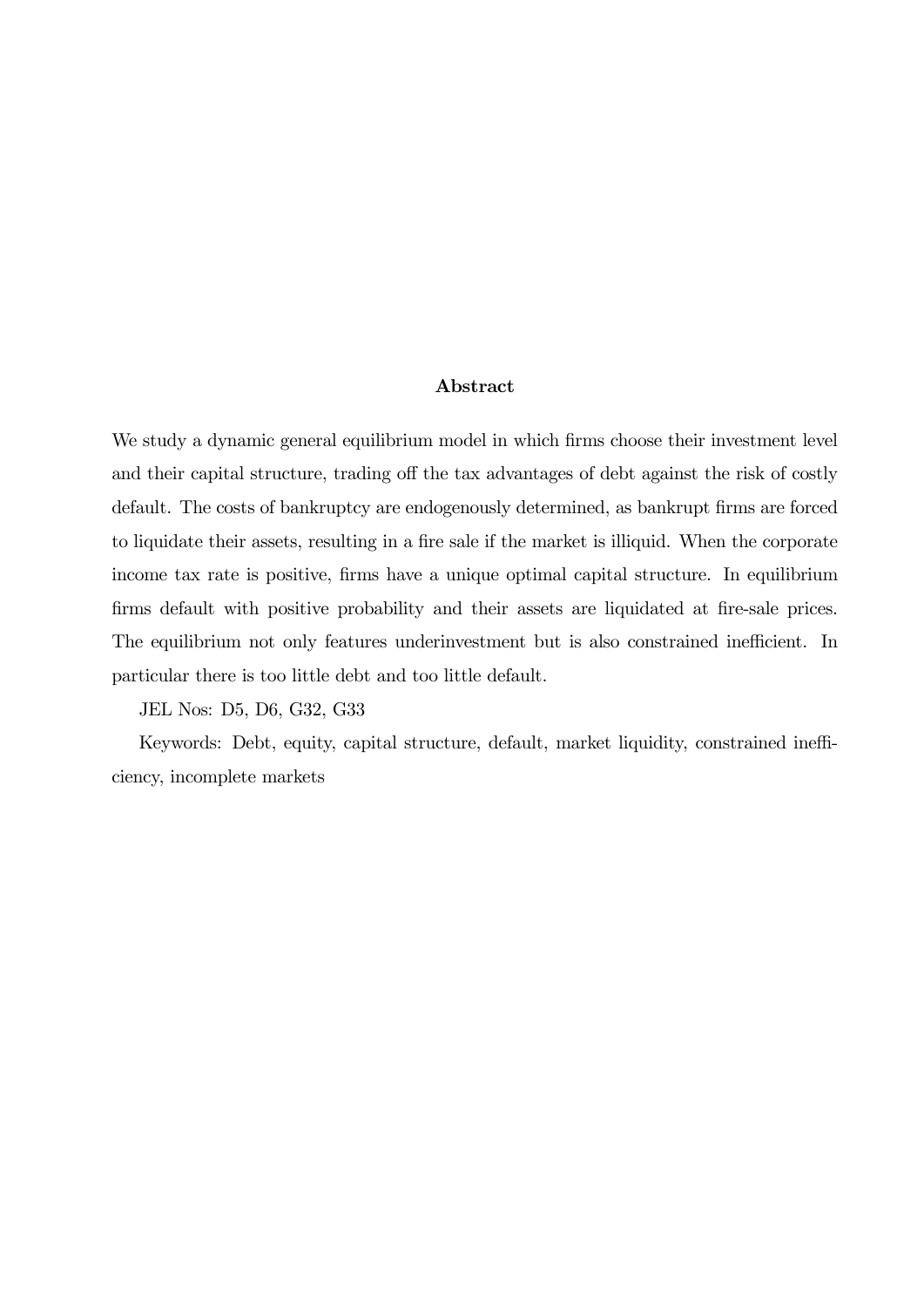#### Abstract

We study a dynamic general equilibrium model in which firms choose their investment level and their capital structure, trading off the tax advantages of debt against the risk of costly default. The costs of bankruptcy are endogenously determined, as bankrupt firms are forced to liquidate their assets, resulting in a fire sale if the market is illiquid. When the corporate income tax rate is positive, firms have a unique optimal capital structure. In equilibrium firms default with positive probability and their assets are liquidated at fire-sale prices. The equilibrium not only features underinvestment but is also constrained inefficient. In particular there is too little debt and too little default.

JEL Nos: D5, D6, G32, G33

Keywords: Debt, equity, capital structure, default, market liquidity, constrained inefficiency, incomplete markets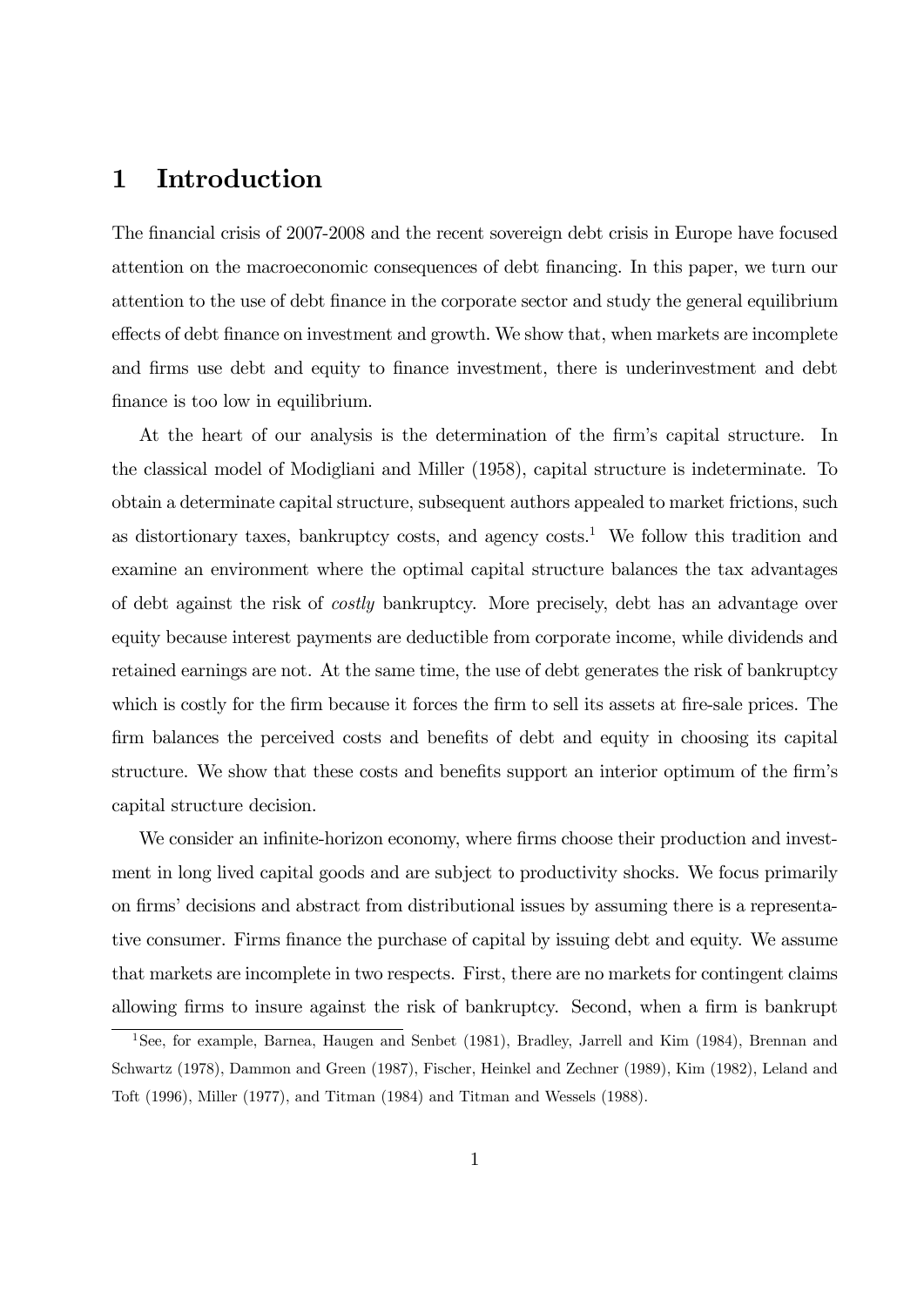### 1 Introduction

The financial crisis of 2007-2008 and the recent sovereign debt crisis in Europe have focused attention on the macroeconomic consequences of debt financing. In this paper, we turn our attention to the use of debt finance in the corporate sector and study the general equilibrium effects of debt finance on investment and growth. We show that, when markets are incomplete and firms use debt and equity to finance investment, there is underinvestment and debt finance is too low in equilibrium.

At the heart of our analysis is the determination of the firm's capital structure. In the classical model of Modigliani and Miller (1958), capital structure is indeterminate. To obtain a determinate capital structure, subsequent authors appealed to market frictions, such as distortionary taxes, bankruptcy costs, and agency  $costs<sup>1</sup>$ . We follow this tradition and examine an environment where the optimal capital structure balances the tax advantages of debt against the risk of costly bankruptcy. More precisely, debt has an advantage over equity because interest payments are deductible from corporate income, while dividends and retained earnings are not. At the same time, the use of debt generates the risk of bankruptcy which is costly for the firm because it forces the firm to sell its assets at fire-sale prices. The firm balances the perceived costs and benefits of debt and equity in choosing its capital structure. We show that these costs and benefits support an interior optimum of the firm's capital structure decision.

We consider an infinite-horizon economy, where firms choose their production and investment in long lived capital goods and are subject to productivity shocks. We focus primarily on firms' decisions and abstract from distributional issues by assuming there is a representative consumer. Firms finance the purchase of capital by issuing debt and equity. We assume that markets are incomplete in two respects. First, there are no markets for contingent claims allowing firms to insure against the risk of bankruptcy. Second, when a firm is bankrupt

<sup>&</sup>lt;sup>1</sup>See, for example, Barnea, Haugen and Senbet (1981), Bradley, Jarrell and Kim (1984), Brennan and Schwartz (1978), Dammon and Green (1987), Fischer, Heinkel and Zechner (1989), Kim (1982), Leland and Toft (1996), Miller (1977), and Titman (1984) and Titman and Wessels (1988).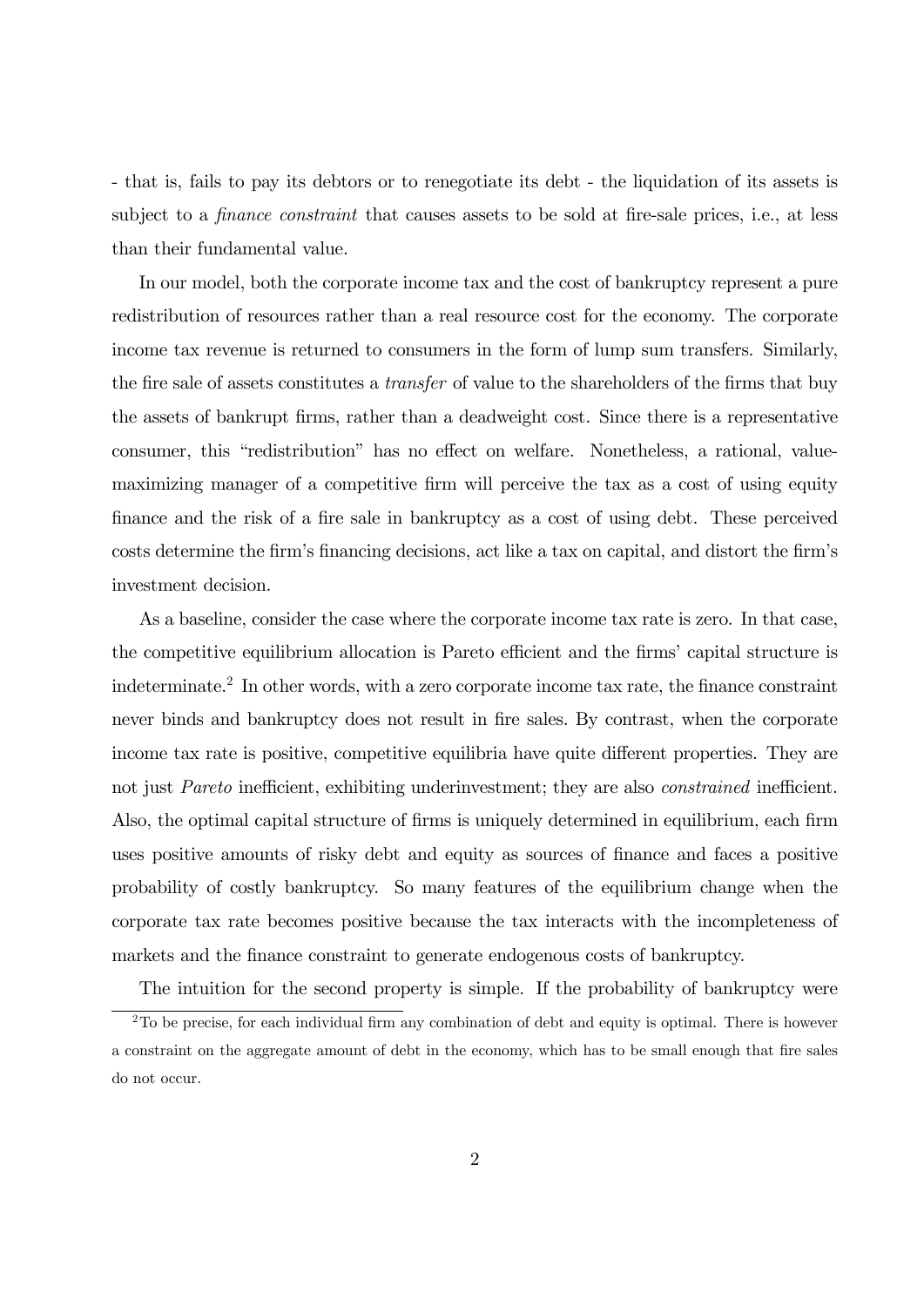- that is, fails to pay its debtors or to renegotiate its debt - the liquidation of its assets is subject to a *finance constraint* that causes assets to be sold at fire-sale prices, i.e., at less than their fundamental value.

In our model, both the corporate income tax and the cost of bankruptcy represent a pure redistribution of resources rather than a real resource cost for the economy. The corporate income tax revenue is returned to consumers in the form of lump sum transfers. Similarly, the fire sale of assets constitutes a transfer of value to the shareholders of the firms that buy the assets of bankrupt firms, rather than a deadweight cost. Since there is a representative consumer, this "redistribution" has no effect on welfare. Nonetheless, a rational, valuemaximizing manager of a competitive firm will perceive the tax as a cost of using equity finance and the risk of a fire sale in bankruptcy as a cost of using debt. These perceived costs determine the firm's financing decisions, act like a tax on capital, and distort the firm's investment decision.

As a baseline, consider the case where the corporate income tax rate is zero. In that case, the competitive equilibrium allocation is Pareto efficient and the firms' capital structure is indeterminate.<sup>2</sup> In other words, with a zero corporate income tax rate, the finance constraint never binds and bankruptcy does not result in fire sales. By contrast, when the corporate income tax rate is positive, competitive equilibria have quite different properties. They are not just Pareto inefficient, exhibiting underinvestment; they are also *constrained* inefficient. Also, the optimal capital structure of firms is uniquely determined in equilibrium, each firm uses positive amounts of risky debt and equity as sources of finance and faces a positive probability of costly bankruptcy. So many features of the equilibrium change when the corporate tax rate becomes positive because the tax interacts with the incompleteness of markets and the finance constraint to generate endogenous costs of bankruptcy.

The intuition for the second property is simple. If the probability of bankruptcy were

 $2$ To be precise, for each individual firm any combination of debt and equity is optimal. There is however a constraint on the aggregate amount of debt in the economy, which has to be small enough that fire sales do not occur.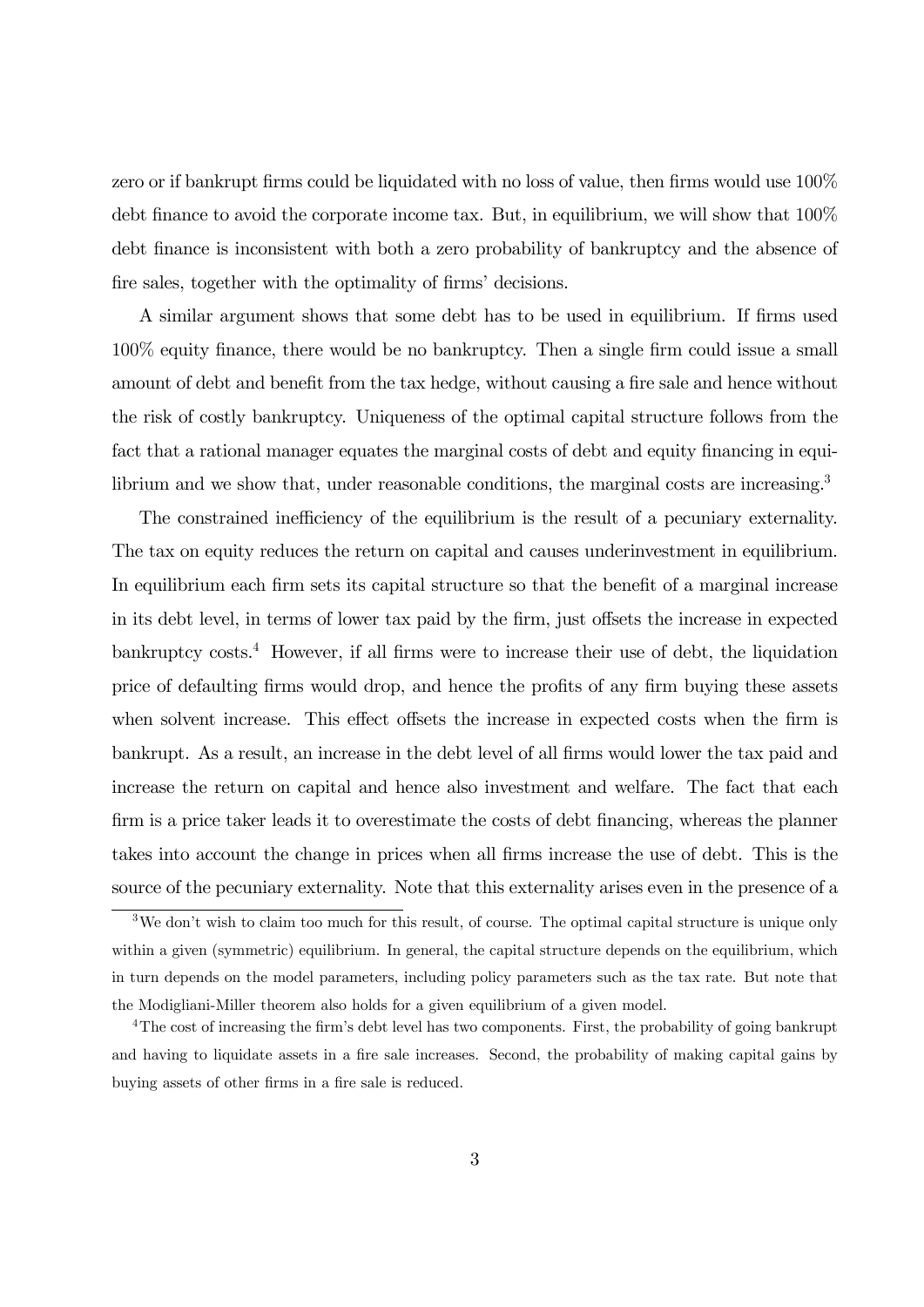zero or if bankrupt firms could be liquidated with no loss of value, then firms would use 100% debt finance to avoid the corporate income tax. But, in equilibrium, we will show that 100% debt finance is inconsistent with both a zero probability of bankruptcy and the absence of fire sales, together with the optimality of firms' decisions.

A similar argument shows that some debt has to be used in equilibrium. If firms used 100% equity finance, there would be no bankruptcy. Then a single firm could issue a small amount of debt and benefit from the tax hedge, without causing a fire sale and hence without the risk of costly bankruptcy. Uniqueness of the optimal capital structure follows from the fact that a rational manager equates the marginal costs of debt and equity financing in equilibrium and we show that, under reasonable conditions, the marginal costs are increasing.<sup>3</sup>

The constrained inefficiency of the equilibrium is the result of a pecuniary externality. The tax on equity reduces the return on capital and causes underinvestment in equilibrium. In equilibrium each firm sets its capital structure so that the benefit of a marginal increase in its debt level, in terms of lower tax paid by the firm, just offsets the increase in expected  $\mu$ bankruptcy costs.<sup>4</sup> However, if all firms were to increase their use of debt, the liquidation price of defaulting firms would drop, and hence the profits of any firm buying these assets when solvent increase. This effect offsets the increase in expected costs when the firm is bankrupt. As a result, an increase in the debt level of all firms would lower the tax paid and increase the return on capital and hence also investment and welfare. The fact that each firm is a price taker leads it to overestimate the costs of debt financing, whereas the planner takes into account the change in prices when all firms increase the use of debt. This is the source of the pecuniary externality. Note that this externality arises even in the presence of a

 $3$ We don't wish to claim too much for this result, of course. The optimal capital structure is unique only within a given (symmetric) equilibrium. In general, the capital structure depends on the equilibrium, which in turn depends on the model parameters, including policy parameters such as the tax rate. But note that the Modigliani-Miller theorem also holds for a given equilibrium of a given model.

<sup>4</sup>The cost of increasing the firm's debt level has two components. First, the probability of going bankrupt and having to liquidate assets in a fire sale increases. Second, the probability of making capital gains by buying assets of other firms in a fire sale is reduced.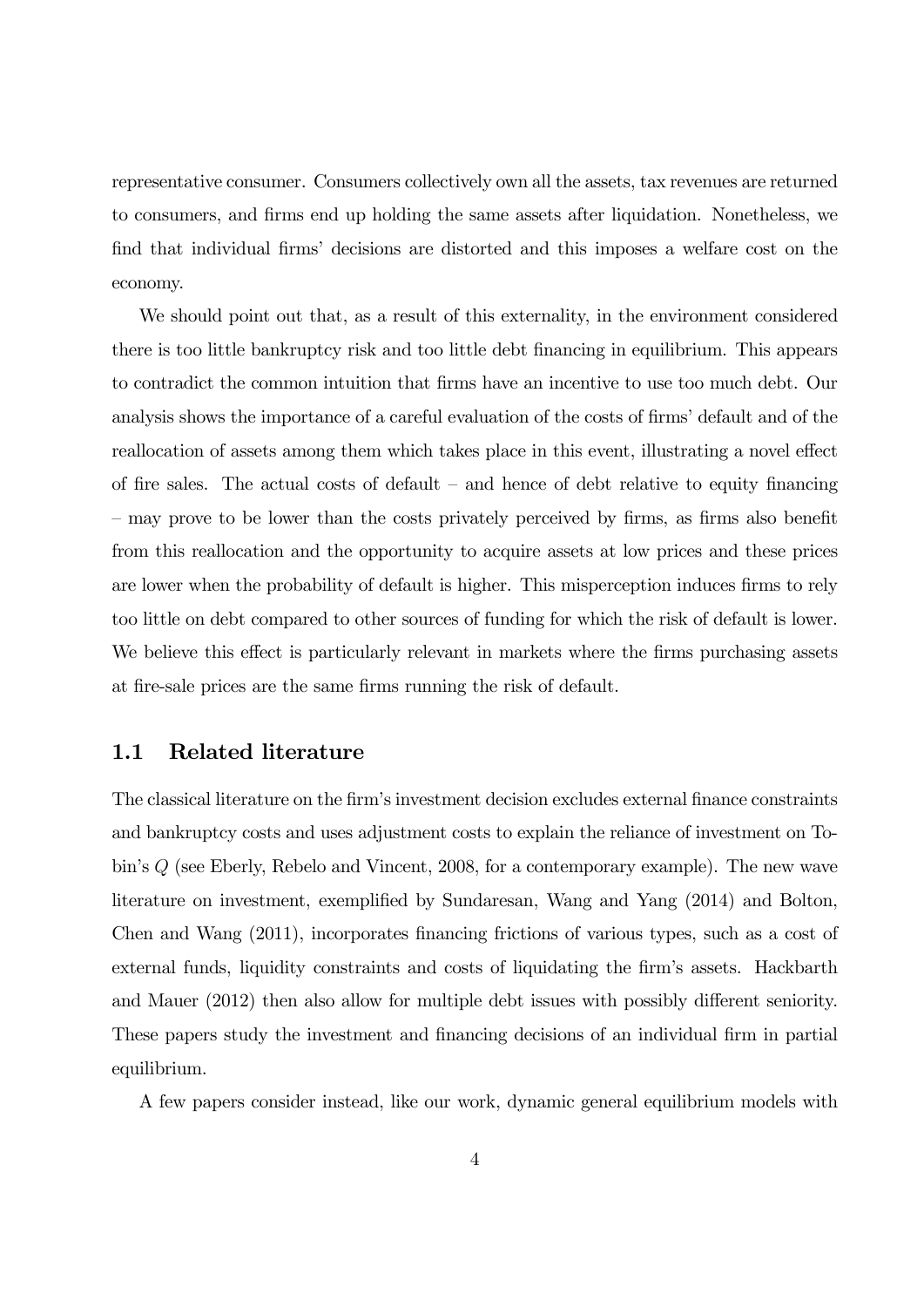representative consumer. Consumers collectively own all the assets, tax revenues are returned to consumers, and firms end up holding the same assets after liquidation. Nonetheless, we find that individual firms' decisions are distorted and this imposes a welfare cost on the economy.

We should point out that, as a result of this externality, in the environment considered there is too little bankruptcy risk and too little debt financing in equilibrium. This appears to contradict the common intuition that firms have an incentive to use too much debt. Our analysis shows the importance of a careful evaluation of the costs of firms' default and of the reallocation of assets among them which takes place in this event, illustrating a novel effect of fire sales. The actual costs of default  $-$  and hence of debt relative to equity financing — may prove to be lower than the costs privately perceived by firms, as firms also benefit from this reallocation and the opportunity to acquire assets at low prices and these prices are lower when the probability of default is higher. This misperception induces firms to rely too little on debt compared to other sources of funding for which the risk of default is lower. We believe this effect is particularly relevant in markets where the firms purchasing assets at fire-sale prices are the same firms running the risk of default.

#### 1.1 Related literature

The classical literature on the firm's investment decision excludes external finance constraints and bankruptcy costs and uses adjustment costs to explain the reliance of investment on Tobin's  $Q$  (see Eberly, Rebelo and Vincent, 2008, for a contemporary example). The new wave literature on investment, exemplified by Sundaresan, Wang and Yang (2014) and Bolton, Chen and Wang (2011), incorporates financing frictions of various types, such as a cost of external funds, liquidity constraints and costs of liquidating the firm's assets. Hackbarth and Mauer (2012) then also allow for multiple debt issues with possibly different seniority. These papers study the investment and financing decisions of an individual firm in partial equilibrium.

A few papers consider instead, like our work, dynamic general equilibrium models with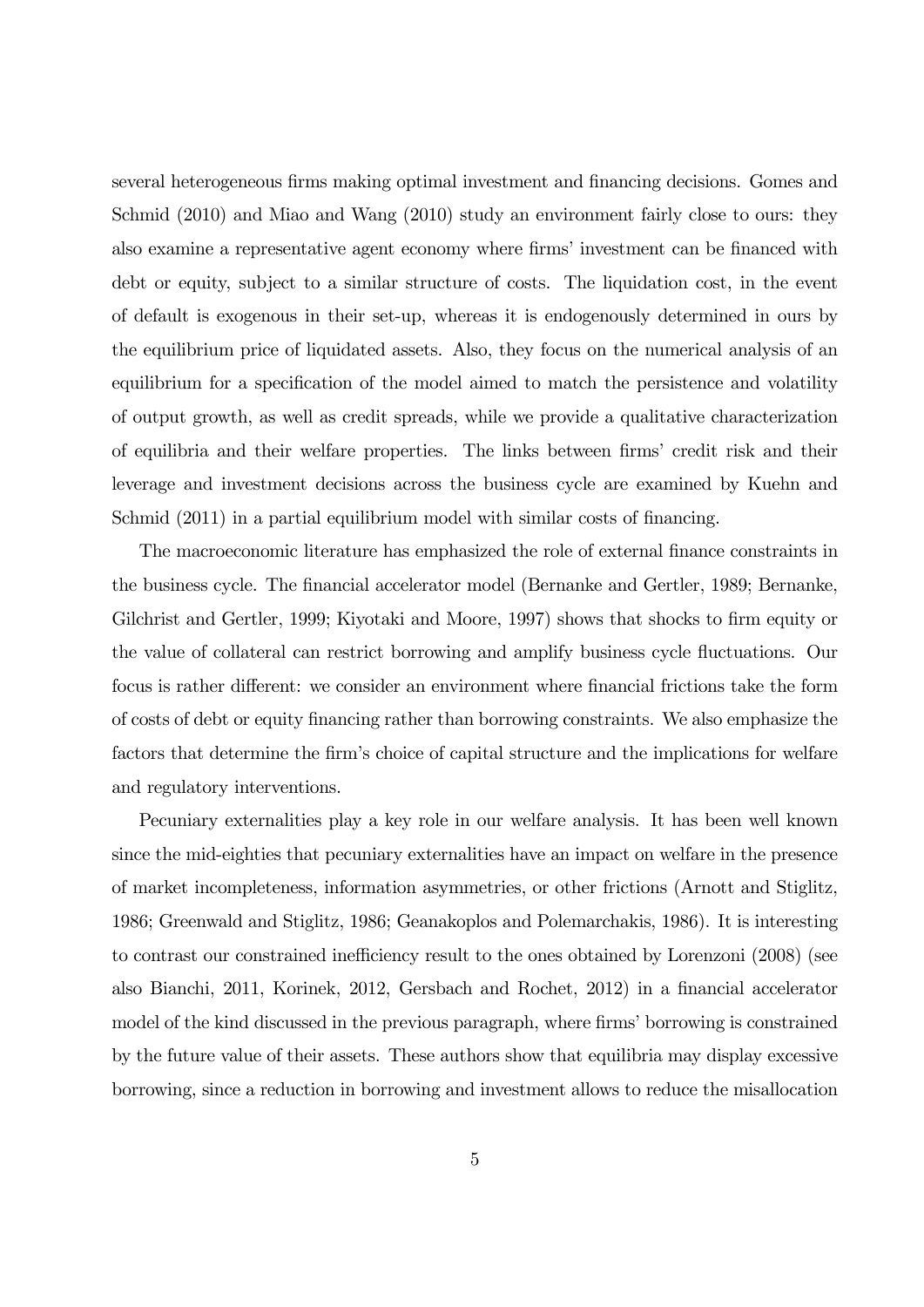several heterogeneous firms making optimal investment and financing decisions. Gomes and Schmid (2010) and Miao and Wang (2010) study an environment fairly close to ours: they also examine a representative agent economy where firms' investment can be financed with debt or equity, subject to a similar structure of costs. The liquidation cost, in the event of default is exogenous in their set-up, whereas it is endogenously determined in ours by the equilibrium price of liquidated assets. Also, they focus on the numerical analysis of an equilibrium for a specification of the model aimed to match the persistence and volatility of output growth, as well as credit spreads, while we provide a qualitative characterization of equilibria and their welfare properties. The links between firms' credit risk and their leverage and investment decisions across the business cycle are examined by Kuehn and Schmid (2011) in a partial equilibrium model with similar costs of financing.

The macroeconomic literature has emphasized the role of external finance constraints in the business cycle. The financial accelerator model (Bernanke and Gertler, 1989; Bernanke, Gilchrist and Gertler, 1999; Kiyotaki and Moore, 1997) shows that shocks to firm equity or the value of collateral can restrict borrowing and amplify business cycle fluctuations. Our focus is rather different: we consider an environment where financial frictions take the form of costs of debt or equity financing rather than borrowing constraints. We also emphasize the factors that determine the firm's choice of capital structure and the implications for welfare and regulatory interventions.

Pecuniary externalities play a key role in our welfare analysis. It has been well known since the mid-eighties that pecuniary externalities have an impact on welfare in the presence of market incompleteness, information asymmetries, or other frictions (Arnott and Stiglitz, 1986; Greenwald and Stiglitz, 1986; Geanakoplos and Polemarchakis, 1986). It is interesting to contrast our constrained inefficiency result to the ones obtained by Lorenzoni (2008) (see also Bianchi, 2011, Korinek, 2012, Gersbach and Rochet, 2012) in a financial accelerator model of the kind discussed in the previous paragraph, where firms' borrowing is constrained by the future value of their assets. These authors show that equilibria may display excessive borrowing, since a reduction in borrowing and investment allows to reduce the misallocation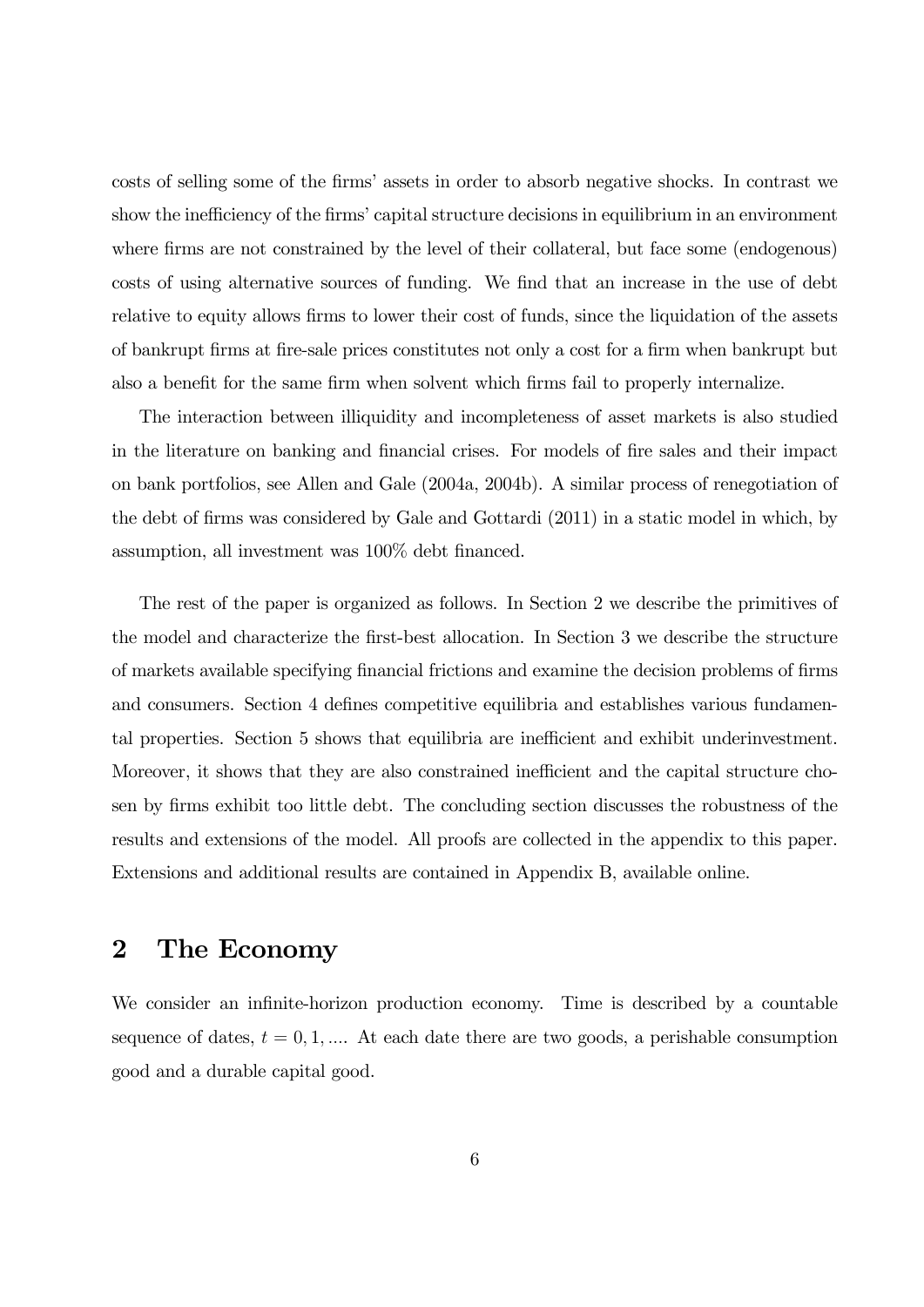costs of selling some of the firms' assets in order to absorb negative shocks. In contrast we show the inefficiency of the firms' capital structure decisions in equilibrium in an environment where firms are not constrained by the level of their collateral, but face some (endogenous) costs of using alternative sources of funding. We find that an increase in the use of debt relative to equity allows firms to lower their cost of funds, since the liquidation of the assets of bankrupt firms at fire-sale prices constitutes not only a cost for a firm when bankrupt but also a benefit for the same firm when solvent which firms fail to properly internalize.

The interaction between illiquidity and incompleteness of asset markets is also studied in the literature on banking and financial crises. For models of fire sales and their impact on bank portfolios, see Allen and Gale (2004a, 2004b). A similar process of renegotiation of the debt of firms was considered by Gale and Gottardi (2011) in a static model in which, by assumption, all investment was 100% debt financed.

The rest of the paper is organized as follows. In Section 2 we describe the primitives of the model and characterize the first-best allocation. In Section 3 we describe the structure of markets available specifying financial frictions and examine the decision problems of firms and consumers. Section 4 defines competitive equilibria and establishes various fundamental properties. Section 5 shows that equilibria are inefficient and exhibit underinvestment. Moreover, it shows that they are also constrained inefficient and the capital structure chosen by firms exhibit too little debt. The concluding section discusses the robustness of the results and extensions of the model. All proofs are collected in the appendix to this paper. Extensions and additional results are contained in Appendix B, available online.

# 2 The Economy

We consider an infinite-horizon production economy. Time is described by a countable sequence of dates,  $t = 0, 1, \dots$  At each date there are two goods, a perishable consumption good and a durable capital good.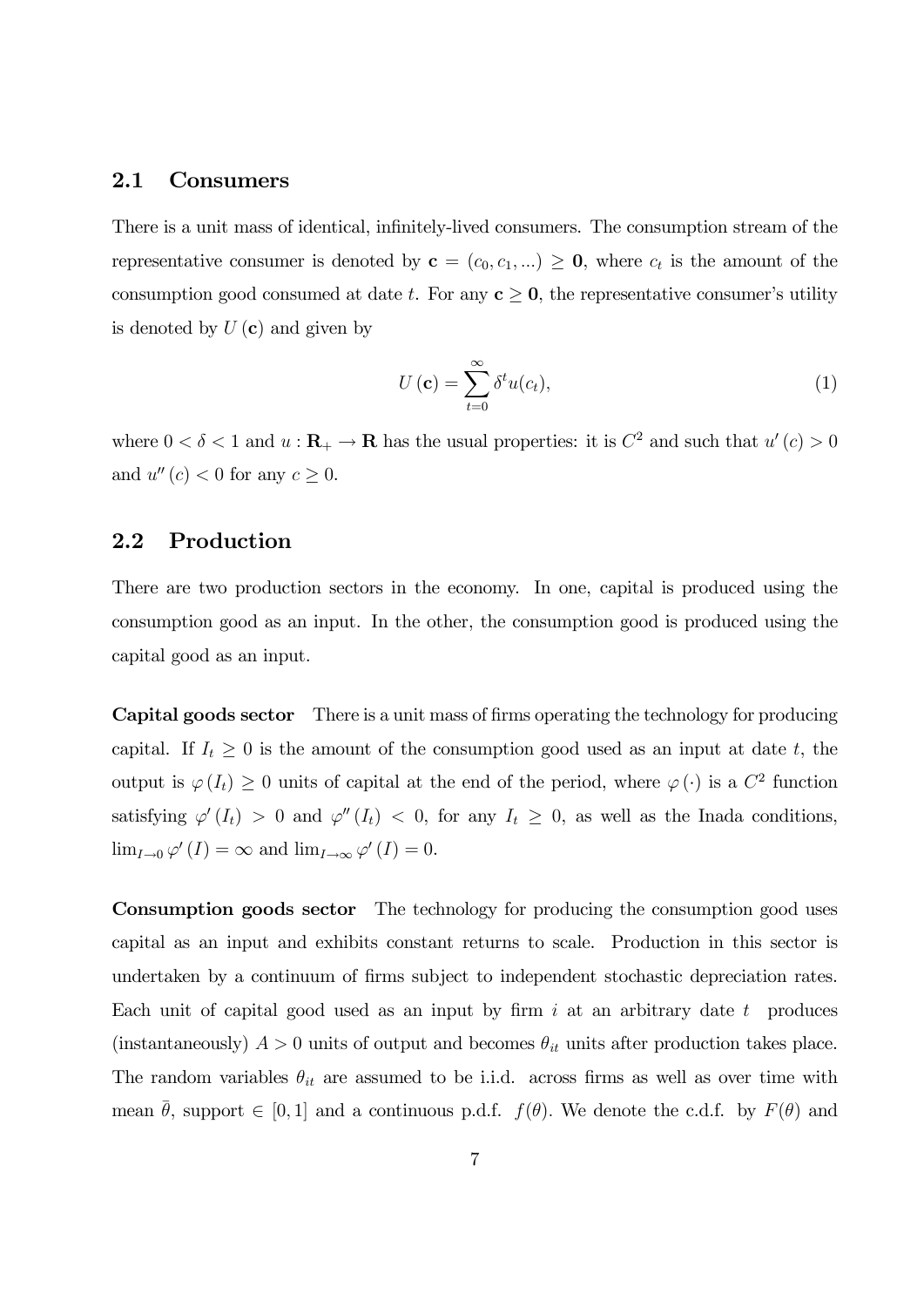#### 2.1 Consumers

There is a unit mass of identical, infinitely-lived consumers. The consumption stream of the representative consumer is denoted by  $c = (c_0, c_1, ...) \ge 0$ , where  $c_t$  is the amount of the consumption good consumed at date t. For any  $c \geq 0$ , the representative consumer's utility is denoted by  $U(\mathbf{c})$  and given by

$$
U\left(\mathbf{c}\right) = \sum_{t=0}^{\infty} \delta^t u(c_t),\tag{1}
$$

where  $0 < \delta < 1$  and  $u : \mathbf{R}_{+} \to \mathbf{R}$  has the usual properties: it is  $C^2$  and such that  $u'(c) > 0$ and  $u''(c) < 0$  for any  $c \geq 0$ .

#### 2.2 Production

There are two production sectors in the economy. In one, capital is produced using the consumption good as an input. In the other, the consumption good is produced using the capital good as an input.

Capital goods sector There is a unit mass of firms operating the technology for producing capital. If  $I_t \geq 0$  is the amount of the consumption good used as an input at date t, the output is  $\varphi(I_t) \geq 0$  units of capital at the end of the period, where  $\varphi(\cdot)$  is a  $C^2$  function satisfying  $\varphi'(I_t) > 0$  and  $\varphi''(I_t) < 0$ , for any  $I_t \geq 0$ , as well as the Inada conditions,  $\lim_{I\to 0}\varphi'(I)=\infty$  and  $\lim_{I\to\infty}\varphi'(I)=0$ .

Consumption goods sector The technology for producing the consumption good uses capital as an input and exhibits constant returns to scale. Production in this sector is undertaken by a continuum of firms subject to independent stochastic depreciation rates. Each unit of capital good used as an input by firm  $i$  at an arbitrary date  $t$  produces (instantaneously)  $A > 0$  units of output and becomes  $\theta_{it}$  units after production takes place. The random variables  $\theta_{it}$  are assumed to be i.i.d. across firms as well as over time with mean  $\theta$ , support  $\in [0,1]$  and a continuous p.d.f.  $f(\theta)$ . We denote the c.d.f. by  $F(\theta)$  and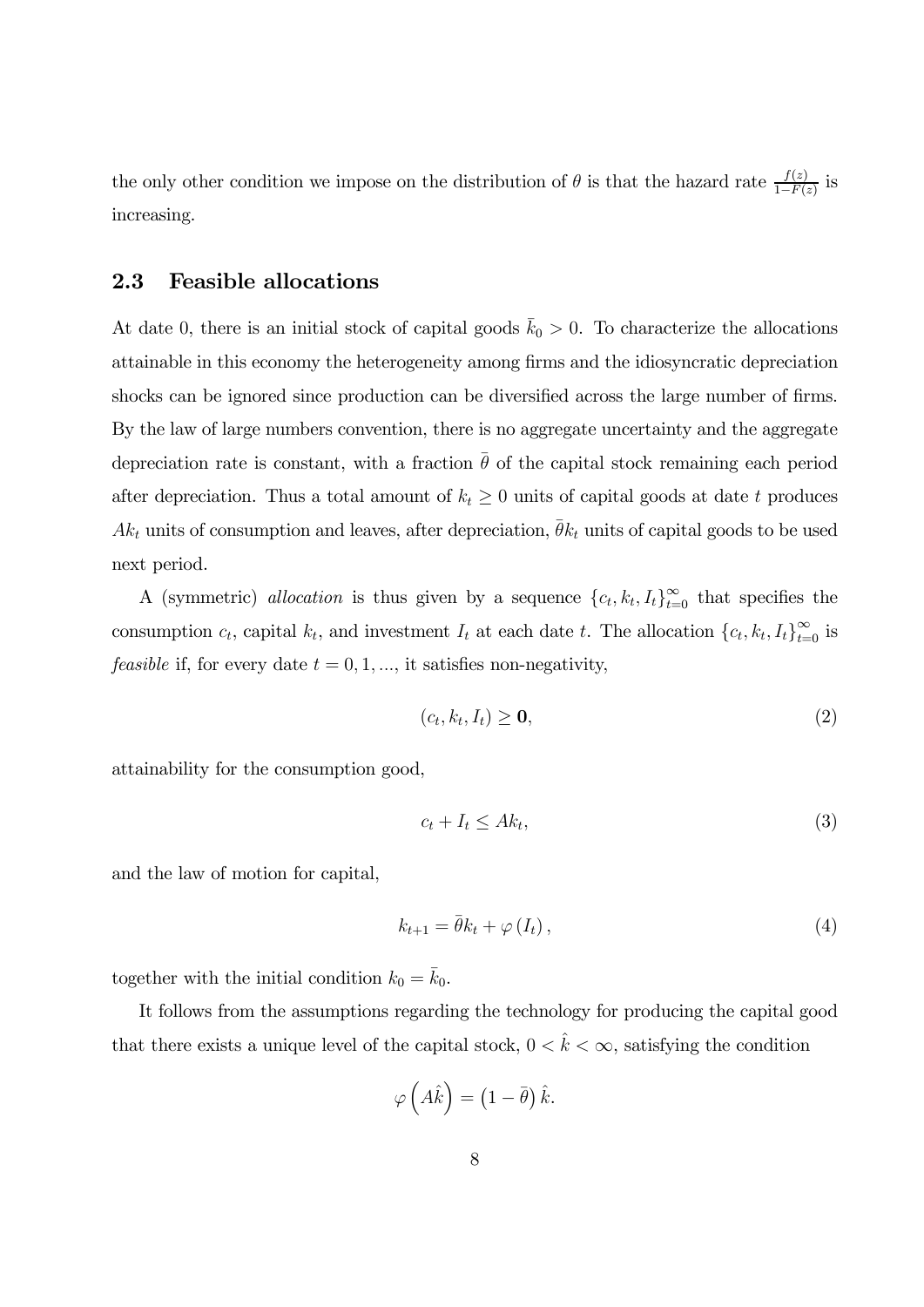the only other condition we impose on the distribution of  $\theta$  is that the hazard rate  $\frac{f(z)}{1-F(z)}$  is increasing.

#### 2.3 Feasible allocations

At date 0, there is an initial stock of capital goods  $\bar{k}_0 > 0$ . To characterize the allocations attainable in this economy the heterogeneity among firms and the idiosyncratic depreciation shocks can be ignored since production can be diversified across the large number of firms. By the law of large numbers convention, there is no aggregate uncertainty and the aggregate depreciation rate is constant, with a fraction  $\bar{\theta}$  of the capital stock remaining each period after depreciation. Thus a total amount of  $k_t \geq 0$  units of capital goods at date t produces  $Ak_t$  units of consumption and leaves, after depreciation,  $\bar{\theta}k_t$  units of capital goods to be used next period.

A (symmetric) allocation is thus given by a sequence  ${c_t, k_t, I_t}_{t=0}^{\infty}$  that specifies the consumption  $c_t$ , capital  $k_t$ , and investment  $I_t$  at each date  $t$ . The allocation  $\{c_t, k_t, I_t\}_{t=0}^{\infty}$  is *feasible* if, for every date  $t = 0, 1, \dots$ , it satisfies non-negativity,

$$
(c_t, k_t, I_t) \geq \mathbf{0},\tag{2}
$$

attainability for the consumption good,

$$
c_t + I_t \le Ak_t,\tag{3}
$$

and the law of motion for capital,

$$
k_{t+1} = \bar{\theta}k_t + \varphi(I_t), \qquad (4)
$$

together with the initial condition  $k_0 = \bar{k}_0$ .

It follows from the assumptions regarding the technology for producing the capital good that there exists a unique level of the capital stock,  $0 < \hat{k} < \infty$ , satisfying the condition

$$
\varphi\left(\hat{A}\hat{k}\right) = \left(1 - \bar{\theta}\right)\hat{k}.
$$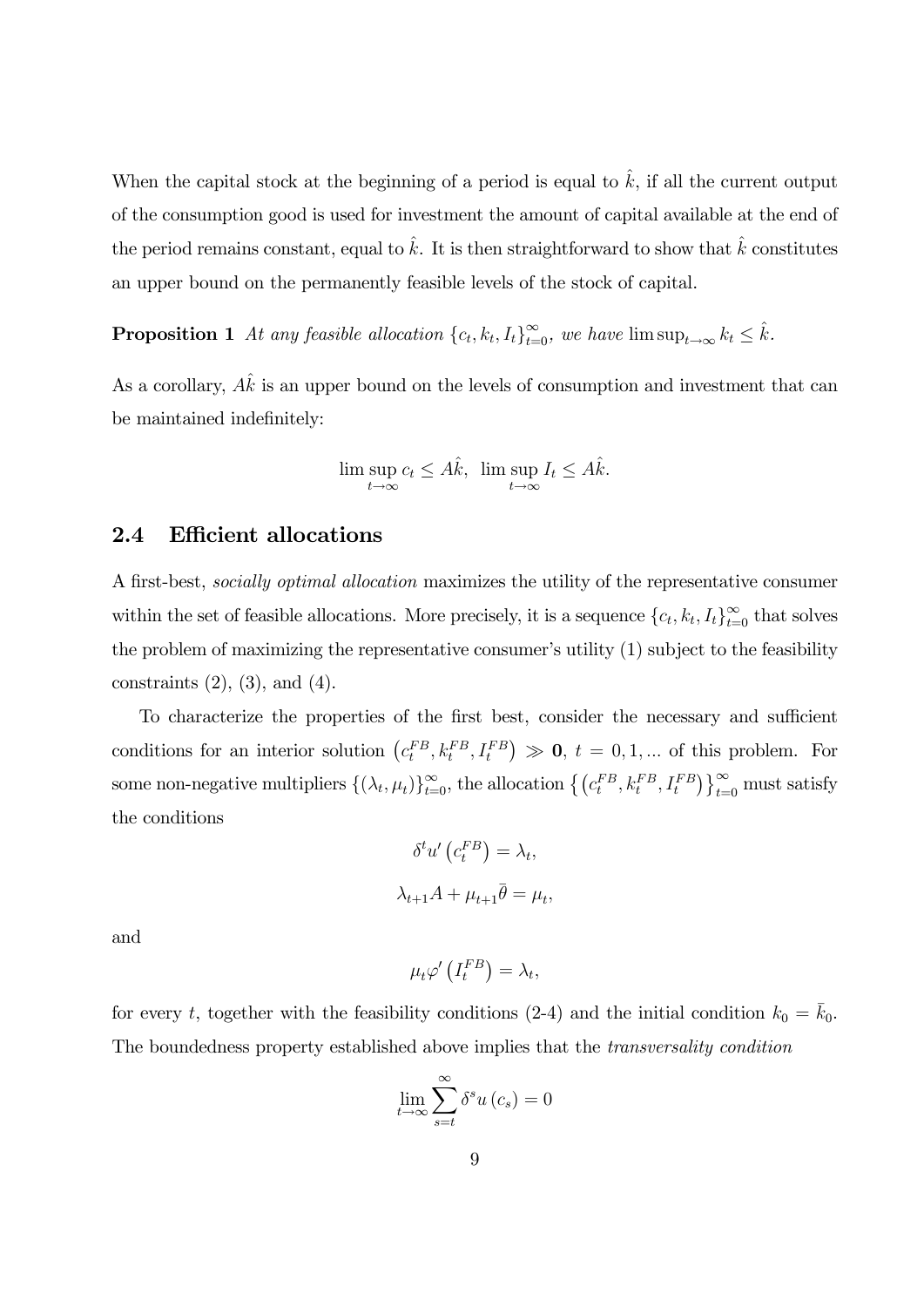When the capital stock at the beginning of a period is equal to  $\hat{k}$ , if all the current output of the consumption good is used for investment the amount of capital available at the end of the period remains constant, equal to  $\hat{k}$ . It is then straightforward to show that  $\hat{k}$  constitutes an upper bound on the permanently feasible levels of the stock of capital.

**Proposition 1** At any feasible allocation  $\{c_t, k_t, I_t\}_{t=0}^{\infty}$ , we have  $\limsup_{t\to\infty} k_t \leq \hat{k}$ .

As a corollary,  $A\hat{k}$  is an upper bound on the levels of consumption and investment that can be maintained indefinitely:

$$
\limsup_{t \to \infty} c_t \le A\hat{k}, \ \limsup_{t \to \infty} I_t \le A\hat{k}.
$$

#### 2.4 Efficient allocations

A first-best, socially optimal allocation maximizes the utility of the representative consumer within the set of feasible allocations. More precisely, it is a sequence  ${c_t, k_t, I_t}_{t=0}^{\infty}$  that solves the problem of maximizing the representative consumer's utility (1) subject to the feasibility constraints  $(2)$ ,  $(3)$ , and  $(4)$ .

To characterize the properties of the first best, consider the necessary and sufficient conditions for an interior solution  $(c_t^{FB}, k_t^{FB}, I_t^{FB}) \gg 0$ ,  $t = 0, 1, ...$  of this problem. For some non-negative multipliers  $\{(\lambda_t, \mu_t)\}_{t=0}^{\infty}$ , the allocation  $\{(\mathbf{c}_t^{FB}, \mathbf{k}_t^{FB}, \mathbf{I}_t^{FB})\}_{t=0}^{\infty}$  must satisfy the conditions

$$
\delta^t u' \left( c_t^{FB} \right) = \lambda_t,
$$
  

$$
\lambda_{t+1} A + \mu_{t+1} \bar{\theta} = \mu_t,
$$

and

$$
\mu_t \varphi' \left( I_t^{FB} \right) = \lambda_t,
$$

for every t, together with the feasibility conditions (2-4) and the initial condition  $k_0 = \bar{k}_0$ . The boundedness property established above implies that the transversality condition

$$
\lim_{t \to \infty} \sum_{s=t}^{\infty} \delta^s u\left(c_s\right) = 0
$$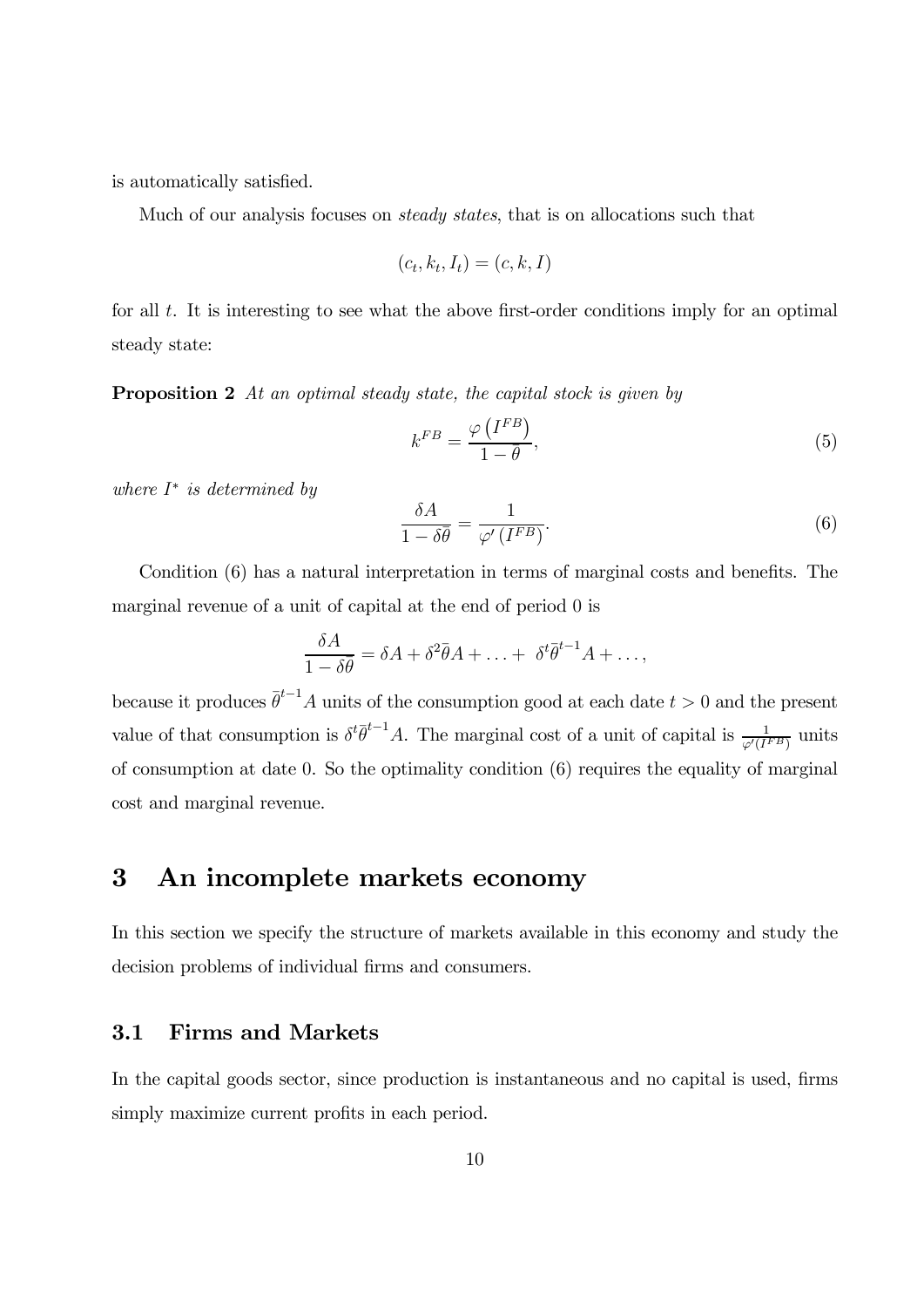is automatically satisfied.

Much of our analysis focuses on steady states, that is on allocations such that

$$
(c_t, k_t, I_t) = (c, k, I)
$$

for all  $t$ . It is interesting to see what the above first-order conditions imply for an optimal steady state:

Proposition 2 At an optimal steady state, the capital stock is given by

$$
k^{FB} = \frac{\varphi\left(I^{FB}\right)}{1 - \bar{\theta}},\tag{5}
$$

where  $I^*$  is determined by

$$
\frac{\delta A}{1 - \delta \bar{\theta}} = \frac{1}{\varphi' (I^{FB})}.
$$
\n(6)

Condition (6) has a natural interpretation in terms of marginal costs and benefits. The marginal revenue of a unit of capital at the end of period 0 is

$$
\frac{\delta A}{1-\delta\overline{\theta}} = \delta A + \delta^2 \overline{\theta} A + \ldots + \delta^t \overline{\theta}^{t-1} A + \ldots,
$$

because it produces  $\bar{\theta}^{t-1}A$  units of the consumption good at each date  $t > 0$  and the present value of that consumption is  $\delta^t \bar{\theta}^{t-1} A$ . The marginal cost of a unit of capital is  $\frac{1}{\varphi'(I^{FB})}$  units of consumption at date 0. So the optimality condition (6) requires the equality of marginal cost and marginal revenue.

## 3 An incomplete markets economy

In this section we specify the structure of markets available in this economy and study the decision problems of individual firms and consumers.

#### 3.1 Firms and Markets

In the capital goods sector, since production is instantaneous and no capital is used, firms simply maximize current profits in each period.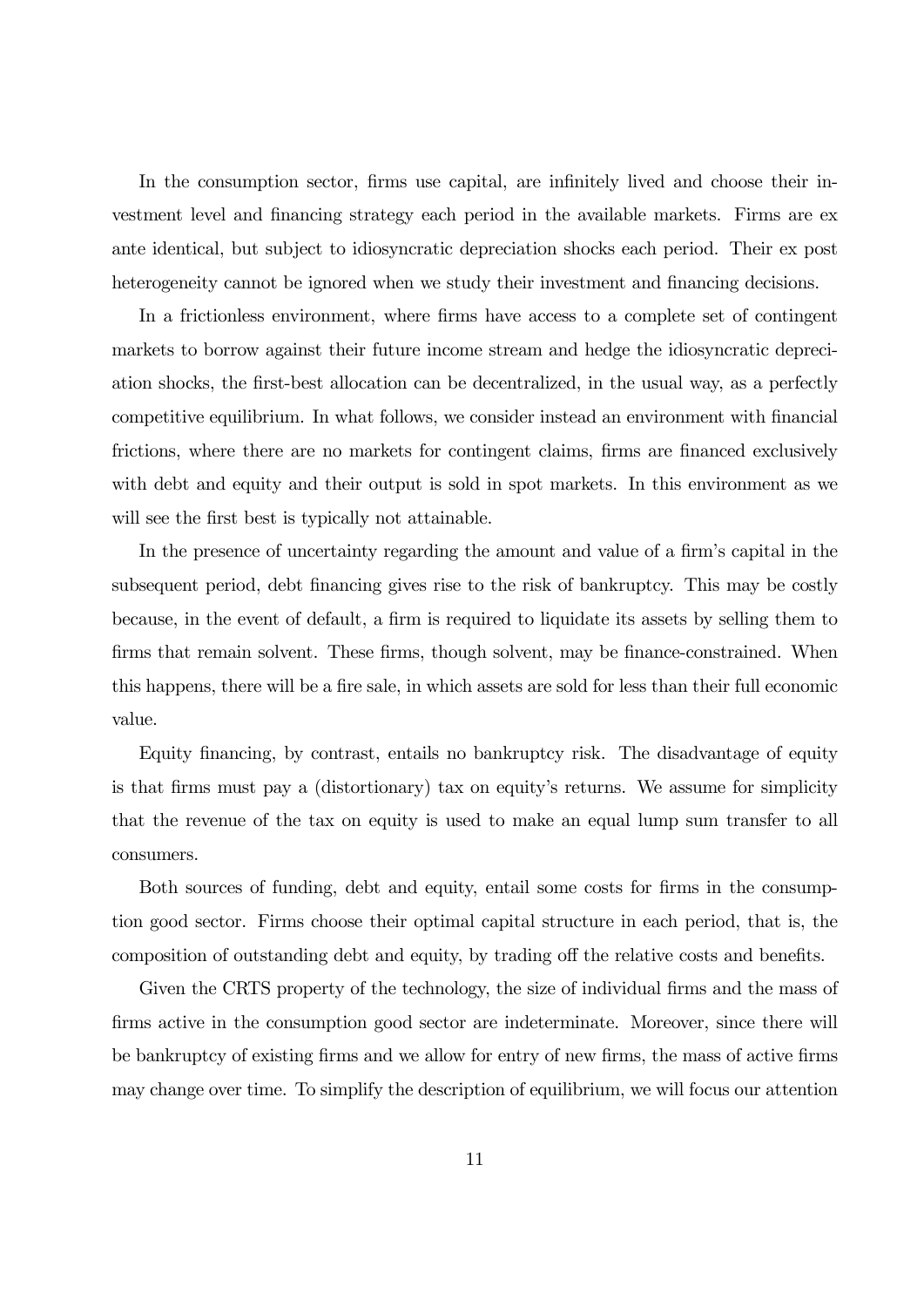In the consumption sector, firms use capital, are infinitely lived and choose their investment level and financing strategy each period in the available markets. Firms are ex ante identical, but subject to idiosyncratic depreciation shocks each period. Their ex post heterogeneity cannot be ignored when we study their investment and financing decisions.

In a frictionless environment, where firms have access to a complete set of contingent markets to borrow against their future income stream and hedge the idiosyncratic depreciation shocks, the first-best allocation can be decentralized, in the usual way, as a perfectly competitive equilibrium. In what follows, we consider instead an environment with financial frictions, where there are no markets for contingent claims, firms are financed exclusively with debt and equity and their output is sold in spot markets. In this environment as we will see the first best is typically not attainable.

In the presence of uncertainty regarding the amount and value of a firm's capital in the subsequent period, debt financing gives rise to the risk of bankruptcy. This may be costly because, in the event of default, a firm is required to liquidate its assets by selling them to firms that remain solvent. These firms, though solvent, may be finance-constrained. When this happens, there will be a fire sale, in which assets are sold for less than their full economic value.

Equity financing, by contrast, entails no bankruptcy risk. The disadvantage of equity is that firms must pay a (distortionary) tax on equity's returns. We assume for simplicity that the revenue of the tax on equity is used to make an equal lump sum transfer to all consumers.

Both sources of funding, debt and equity, entail some costs for firms in the consumption good sector. Firms choose their optimal capital structure in each period, that is, the composition of outstanding debt and equity, by trading off the relative costs and benefits.

Given the CRTS property of the technology, the size of individual firms and the mass of firms active in the consumption good sector are indeterminate. Moreover, since there will be bankruptcy of existing firms and we allow for entry of new firms, the mass of active firms may change over time. To simplify the description of equilibrium, we will focus our attention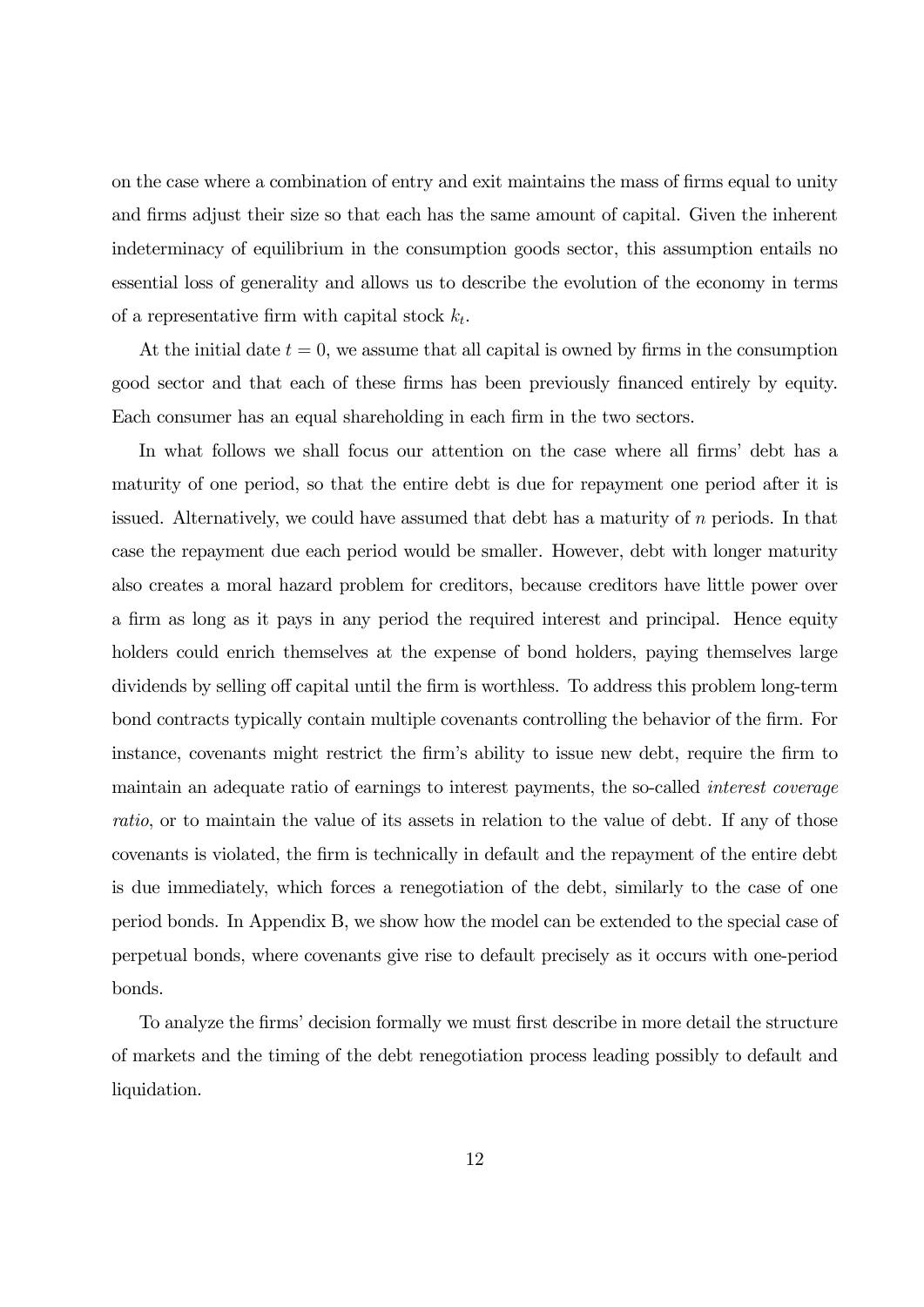on the case where a combination of entry and exit maintains the mass of firms equal to unity and firms adjust their size so that each has the same amount of capital. Given the inherent indeterminacy of equilibrium in the consumption goods sector, this assumption entails no essential loss of generality and allows us to describe the evolution of the economy in terms of a representative firm with capital stock  $k_t$ .

At the initial date  $t = 0$ , we assume that all capital is owned by firms in the consumption good sector and that each of these firms has been previously financed entirely by equity. Each consumer has an equal shareholding in each firm in the two sectors.

In what follows we shall focus our attention on the case where all firms' debt has a maturity of one period, so that the entire debt is due for repayment one period after it is issued. Alternatively, we could have assumed that debt has a maturity of  $n$  periods. In that case the repayment due each period would be smaller. However, debt with longer maturity also creates a moral hazard problem for creditors, because creditors have little power over a firm as long as it pays in any period the required interest and principal. Hence equity holders could enrich themselves at the expense of bond holders, paying themselves large dividends by selling off capital until the firm is worthless. To address this problem long-term bond contracts typically contain multiple covenants controlling the behavior of the firm. For instance, covenants might restrict the firm's ability to issue new debt, require the firm to maintain an adequate ratio of earnings to interest payments, the so-called interest coverage ratio, or to maintain the value of its assets in relation to the value of debt. If any of those covenants is violated, the firm is technically in default and the repayment of the entire debt is due immediately, which forces a renegotiation of the debt, similarly to the case of one period bonds. In Appendix B, we show how the model can be extended to the special case of perpetual bonds, where covenants give rise to default precisely as it occurs with one-period bonds.

To analyze the firms' decision formally we must first describe in more detail the structure of markets and the timing of the debt renegotiation process leading possibly to default and liquidation.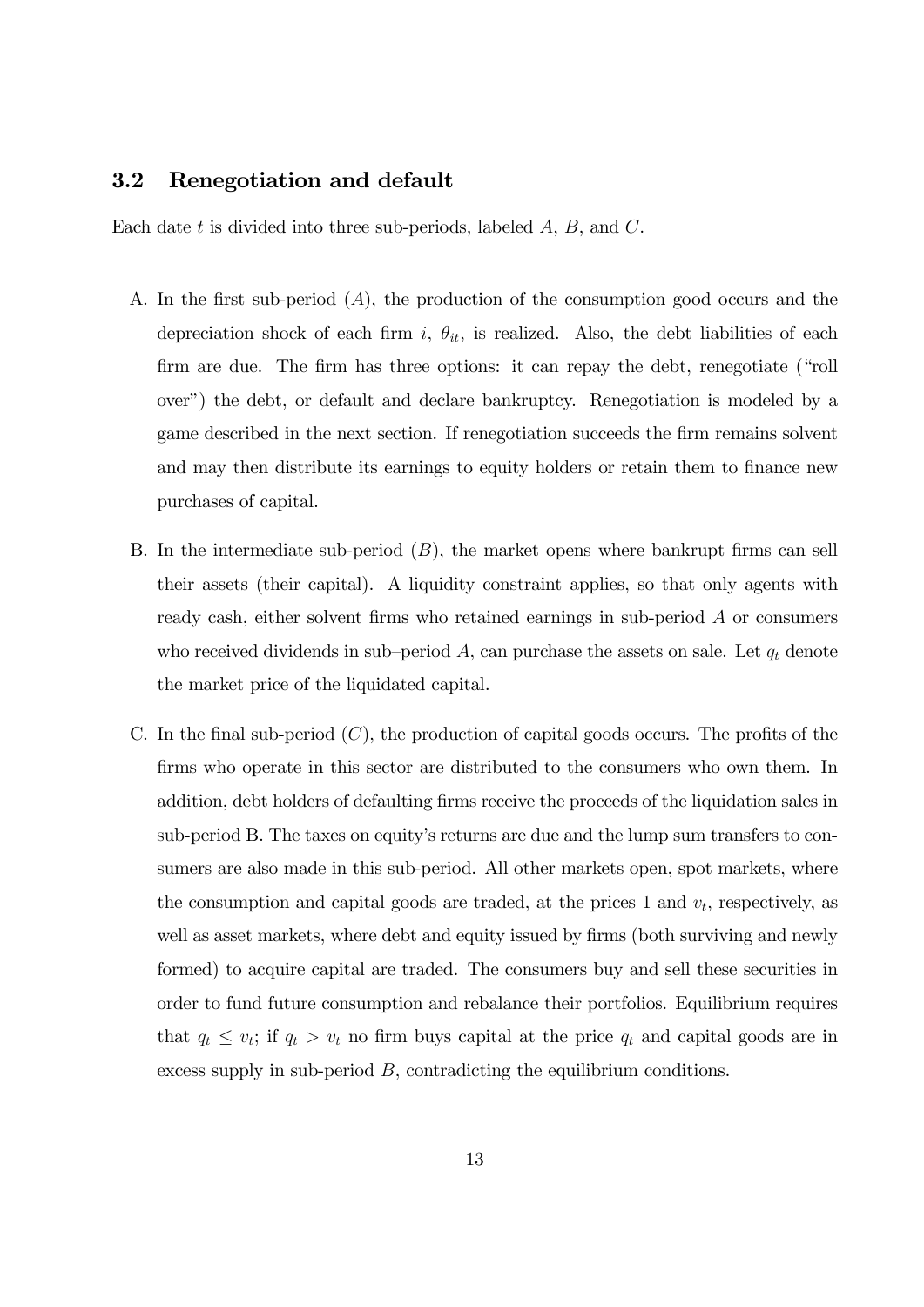#### 3.2 Renegotiation and default

Each date  $t$  is divided into three sub-periods, labeled  $A, B$ , and  $C$ .

- A. In the first sub-period  $(A)$ , the production of the consumption good occurs and the depreciation shock of each firm i,  $\theta_{it}$ , is realized. Also, the debt liabilities of each firm are due. The firm has three options: it can repay the debt, renegotiate ("roll over") the debt, or default and declare bankruptcy. Renegotiation is modeled by a game described in the next section. If renegotiation succeeds the firm remains solvent and may then distribute its earnings to equity holders or retain them to finance new purchases of capital.
- B. In the intermediate sub-period  $(B)$ , the market opens where bankrupt firms can sell their assets (their capital). A liquidity constraint applies, so that only agents with ready cash, either solvent firms who retained earnings in sub-period  $A$  or consumers who received dividends in sub-period  $A$ , can purchase the assets on sale. Let  $q_t$  denote the market price of the liquidated capital.
- C. In the final sub-period  $(C)$ , the production of capital goods occurs. The profits of the firms who operate in this sector are distributed to the consumers who own them. In addition, debt holders of defaulting firms receive the proceeds of the liquidation sales in sub-period B. The taxes on equity's returns are due and the lump sum transfers to consumers are also made in this sub-period. All other markets open, spot markets, where the consumption and capital goods are traded, at the prices 1 and  $v_t$ , respectively, as well as asset markets, where debt and equity issued by firms (both surviving and newly formed) to acquire capital are traded. The consumers buy and sell these securities in order to fund future consumption and rebalance their portfolios. Equilibrium requires that  $q_t \le v_t$ ; if  $q_t > v_t$  no firm buys capital at the price  $q_t$  and capital goods are in excess supply in sub-period  $B$ , contradicting the equilibrium conditions.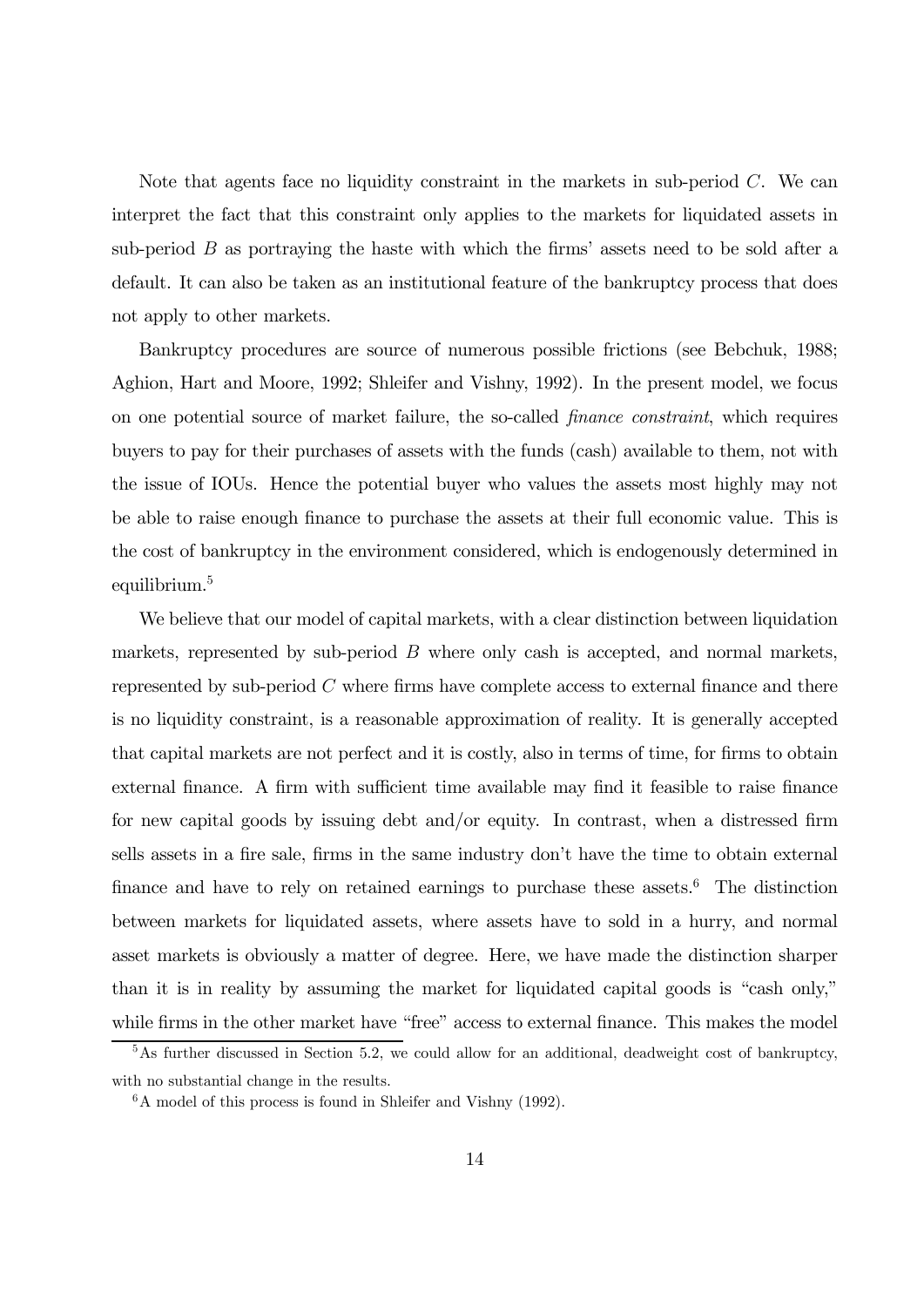Note that agents face no liquidity constraint in the markets in sub-period  $C$ . We can interpret the fact that this constraint only applies to the markets for liquidated assets in sub-period  $B$  as portraying the haste with which the firms' assets need to be sold after a default. It can also be taken as an institutional feature of the bankruptcy process that does not apply to other markets.

Bankruptcy procedures are source of numerous possible frictions (see Bebchuk, 1988; Aghion, Hart and Moore, 1992; Shleifer and Vishny, 1992). In the present model, we focus on one potential source of market failure, the so-called finance constraint, which requires buyers to pay for their purchases of assets with the funds (cash) available to them, not with the issue of IOUs. Hence the potential buyer who values the assets most highly may not be able to raise enough finance to purchase the assets at their full economic value. This is the cost of bankruptcy in the environment considered, which is endogenously determined in equilibrium.<sup>5</sup>

We believe that our model of capital markets, with a clear distinction between liquidation markets, represented by sub-period  $B$  where only cash is accepted, and normal markets, represented by sub-period  $C$  where firms have complete access to external finance and there is no liquidity constraint, is a reasonable approximation of reality. It is generally accepted that capital markets are not perfect and it is costly, also in terms of time, for firms to obtain external finance. A firm with sufficient time available may find it feasible to raise finance for new capital goods by issuing debt and/or equity. In contrast, when a distressed firm sells assets in a fire sale, firms in the same industry don't have the time to obtain external finance and have to rely on retained earnings to purchase these assets.<sup>6</sup> The distinction between markets for liquidated assets, where assets have to sold in a hurry, and normal asset markets is obviously a matter of degree. Here, we have made the distinction sharper than it is in reality by assuming the market for liquidated capital goods is "cash only," while firms in the other market have "free" access to external finance. This makes the model

<sup>&</sup>lt;sup>5</sup>As further discussed in Section 5.2, we could allow for an additional, deadweight cost of bankruptcy, with no substantial change in the results.

 ${}^{6}$ A model of this process is found in Shleifer and Vishny (1992).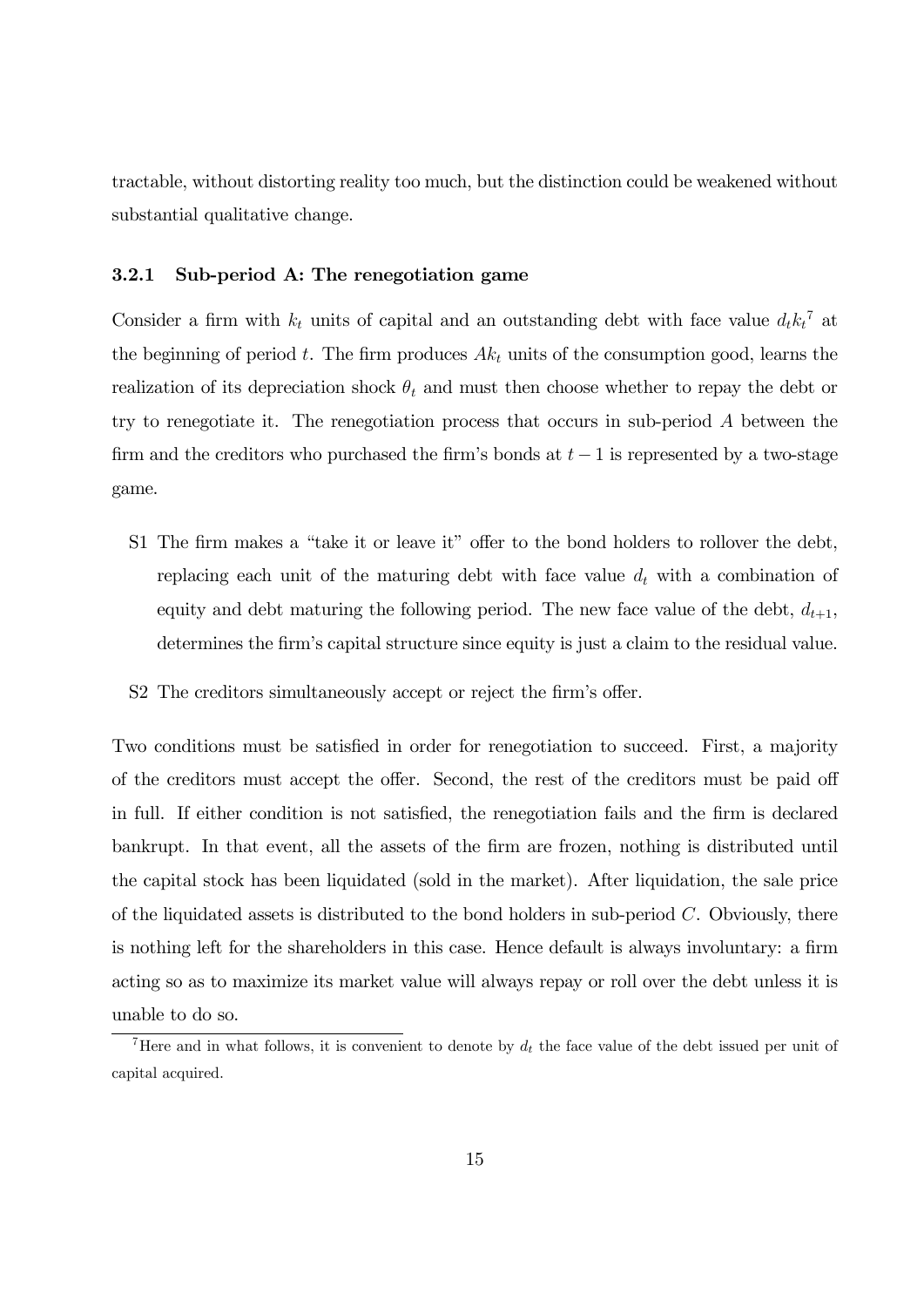tractable, without distorting reality too much, but the distinction could be weakened without substantial qualitative change.

#### 3.2.1 Sub-period A: The renegotiation game

Consider a firm with  $k_t$  units of capital and an outstanding debt with face value  $d_t k_t^{\tau}$  at the beginning of period t. The firm produces  $Ak_t$  units of the consumption good, learns the realization of its depreciation shock  $\theta_t$  and must then choose whether to repay the debt or try to renegotiate it. The renegotiation process that occurs in sub-period  $A$  between the firm and the creditors who purchased the firm's bonds at  $t-1$  is represented by a two-stage game.

- S1 The firm makes a "take it or leave it" offer to the bond holders to rollover the debt, replacing each unit of the maturing debt with face value  $d_t$  with a combination of equity and debt maturing the following period. The new face value of the debt,  $d_{t+1}$ , determines the firm's capital structure since equity is just a claim to the residual value.
- S2 The creditors simultaneously accept or reject the firm's offer.

Two conditions must be satisfied in order for renegotiation to succeed. First, a majority of the creditors must accept the offer. Second, the rest of the creditors must be paid off in full. If either condition is not satisfied, the renegotiation fails and the firm is declared bankrupt. In that event, all the assets of the firm are frozen, nothing is distributed until the capital stock has been liquidated (sold in the market). After liquidation, the sale price of the liquidated assets is distributed to the bond holders in sub-period  $C$ . Obviously, there is nothing left for the shareholders in this case. Hence default is always involuntary: a firm acting so as to maximize its market value will always repay or roll over the debt unless it is unable to do so.

<sup>&</sup>lt;sup>7</sup>Here and in what follows, it is convenient to denote by  $d_t$  the face value of the debt issued per unit of capital acquired.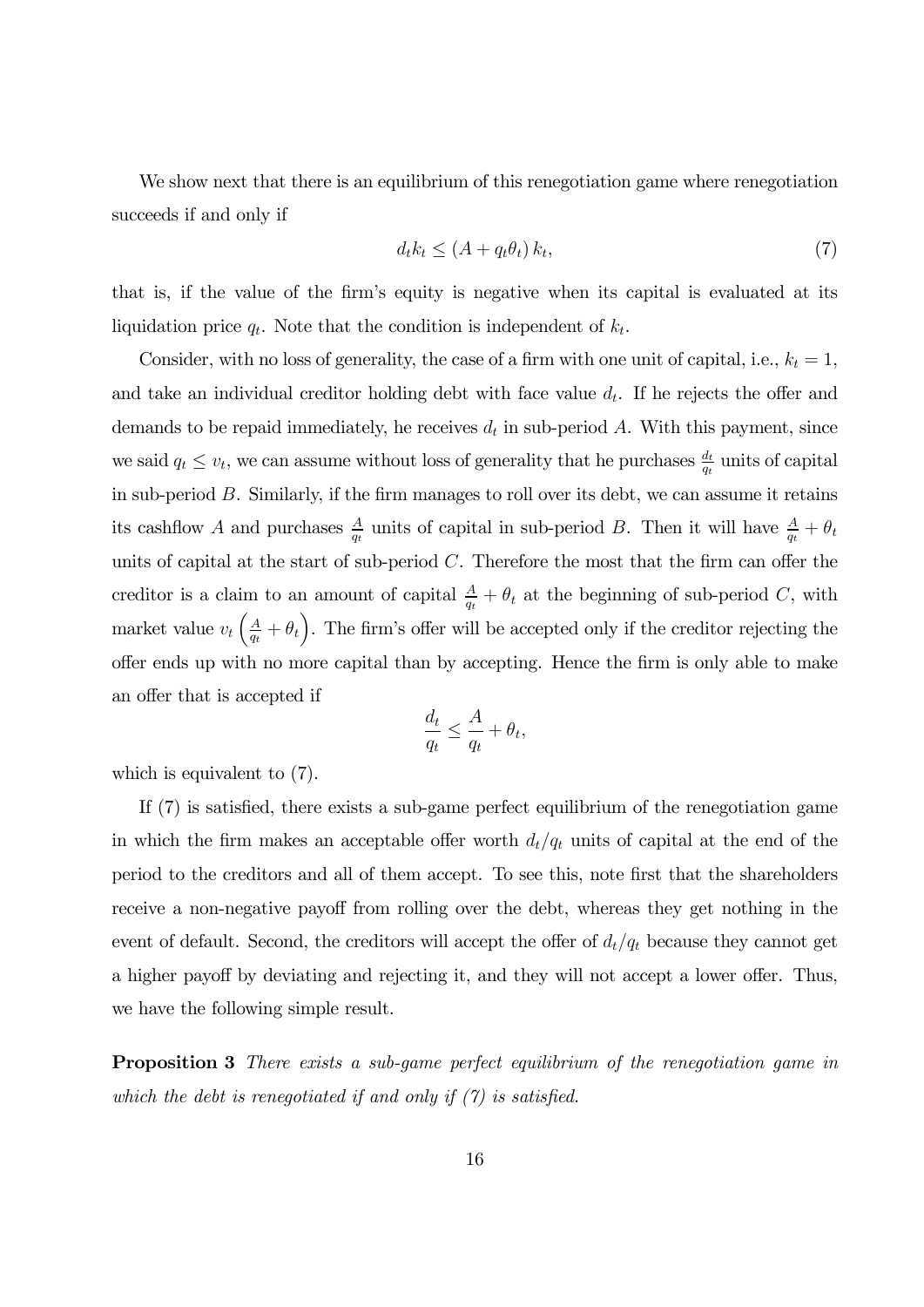We show next that there is an equilibrium of this renegotiation game where renegotiation succeeds if and only if

$$
d_t k_t \le (A + q_t \theta_t) k_t,\tag{7}
$$

that is, if the value of the firm's equity is negative when its capital is evaluated at its liquidation price  $q_t$ . Note that the condition is independent of  $k_t$ .

Consider, with no loss of generality, the case of a firm with one unit of capital, i.e.,  $k_t = 1$ , and take an individual creditor holding debt with face value  $d_t$ . If he rejects the offer and demands to be repaid immediately, he receives  $d_t$  in sub-period A. With this payment, since we said  $q_t \leq v_t$ , we can assume without loss of generality that he purchases  $\frac{d_t}{q_t}$  units of capital in sub-period  $B$ . Similarly, if the firm manages to roll over its debt, we can assume it retains its cashflow A and purchases  $\frac{A}{q_t}$  units of capital in sub-period B. Then it will have  $\frac{A}{q_t} + \theta_t$ units of capital at the start of sub-period  $C$ . Therefore the most that the firm can offer the creditor is a claim to an amount of capital  $\frac{A}{q_t} + \theta_t$  at the beginning of sub-period C, with market value  $v_t igg(\frac{A}{q_t} + \theta_t \bigg)$ . The firm's offer will be accepted only if the creditor rejecting the offer ends up with no more capital than by accepting. Hence the firm is only able to make an offer that is accepted if

$$
\frac{d_t}{q_t} \le \frac{A}{q_t} + \theta_t,
$$

which is equivalent to (7).

If (7) is satisfied, there exists a sub-game perfect equilibrium of the renegotiation game in which the firm makes an acceptable offer worth  $d_t/q_t$  units of capital at the end of the period to the creditors and all of them accept. To see this, note first that the shareholders receive a non-negative payoff from rolling over the debt, whereas they get nothing in the event of default. Second, the creditors will accept the offer of  $d_t/q_t$  because they cannot get a higher payoff by deviating and rejecting it, and they will not accept a lower offer. Thus, we have the following simple result.

**Proposition 3** There exists a sub-game perfect equilibrium of the renegotiation game in which the debt is renegotiated if and only if  $(7)$  is satisfied.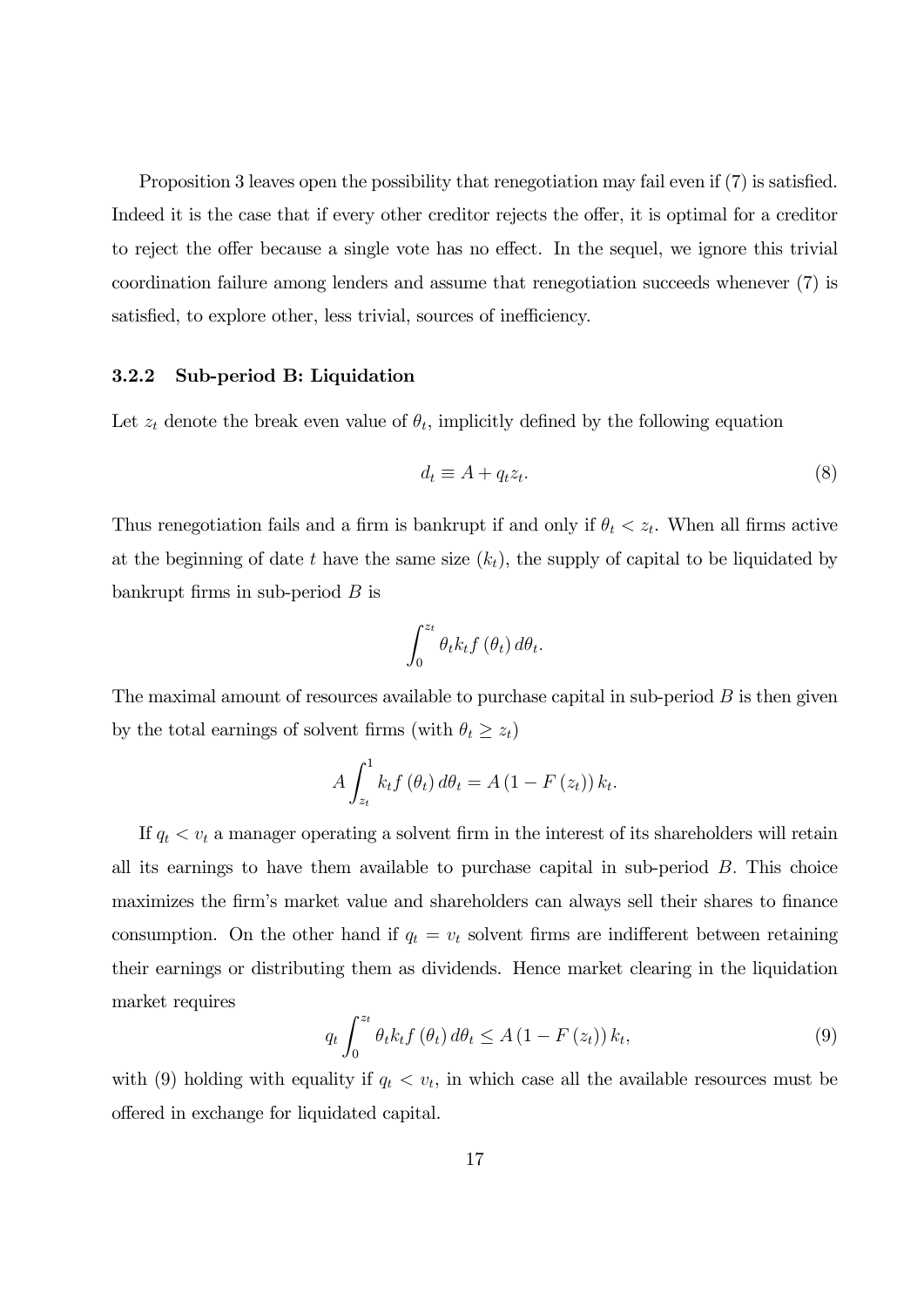Proposition 3 leaves open the possibility that renegotiation may fail even if (7) is satisfied. Indeed it is the case that if every other creditor rejects the offer, it is optimal for a creditor to reject the offer because a single vote has no effect. In the sequel, we ignore this trivial coordination failure among lenders and assume that renegotiation succeeds whenever (7) is satisfied, to explore other, less trivial, sources of inefficiency.

#### 3.2.2 Sub-period B: Liquidation

Let  $z_t$  denote the break even value of  $\theta_t$ , implicitly defined by the following equation

$$
d_t \equiv A + q_t z_t. \tag{8}
$$

Thus renegotiation fails and a firm is bankrupt if and only if  $\theta_t < z_t$ . When all firms active at the beginning of date  $t$  have the same size  $(k_t)$ , the supply of capital to be liquidated by bankrupt firms in sub-period  $B$  is

$$
\int_0^{z_t} \theta_t k_t f\left(\theta_t\right) d\theta_t.
$$

The maximal amount of resources available to purchase capital in sub-period  $B$  is then given by the total earnings of solvent firms (with  $\theta_t \geq z_t$ )

$$
A\int_{z_t}^1 k_t f\left(\theta_t\right) d\theta_t = A\left(1 - F\left(z_t\right)\right) k_t.
$$

If  $q_t < v_t$  a manager operating a solvent firm in the interest of its shareholders will retain all its earnings to have them available to purchase capital in sub-period  $B$ . This choice maximizes the firm's market value and shareholders can always sell their shares to finance consumption. On the other hand if  $q_t = v_t$  solvent firms are indifferent between retaining their earnings or distributing them as dividends. Hence market clearing in the liquidation market requires

$$
q_t \int_0^{z_t} \theta_t k_t f\left(\theta_t\right) d\theta_t \le A \left(1 - F\left(z_t\right)\right) k_t,\tag{9}
$$

with (9) holding with equality if  $q_t < v_t$ , in which case all the available resources must be offered in exchange for liquidated capital.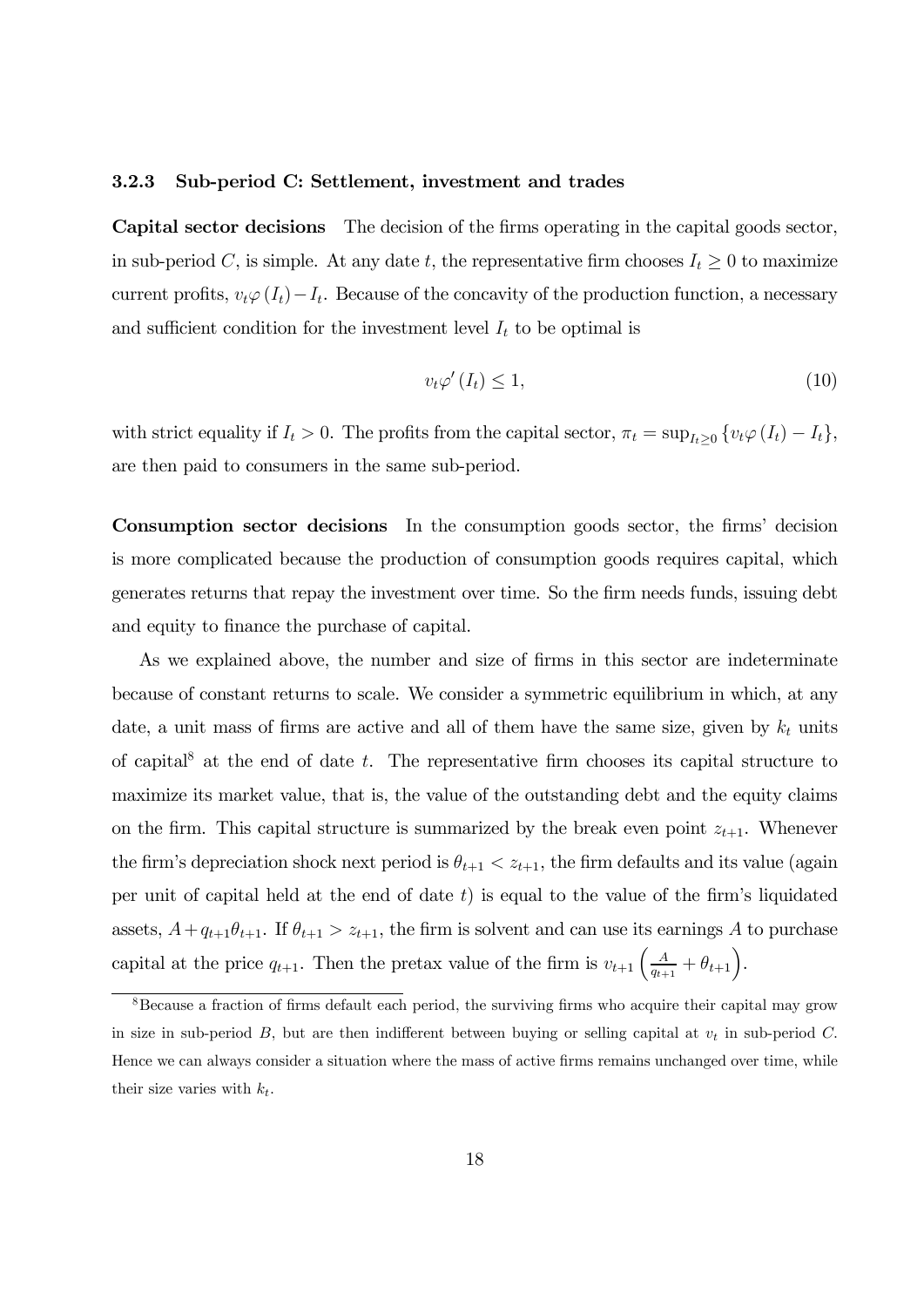#### 3.2.3 Sub-period C: Settlement, investment and trades

Capital sector decisions The decision of the firms operating in the capital goods sector, in sub-period C, is simple. At any date t, the representative firm chooses  $I_t \geq 0$  to maximize current profits,  $v_t\varphi(I_t)-I_t$ . Because of the concavity of the production function, a necessary and sufficient condition for the investment level  $I_t$  to be optimal is

$$
v_t \varphi'(I_t) \le 1,\tag{10}
$$

with strict equality if  $I_t > 0$ . The profits from the capital sector,  $\pi_t = \sup_{I_t \geq 0} \{v_t \varphi(I_t) - I_t\}$ , are then paid to consumers in the same sub-period.

Consumption sector decisions In the consumption goods sector, the firms' decision is more complicated because the production of consumption goods requires capital, which generates returns that repay the investment over time. So the firm needs funds, issuing debt and equity to finance the purchase of capital.

As we explained above, the number and size of firms in this sector are indeterminate because of constant returns to scale. We consider a symmetric equilibrium in which, at any date, a unit mass of firms are active and all of them have the same size, given by  $k_t$  units of capital<sup>8</sup> at the end of date  $t$ . The representative firm chooses its capital structure to maximize its market value, that is, the value of the outstanding debt and the equity claims on the firm. This capital structure is summarized by the break even point  $z_{t+1}$ . Whenever the firm's depreciation shock next period is  $\theta_{t+1} < z_{t+1}$ , the firm defaults and its value (again per unit of capital held at the end of date  $t$ ) is equal to the value of the firm's liquidated assets,  $A+q_{t+1}\theta_{t+1}$ . If  $\theta_{t+1} > z_{t+1}$ , the firm is solvent and can use its earnings A to purchase capital at the price  $q_{t+1}$ . Then the pretax value of the firm is  $v_{t+1} \left( \frac{A}{q_{t+1}} + \theta_{t+1} \right)$ .

<sup>&</sup>lt;sup>8</sup>Because a fraction of firms default each period, the surviving firms who acquire their capital may grow in size in sub-period  $B$ , but are then indifferent between buying or selling capital at  $v_t$  in sub-period  $C$ . Hence we can always consider a situation where the mass of active firms remains unchanged over time, while their size varies with  $k_t$ .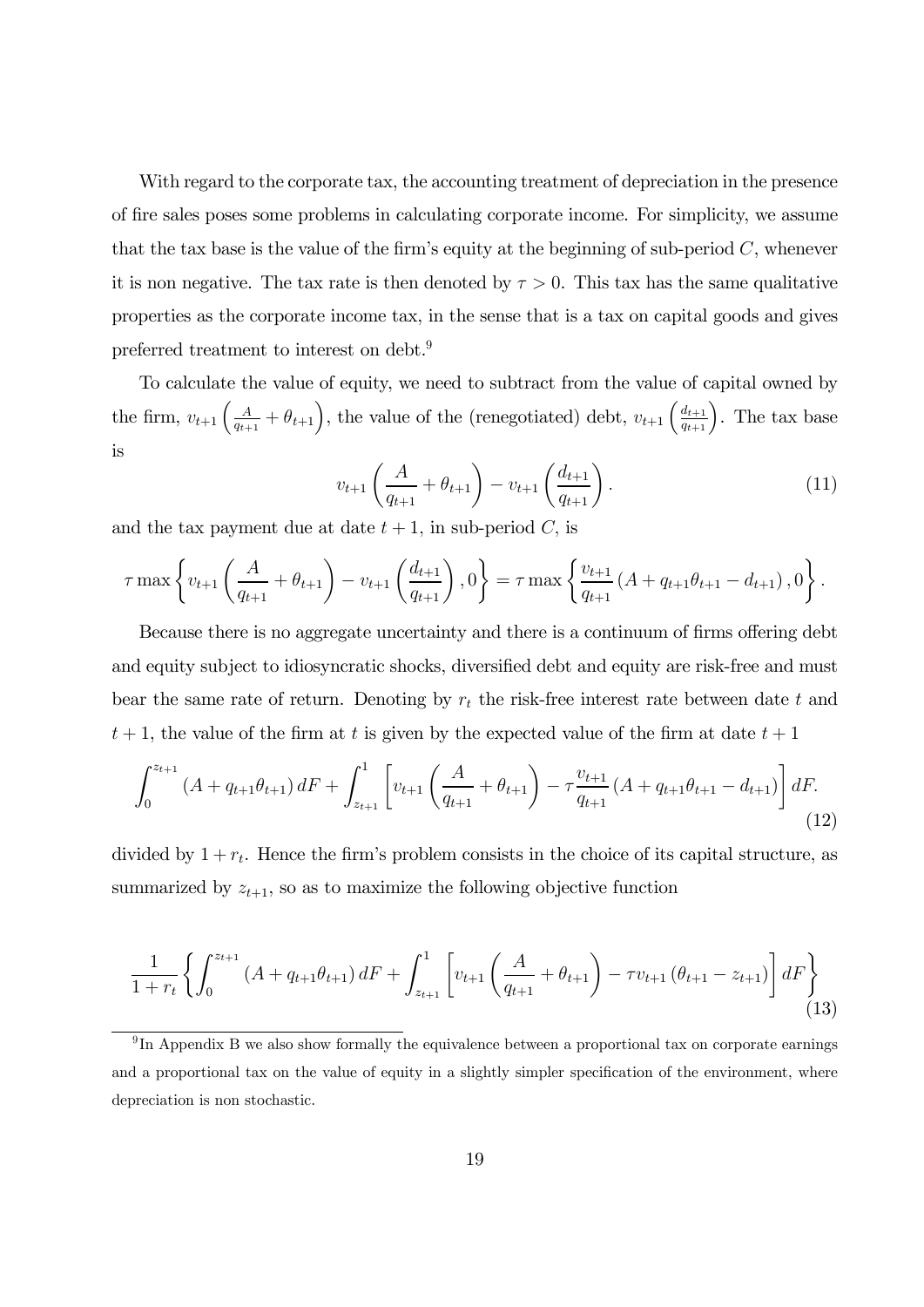With regard to the corporate tax, the accounting treatment of depreciation in the presence of fire sales poses some problems in calculating corporate income. For simplicity, we assume that the tax base is the value of the firm's equity at the beginning of sub-period  $C$ , whenever it is non negative. The tax rate is then denoted by  $\tau > 0$ . This tax has the same qualitative properties as the corporate income tax, in the sense that is a tax on capital goods and gives preferred treatment to interest on debt.9

To calculate the value of equity, we need to subtract from the value of capital owned by the firm,  $v_{t+1} \left( \frac{A}{q_{t+1}} + \theta_{t+1} \right)$ , the value of the (renegotiated) debt,  $v_{t+1} \left( \frac{d_{t+1}}{q_{t+1}} \right)$ . The tax base is

$$
v_{t+1}\left(\frac{A}{q_{t+1}} + \theta_{t+1}\right) - v_{t+1}\left(\frac{d_{t+1}}{q_{t+1}}\right). \tag{11}
$$

and the tax payment due at date  $t + 1$ , in sub-period C, is

$$
\tau \max \left\{ v_{t+1} \left( \frac{A}{q_{t+1}} + \theta_{t+1} \right) - v_{t+1} \left( \frac{d_{t+1}}{q_{t+1}} \right), 0 \right\} = \tau \max \left\{ \frac{v_{t+1}}{q_{t+1}} \left( A + q_{t+1} \theta_{t+1} - d_{t+1} \right), 0 \right\}.
$$

Because there is no aggregate uncertainty and there is a continuum of firms offering debt and equity subject to idiosyncratic shocks, diversified debt and equity are risk-free and must bear the same rate of return. Denoting by  $r_t$  the risk-free interest rate between date  $t$  and  $t + 1$ , the value of the firm at t is given by the expected value of the firm at date  $t + 1$ 

$$
\int_0^{z_{t+1}} \left( A + q_{t+1} \theta_{t+1} \right) dF + \int_{z_{t+1}}^1 \left[ v_{t+1} \left( \frac{A}{q_{t+1}} + \theta_{t+1} \right) - \tau \frac{v_{t+1}}{q_{t+1}} \left( A + q_{t+1} \theta_{t+1} - d_{t+1} \right) \right] dF. \tag{12}
$$

divided by  $1 + r_t$ . Hence the firm's problem consists in the choice of its capital structure, as summarized by  $z_{t+1}$ , so as to maximize the following objective function

$$
\frac{1}{1+r_t} \left\{ \int_0^{z_{t+1}} \left( A + q_{t+1} \theta_{t+1} \right) dF + \int_{z_{t+1}}^1 \left[ v_{t+1} \left( \frac{A}{q_{t+1}} + \theta_{t+1} \right) - \tau v_{t+1} \left( \theta_{t+1} - z_{t+1} \right) \right] dF \right\}
$$
(13)

<sup>&</sup>lt;sup>9</sup>In Appendix B we also show formally the equivalence between a proportional tax on corporate earnings and a proportional tax on the value of equity in a slightly simpler specification of the environment, where depreciation is non stochastic.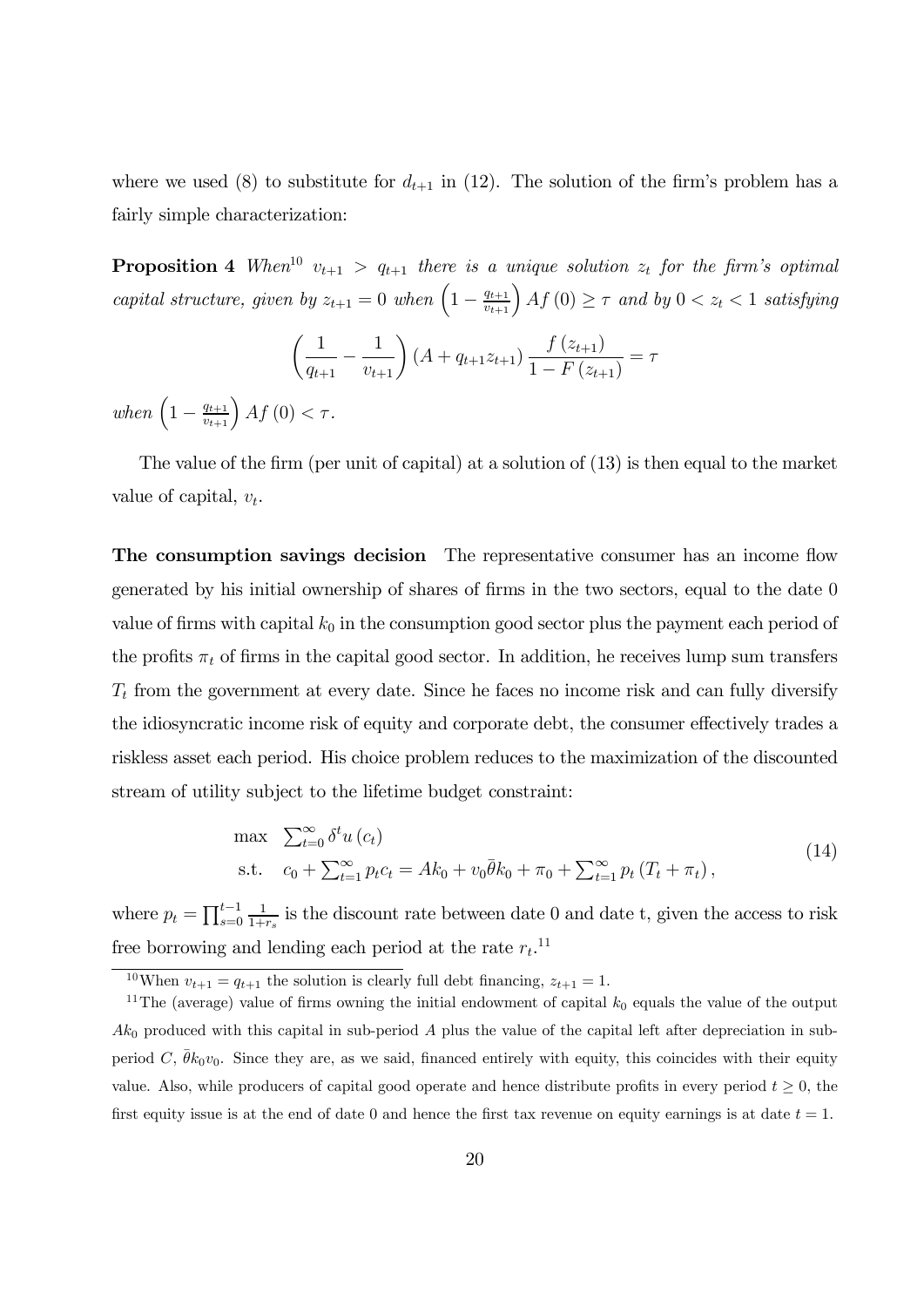where we used (8) to substitute for  $d_{t+1}$  in (12). The solution of the firm's problem has a fairly simple characterization:

**Proposition 4** When<sup>10</sup>  $v_{t+1} > q_{t+1}$  there is a unique solution  $z_t$  for the firm's optimal capital structure, given by  $z_{t+1} = 0$  when  $\left(1 - \frac{q_{t+1}}{v_{t+1}}\right) Af(0) \geq \tau$  and by  $0 < z_t < 1$  satisfying

$$
\left(\frac{1}{q_{t+1}} - \frac{1}{v_{t+1}}\right) \left(A + q_{t+1} z_{t+1}\right) \frac{f\left(z_{t+1}\right)}{1 - F\left(z_{t+1}\right)} = \tau
$$
\n
$$
A f\left(0\right) < \tau.
$$

when  $\left(1 - \frac{q_{t+1}}{v_{t+1}}\right)Af(0) < \tau$ .

The value of the firm (per unit of capital) at a solution of (13) is then equal to the market value of capital,  $v_t$ .

The consumption savings decision The representative consumer has an income flow generated by his initial ownership of shares of firms in the two sectors, equal to the date 0 value of firms with capital  $k_0$  in the consumption good sector plus the payment each period of the profits  $\pi_t$  of firms in the capital good sector. In addition, he receives lump sum transfers  $T_t$  from the government at every date. Since he faces no income risk and can fully diversify the idiosyncratic income risk of equity and corporate debt, the consumer effectively trades a riskless asset each period. His choice problem reduces to the maximization of the discounted stream of utility subject to the lifetime budget constraint:

$$
\max \sum_{t=0}^{\infty} \delta^t u(c_t) \n\text{s.t.} \quad c_0 + \sum_{t=1}^{\infty} p_t c_t = Ak_0 + v_0 \bar{\theta} k_0 + \pi_0 + \sum_{t=1}^{\infty} p_t (T_t + \pi_t),
$$
\n(14)

where  $p_t = \prod_{s=0}^{t-1}$  $\frac{1}{1+r_s}$  is the discount rate between date 0 and date t, given the access to risk free borrowing and lending each period at the rate  $r_t$ <sup>11</sup>

<sup>&</sup>lt;sup>10</sup>When  $v_{t+1} = q_{t+1}$  the solution is clearly full debt financing,  $z_{t+1} = 1$ .

<sup>&</sup>lt;sup>11</sup>The (average) value of firms owning the initial endowment of capital  $k_0$  equals the value of the output  $Ak<sub>0</sub>$  produced with this capital in sub-period A plus the value of the capital left after depreciation in subperiod C,  $\theta k_0v_0$ . Since they are, as we said, financed entirely with equity, this coincides with their equity value. Also, while producers of capital good operate and hence distribute profits in every period  $t \geq 0$ , the first equity issue is at the end of date 0 and hence the first tax revenue on equity earnings is at date  $t = 1$ .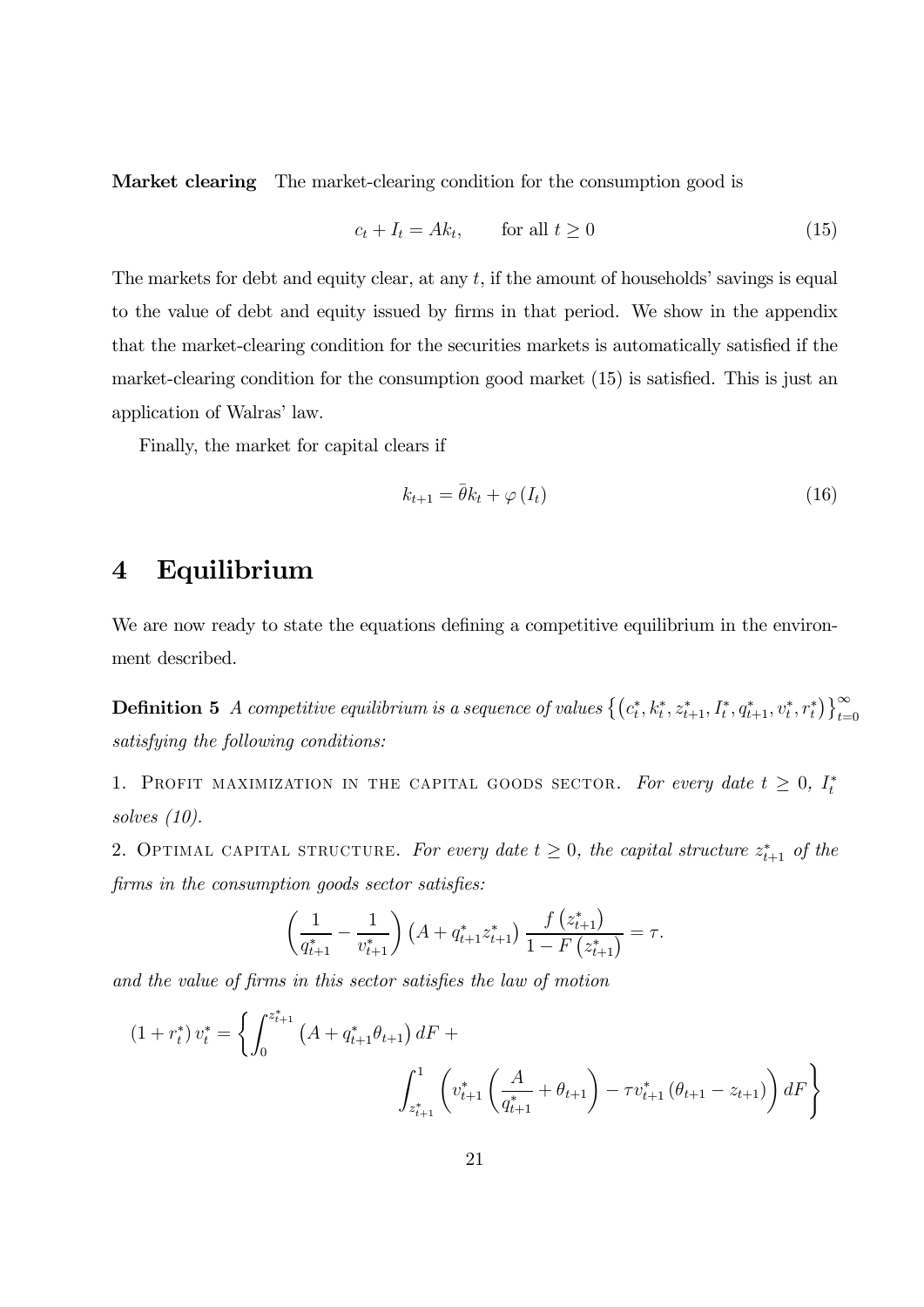Market clearing The market-clearing condition for the consumption good is

$$
c_t + I_t = Ak_t, \qquad \text{for all } t \ge 0 \tag{15}
$$

The markets for debt and equity clear, at any  $t$ , if the amount of households' savings is equal to the value of debt and equity issued by firms in that period. We show in the appendix that the market-clearing condition for the securities markets is automatically satisfied if the market-clearing condition for the consumption good market (15) is satisfied. This is just an application of Walras' law.

Finally, the market for capital clears if

$$
k_{t+1} = \bar{\theta}k_t + \varphi(I_t) \tag{16}
$$

# 4 Equilibrium

We are now ready to state the equations defining a competitive equilibrium in the environment described.

**Definition 5** A competitive equilibrium is a sequence of values  $\{(c_t^*, k_t^*, z_{t+1}^*, I_t^*, q_{t+1}^*, v_t^*, r_t^*)\}_{t=0}^{\infty}$ satisfying the following conditions:

1. PROFIT MAXIMIZATION IN THE CAPITAL GOODS SECTOR. For every date  $t \geq 0$ ,  $I_t^*$ solves (10).

2. OPTIMAL CAPITAL STRUCTURE. For every date  $t \geq 0$ , the capital structure  $z_{t+1}^*$  of the firms in the consumption goods sector satisfies:

$$
\left(\frac{1}{q_{t+1}^*} - \frac{1}{v_{t+1}^*}\right) \left(A + q_{t+1}^* z_{t+1}^*\right) \frac{f\left(z_{t+1}^*\right)}{1 - F\left(z_{t+1}^*\right)} = \tau.
$$

and the value of firms in this sector satisfies the law of motion

$$
(1 + r_t^*) v_t^* = \left\{ \int_0^{z_{t+1}^*} \left( A + q_{t+1}^* \theta_{t+1} \right) dF + \int_{z_{t+1}^*} \left( v_{t+1}^* \left( \frac{A}{q_{t+1}^*} + \theta_{t+1} \right) - \tau v_{t+1}^* \left( \theta_{t+1} - z_{t+1} \right) \right) dF \right\}
$$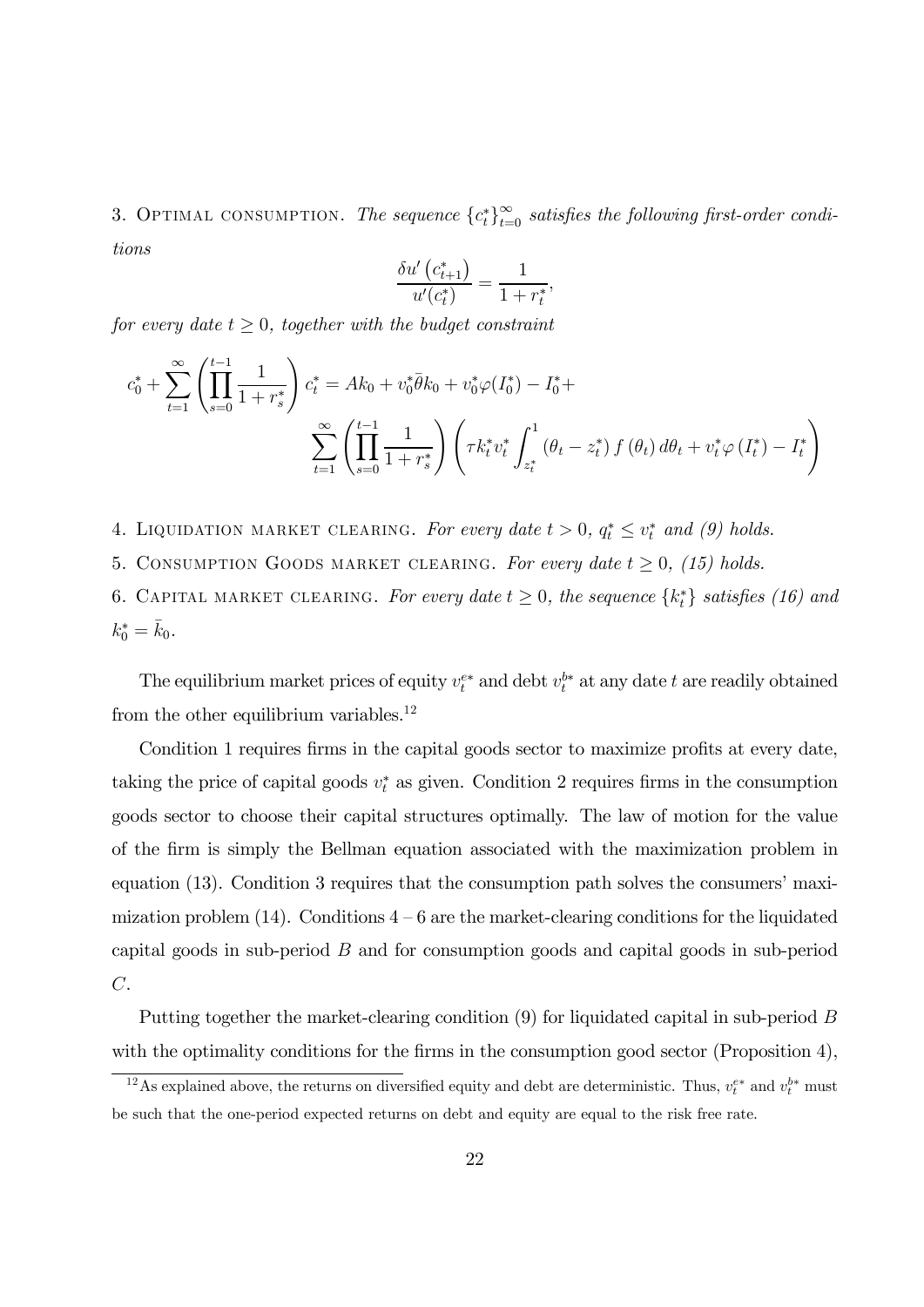3. OPTIMAL CONSUMPTION. The sequence  ${c_t^*}_{t=0}^{\infty}$  satisfies the following first-order conditions

$$
\frac{\delta u'}{u'(c_{t+1}^*)} = \frac{1}{1 + r_t^*},
$$

for every date  $t \geq 0$ , together with the budget constraint

$$
c_0^* + \sum_{t=1}^{\infty} \left( \prod_{s=0}^{t-1} \frac{1}{1+r_s^*} \right) c_t^* = Ak_0 + v_0^* \overline{\theta} k_0 + v_0^* \varphi(I_0^*) - I_0^* + \sum_{t=1}^{\infty} \left( \prod_{s=0}^{t-1} \frac{1}{1+r_s^*} \right) \left( \tau k_t^* v_t^* \int_{z_t^*}^1 (\theta_t - z_t^*) f(\theta_t) d\theta_t + v_t^* \varphi(I_t^*) - I_t^* \right)
$$

- 4. LIQUIDATION MARKET CLEARING. For every date  $t > 0$ ,  $q_t^* \le v_t^*$  and (9) holds.
- 5. CONSUMPTION GOODS MARKET CLEARING. For every date  $t \geq 0$ , (15) holds.

6. CAPITAL MARKET CLEARING. For every date  $t \geq 0$ , the sequence  $\{k_t^*\}$  satisfies (16) and  $k_0^* = \bar{k}_0.$ 

The equilibrium market prices of equity  $v_t^{e*}$  and debt  $v_t^{b*}$  at any date t are readily obtained from the other equilibrium variables.<sup>12</sup>

Condition 1 requires firms in the capital goods sector to maximize profits at every date, taking the price of capital goods  $v_t^*$  as given. Condition 2 requires firms in the consumption goods sector to choose their capital structures optimally. The law of motion for the value of the firm is simply the Bellman equation associated with the maximization problem in equation (13). Condition 3 requires that the consumption path solves the consumers' maximization problem  $(14)$ . Conditions  $4-6$  are the market-clearing conditions for the liquidated capital goods in sub-period  $B$  and for consumption goods and capital goods in sub-period  $C$ .

Putting together the market-clearing condition  $(9)$  for liquidated capital in sub-period B with the optimality conditions for the firms in the consumption good sector (Proposition 4),

<sup>&</sup>lt;sup>12</sup>As explained above, the returns on diversified equity and debt are deterministic. Thus,  $v_t^{e*}$  and  $v_t^{b*}$  must be such that the one-period expected returns on debt and equity are equal to the risk free rate.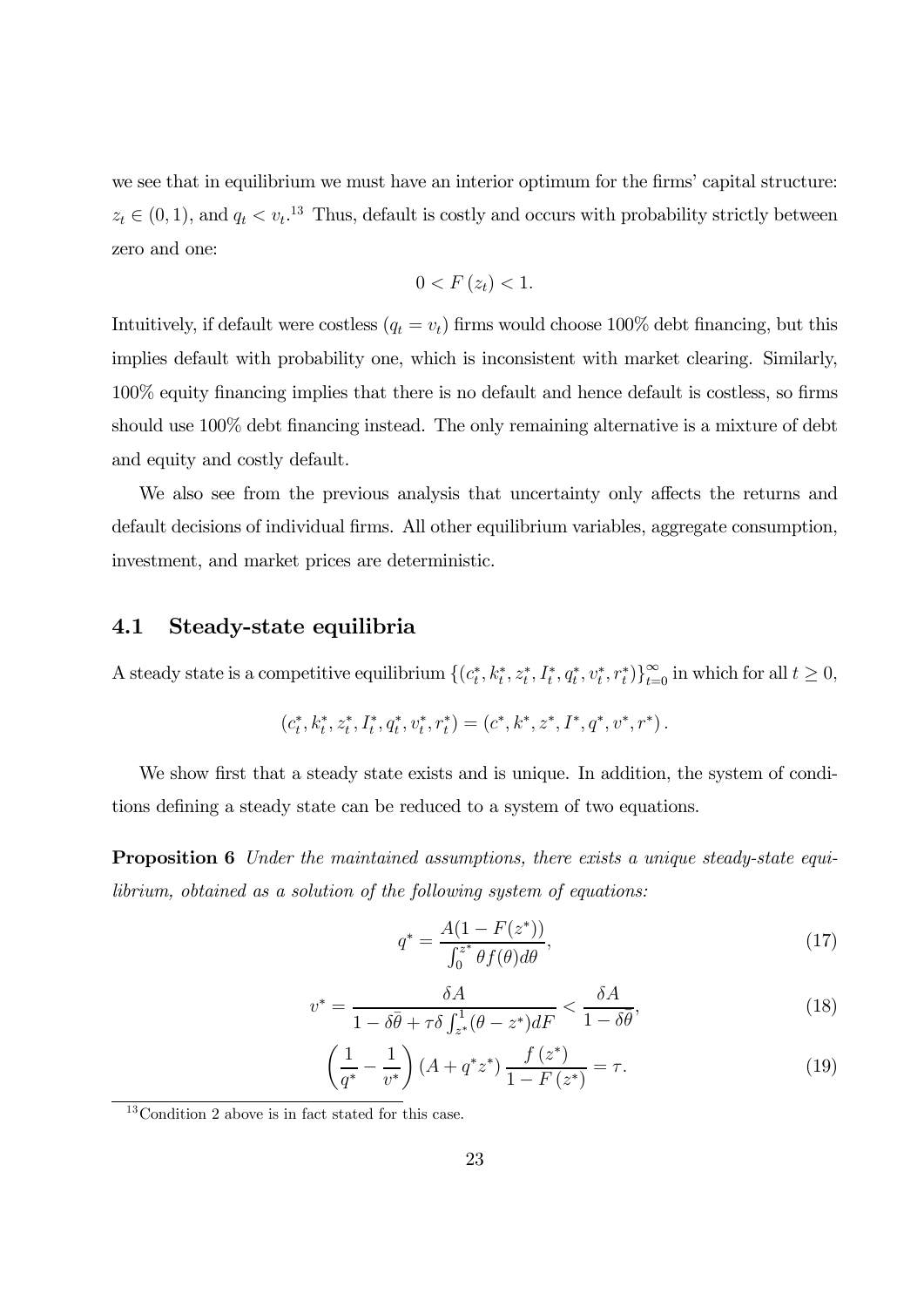we see that in equilibrium we must have an interior optimum for the firms' capital structure:  $z_t \in (0,1)$ , and  $q_t < v_t$ <sup>13</sup> Thus, default is costly and occurs with probability strictly between zero and one:

$$
0 < F\left(z_t\right) < 1.
$$

Intuitively, if default were costless  $(q_t = v_t)$  firms would choose 100% debt financing, but this implies default with probability one, which is inconsistent with market clearing. Similarly, 100% equity financing implies that there is no default and hence default is costless, so firms should use 100% debt financing instead. The only remaining alternative is a mixture of debt and equity and costly default.

We also see from the previous analysis that uncertainty only affects the returns and default decisions of individual firms. All other equilibrium variables, aggregate consumption, investment, and market prices are deterministic.

#### 4.1 Steady-state equilibria

A steady state is a competitive equilibrium  $\{(c_t^*, k_t^*, z_t^*, I_t^*, q_t^*, v_t^*, r_t^*)\}_{t=0}^{\infty}$  in which for all  $t \geq 0$ ,

$$
(c_t^*, k_t^*, z_t^*, I_t^*, q_t^*, v_t^*, r_t^*) = (c^*, k^*, z^*, I^*, q^*, v^*, r^*).
$$

We show first that a steady state exists and is unique. In addition, the system of conditions defining a steady state can be reduced to a system of two equations.

**Proposition 6** Under the maintained assumptions, there exists a unique steady-state equilibrium, obtained as a solution of the following system of equations:

$$
q^* = \frac{A(1 - F(z^*))}{\int_0^{z^*} \theta f(\theta) d\theta},
$$
\n(17)

$$
v^* = \frac{\delta A}{1 - \delta \bar{\theta} + \tau \delta \int_{z^*}^1 (\theta - z^*) dF} < \frac{\delta A}{1 - \delta \bar{\theta}},\tag{18}
$$

$$
\left(\frac{1}{q^*} - \frac{1}{v^*}\right) \left(A + q^* z^*\right) \frac{f(z^*)}{1 - F(z^*)} = \tau.
$$
\n(19)

<sup>13</sup>Condition 2 above is in fact stated for this case.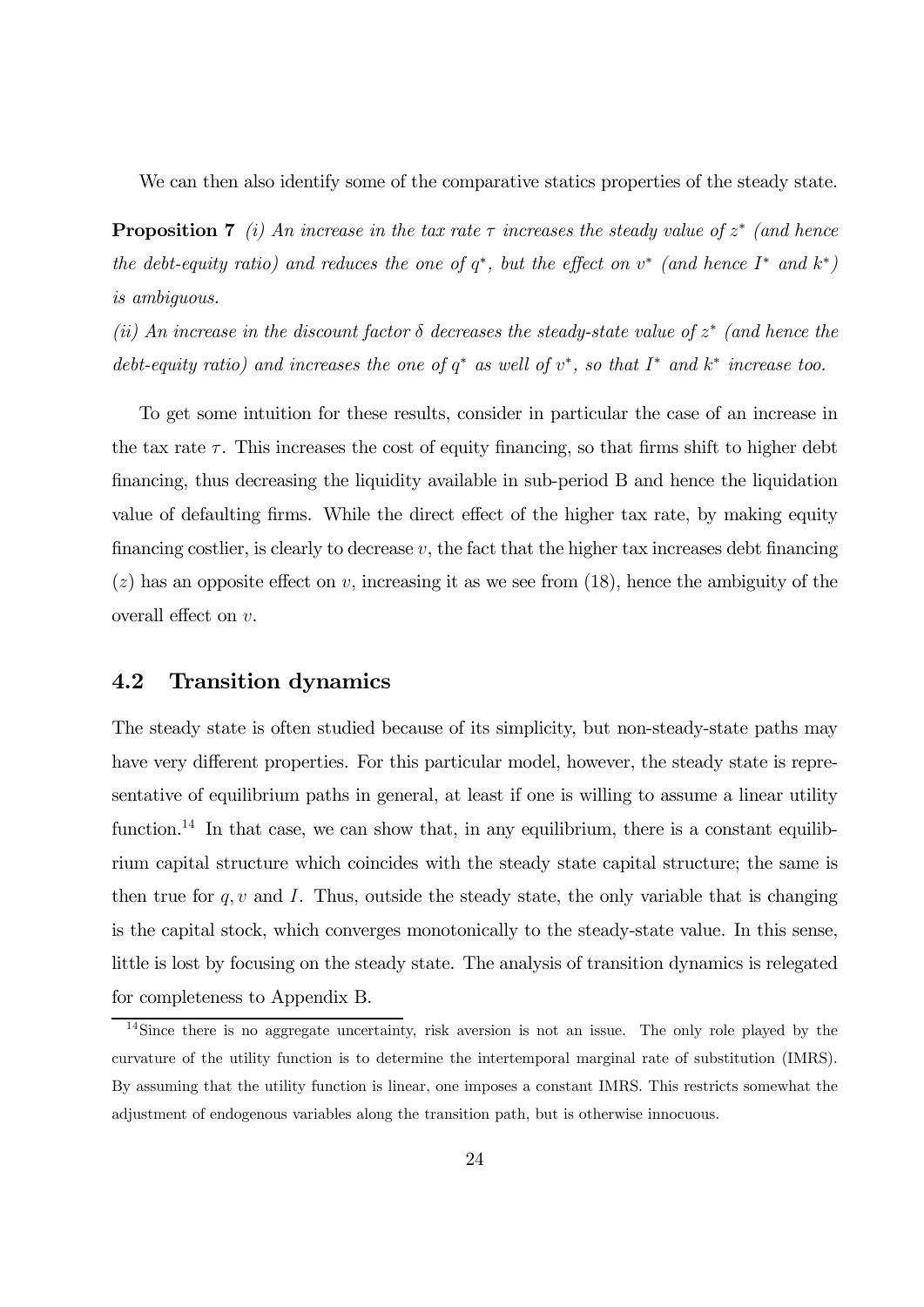We can then also identify some of the comparative statics properties of the steady state.

**Proposition 7** (i) An increase in the tax rate  $\tau$  increases the steady value of  $z^*$  (and hence the debt-equity ratio) and reduces the one of  $q^*$ , but the effect on  $v^*$  (and hence  $I^*$  and  $k^*$ ) is ambiguous.

(ii) An increase in the discount factor  $\delta$  decreases the steady-state value of  $z^*$  (and hence the debt-equity ratio) and increases the one of  $q^*$  as well of  $v^*$ , so that  $I^*$  and  $k^*$  increase too.

To get some intuition for these results, consider in particular the case of an increase in the tax rate  $\tau$ . This increases the cost of equity financing, so that firms shift to higher debt financing, thus decreasing the liquidity available in sub-period B and hence the liquidation value of defaulting firms. While the direct effect of the higher tax rate, by making equity financing costlier, is clearly to decrease  $v$ , the fact that the higher tax increases debt financing  $(z)$  has an opposite effect on v, increasing it as we see from (18), hence the ambiguity of the overall effect on  $v$ .

#### 4.2 Transition dynamics

The steady state is often studied because of its simplicity, but non-steady-state paths may have very different properties. For this particular model, however, the steady state is representative of equilibrium paths in general, at least if one is willing to assume a linear utility function.<sup>14</sup> In that case, we can show that, in any equilibrium, there is a constant equilibrium capital structure which coincides with the steady state capital structure; the same is then true for  $q, v$  and I. Thus, outside the steady state, the only variable that is changing is the capital stock, which converges monotonically to the steady-state value. In this sense, little is lost by focusing on the steady state. The analysis of transition dynamics is relegated for completeness to Appendix B.

<sup>14</sup>Since there is no aggregate uncertainty, risk aversion is not an issue. The only role played by the curvature of the utility function is to determine the intertemporal marginal rate of substitution (IMRS). By assuming that the utility function is linear, one imposes a constant IMRS. This restricts somewhat the adjustment of endogenous variables along the transition path, but is otherwise innocuous.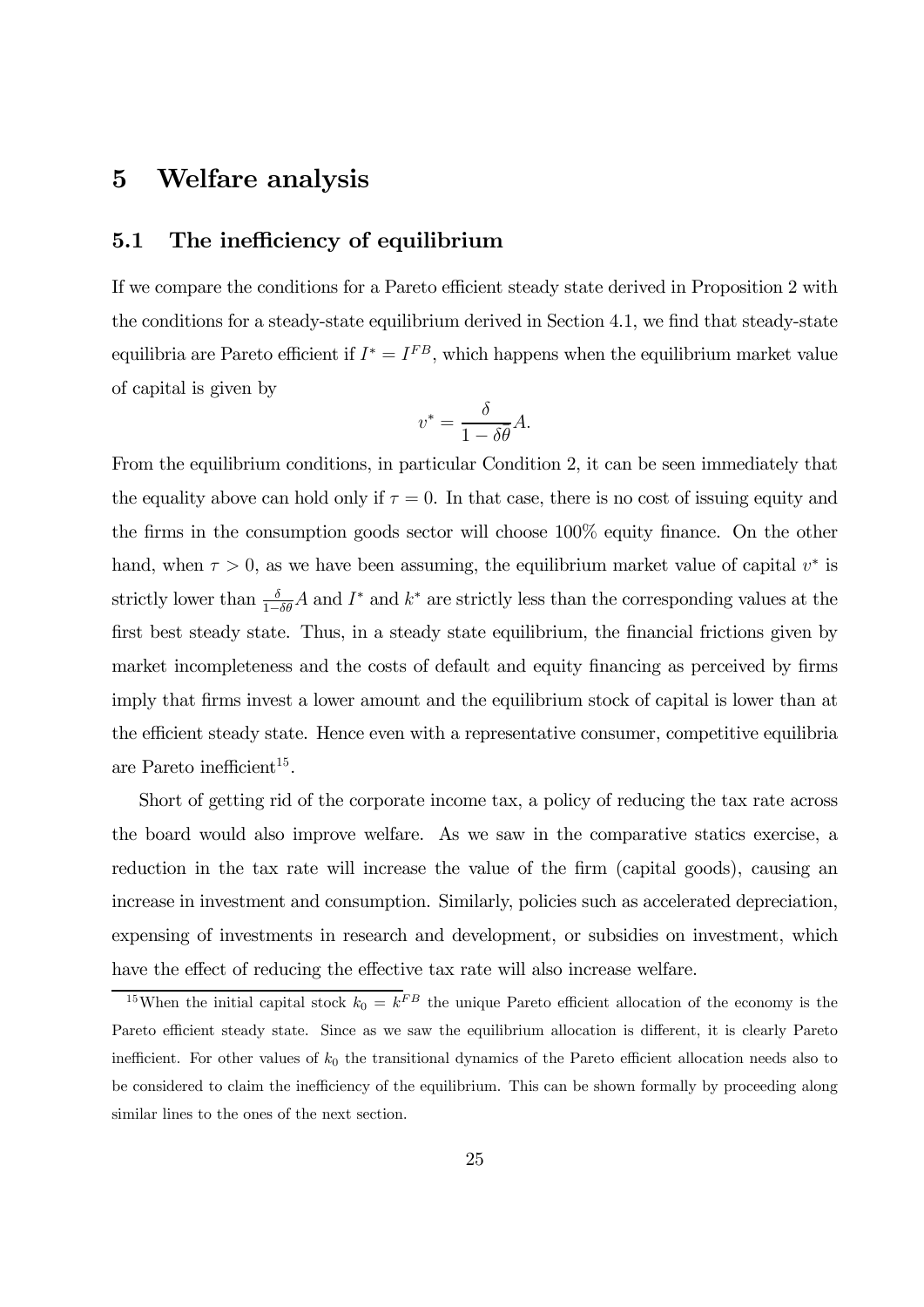### 5 Welfare analysis

#### 5.1 The inefficiency of equilibrium

If we compare the conditions for a Pareto efficient steady state derived in Proposition 2 with the conditions for a steady-state equilibrium derived in Section 4.1, we find that steady-state equilibria are Pareto efficient if  $I^* = I^{FB}$ , which happens when the equilibrium market value of capital is given by

$$
v^* = \frac{\delta}{1 - \delta \bar{\theta}} A.
$$

From the equilibrium conditions, in particular Condition 2, it can be seen immediately that the equality above can hold only if  $\tau = 0$ . In that case, there is no cost of issuing equity and the firms in the consumption goods sector will choose 100% equity finance. On the other hand, when  $\tau > 0$ , as we have been assuming, the equilibrium market value of capital  $v^*$  is strictly lower than  $\frac{\delta}{1-\delta\theta}A$  and  $I^*$  and  $k^*$  are strictly less than the corresponding values at the first best steady state. Thus, in a steady state equilibrium, the financial frictions given by market incompleteness and the costs of default and equity financing as perceived by firms imply that firms invest a lower amount and the equilibrium stock of capital is lower than at the efficient steady state. Hence even with a representative consumer, competitive equilibria are Pareto inefficient<sup>15</sup>.

Short of getting rid of the corporate income tax, a policy of reducing the tax rate across the board would also improve welfare. As we saw in the comparative statics exercise, a reduction in the tax rate will increase the value of the firm (capital goods), causing an increase in investment and consumption. Similarly, policies such as accelerated depreciation, expensing of investments in research and development, or subsidies on investment, which have the effect of reducing the effective tax rate will also increase welfare.

<sup>&</sup>lt;sup>15</sup>When the initial capital stock  $k_0 = k^{FB}$  the unique Pareto efficient allocation of the economy is the Pareto efficient steady state. Since as we saw the equilibrium allocation is different, it is clearly Pareto inefficient. For other values of  $k_0$  the transitional dynamics of the Pareto efficient allocation needs also to be considered to claim the inefficiency of the equilibrium. This can be shown formally by proceeding along similar lines to the ones of the next section.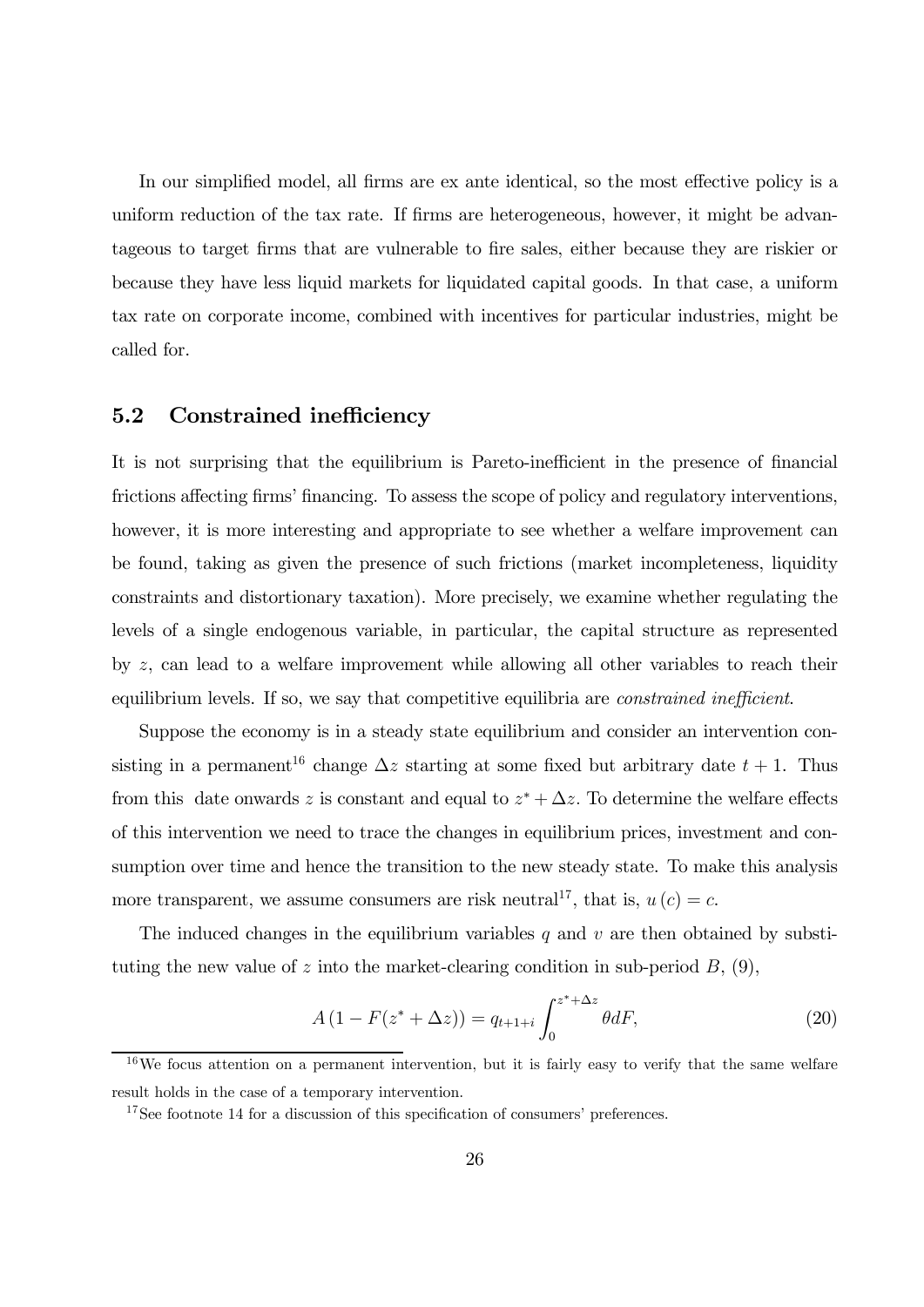In our simplified model, all firms are ex ante identical, so the most effective policy is a uniform reduction of the tax rate. If firms are heterogeneous, however, it might be advantageous to target firms that are vulnerable to fire sales, either because they are riskier or because they have less liquid markets for liquidated capital goods. In that case, a uniform tax rate on corporate income, combined with incentives for particular industries, might be called for.

#### 5.2 Constrained inefficiency

It is not surprising that the equilibrium is Pareto-inefficient in the presence of financial frictions affecting firms' financing. To assess the scope of policy and regulatory interventions, however, it is more interesting and appropriate to see whether a welfare improvement can be found, taking as given the presence of such frictions (market incompleteness, liquidity constraints and distortionary taxation). More precisely, we examine whether regulating the levels of a single endogenous variable, in particular, the capital structure as represented by  $z$ , can lead to a welfare improvement while allowing all other variables to reach their equilibrium levels. If so, we say that competitive equilibria are *constrained inefficient*.

Suppose the economy is in a steady state equilibrium and consider an intervention consisting in a permanent<sup>16</sup> change  $\Delta z$  starting at some fixed but arbitrary date  $t + 1$ . Thus from this date onwards z is constant and equal to  $z^* + \Delta z$ . To determine the welfare effects of this intervention we need to trace the changes in equilibrium prices, investment and consumption over time and hence the transition to the new steady state. To make this analysis more transparent, we assume consumers are risk neutral<sup>17</sup>, that is,  $u(c) = c$ .

The induced changes in the equilibrium variables  $q$  and  $v$  are then obtained by substituting the new value of  $z$  into the market-clearing condition in sub-period  $B$ , (9),

$$
A(1 - F(z^* + \Delta z)) = q_{t+1+i} \int_0^{z^* + \Delta z} \theta dF,
$$
\n(20)

 $16\,\text{We focus attention on a permanent intervention, but it is fairly easy to verify that the same welfare.}$ result holds in the case of a temporary intervention.

<sup>&</sup>lt;sup>17</sup>See footnote 14 for a discussion of this specification of consumers' preferences.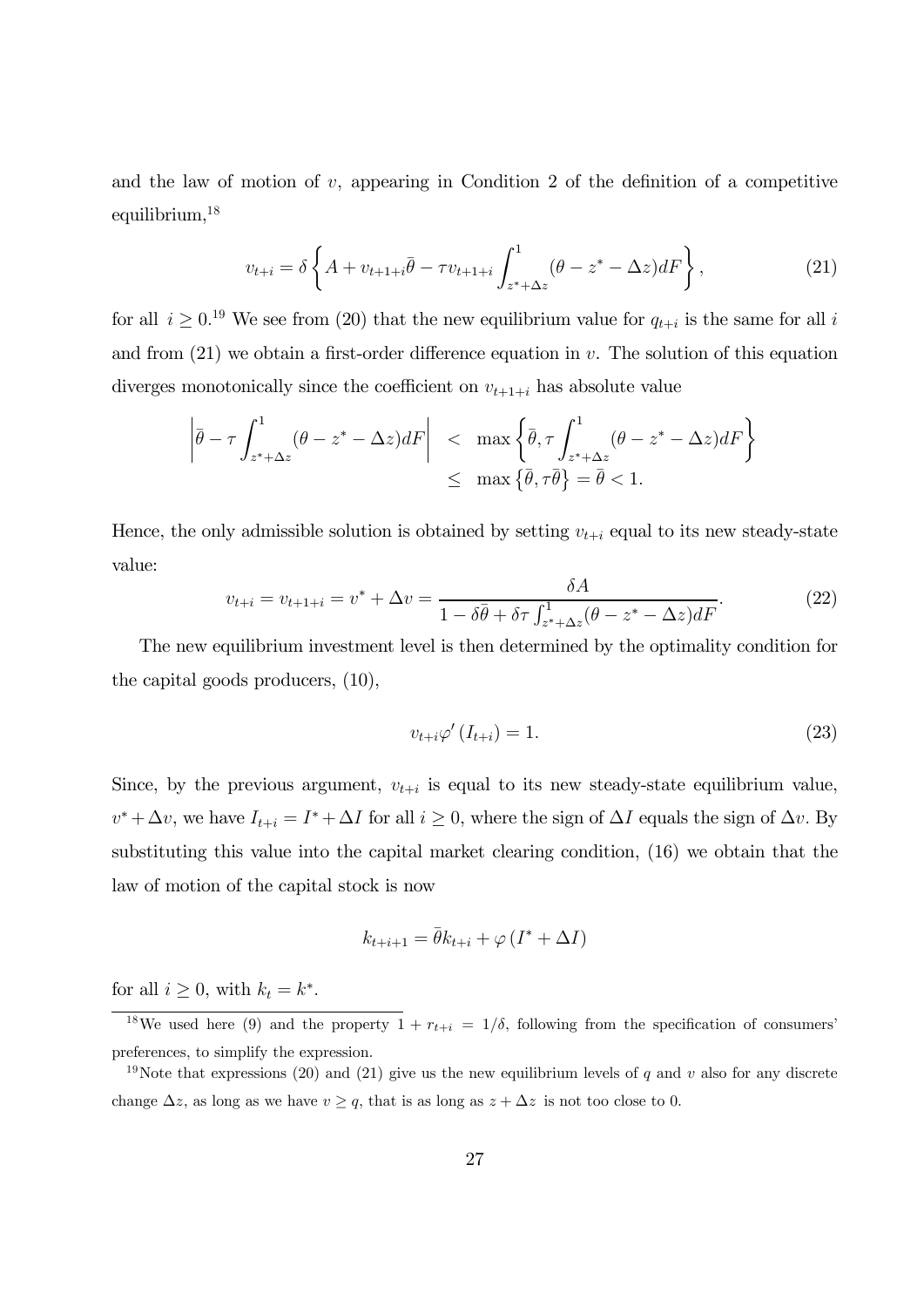and the law of motion of  $v$ , appearing in Condition 2 of the definition of a competitive equilibrium,<sup>18</sup>

$$
v_{t+i} = \delta \left\{ A + v_{t+1+i} \bar{\theta} - \tau v_{t+1+i} \int_{z^* + \Delta z}^1 (\theta - z^* - \Delta z) dF \right\},\tag{21}
$$

for all  $i \geq 0$ <sup>19</sup> We see from (20) that the new equilibrium value for  $q_{t+i}$  is the same for all i and from  $(21)$  we obtain a first-order difference equation in v. The solution of this equation diverges monotonically since the coefficient on  $v_{t+1+i}$  has absolute value

$$
\left| \bar{\theta} - \tau \int_{z^* + \Delta z}^1 (\theta - z^* - \Delta z) dF \right| < \max \left\{ \bar{\theta}, \tau \int_{z^* + \Delta z}^1 (\theta - z^* - \Delta z) dF \right\}
$$
  

$$
\leq \max \left\{ \bar{\theta}, \tau \bar{\theta} \right\} = \bar{\theta} < 1.
$$

Hence, the only admissible solution is obtained by setting  $v_{t+i}$  equal to its new steady-state value:

$$
v_{t+i} = v_{t+1+i} = v^* + \Delta v = \frac{\delta A}{1 - \delta \bar{\theta} + \delta \tau \int_{z^* + \Delta z}^1 (\theta - z^* - \Delta z) dF}.
$$
 (22)

The new equilibrium investment level is then determined by the optimality condition for the capital goods producers, (10),

$$
v_{t+i}\varphi'\left(I_{t+i}\right) = 1.\tag{23}
$$

Since, by the previous argument,  $v_{t+i}$  is equal to its new steady-state equilibrium value,  $v^* + \Delta v$ , we have  $I_{t+i} = I^* + \Delta I$  for all  $i \geq 0$ , where the sign of  $\Delta I$  equals the sign of  $\Delta v$ . By substituting this value into the capital market clearing condition, (16) we obtain that the law of motion of the capital stock is now

$$
k_{t+i+1} = \bar{\theta}k_{t+i} + \varphi(I^* + \Delta I)
$$

for all  $i \geq 0$ , with  $k_t = k^*$ .

<sup>&</sup>lt;sup>18</sup>We used here (9) and the property  $1 + r_{t+i} = 1/\delta$ , following from the specification of consumers' preferences, to simplify the expression.

<sup>&</sup>lt;sup>19</sup>Note that expressions (20) and (21) give us the new equilibrium levels of q and v also for any discrete change  $\Delta z$ , as long as we have  $v \geq q$ , that is as long as  $z + \Delta z$  is not too close to 0.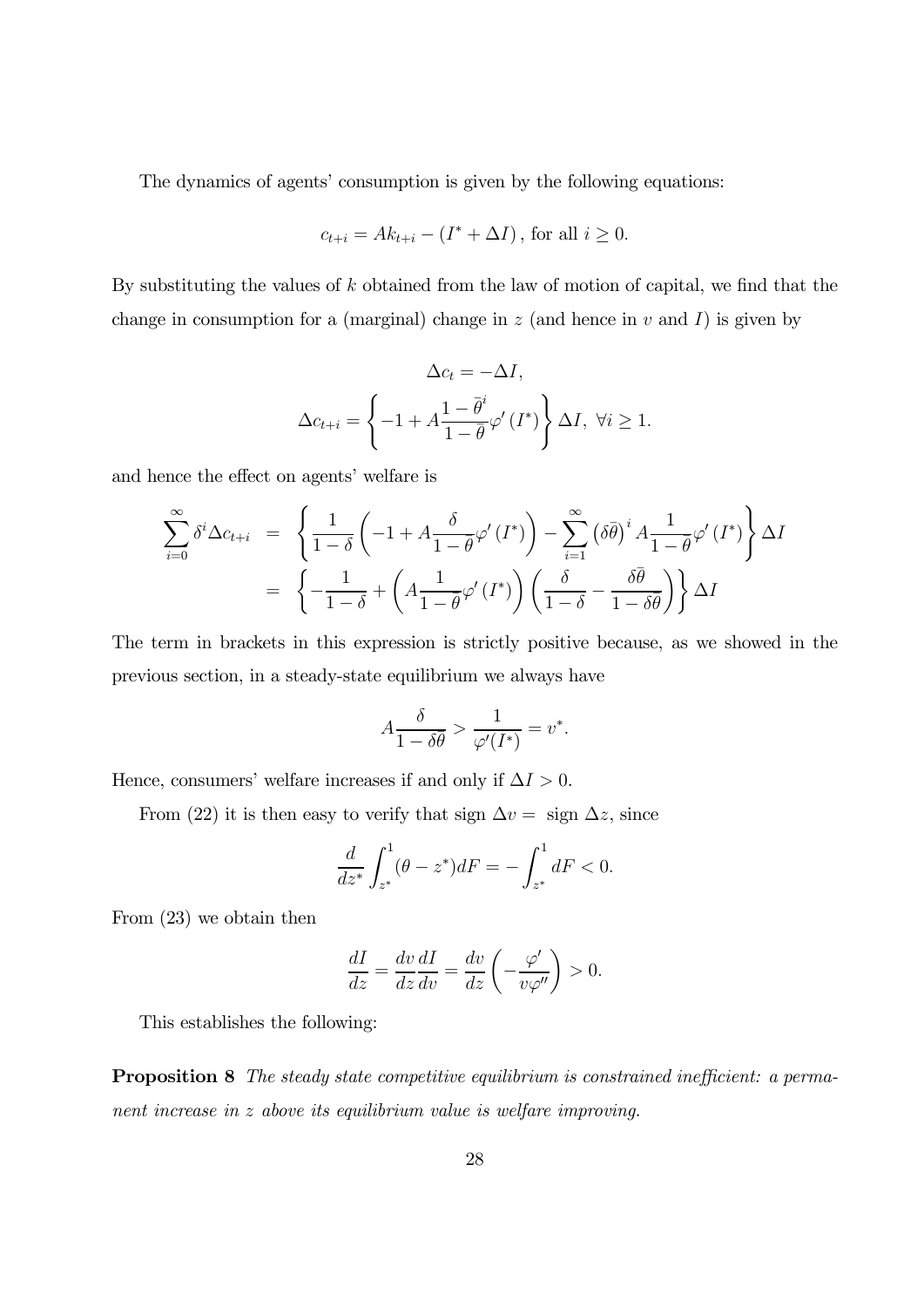The dynamics of agents' consumption is given by the following equations:

$$
c_{t+i} = Ak_{t+i} - (I^* + \Delta I), \text{ for all } i \ge 0.
$$

By substituting the values of  $k$  obtained from the law of motion of capital, we find that the change in consumption for a (marginal) change in  $z$  (and hence in  $v$  and  $I$ ) is given by

$$
\Delta c_t = -\Delta I,
$$
  

$$
\Delta c_{t+i} = \left\{-1 + A \frac{1 - \bar{\theta}^i}{1 - \bar{\theta}} \varphi'(I^*)\right\} \Delta I, \ \forall i \ge 1.
$$

and hence the effect on agents' welfare is

$$
\sum_{i=0}^{\infty} \delta^{i} \Delta c_{t+i} = \left\{ \frac{1}{1-\delta} \left( -1 + A \frac{\delta}{1-\bar{\theta}} \varphi'(I^*) \right) - \sum_{i=1}^{\infty} \left( \delta \bar{\theta} \right)^{i} A \frac{1}{1-\bar{\theta}} \varphi'(I^*) \right\} \Delta I
$$

$$
= \left\{ -\frac{1}{1-\delta} + \left( A \frac{1}{1-\bar{\theta}} \varphi'(I^*) \right) \left( \frac{\delta}{1-\delta} - \frac{\delta \bar{\theta}}{1-\delta \bar{\theta}} \right) \right\} \Delta I
$$

The term in brackets in this expression is strictly positive because, as we showed in the previous section, in a steady-state equilibrium we always have

$$
A\frac{\delta}{1-\delta\bar{\theta}} > \frac{1}{\varphi'(I^*)} = v^*.
$$

Hence, consumers' welfare increases if and only if  $\Delta I > 0$ .

From (22) it is then easy to verify that sign  $\Delta v = \text{sign} \ \Delta z$ , since

$$
\frac{d}{dz^*} \int_{z^*}^1 (\theta - z^*) dF = - \int_{z^*}^1 dF < 0.
$$

From (23) we obtain then

$$
\frac{dI}{dz} = \frac{dv}{dz}\frac{dI}{dv} = \frac{dv}{dz}\left(-\frac{\varphi'}{v\varphi''}\right) > 0.
$$

This establishes the following:

Proposition 8 The steady state competitive equilibrium is constrained inefficient: a permanent increase in  $z$  above its equilibrium value is welfare improving.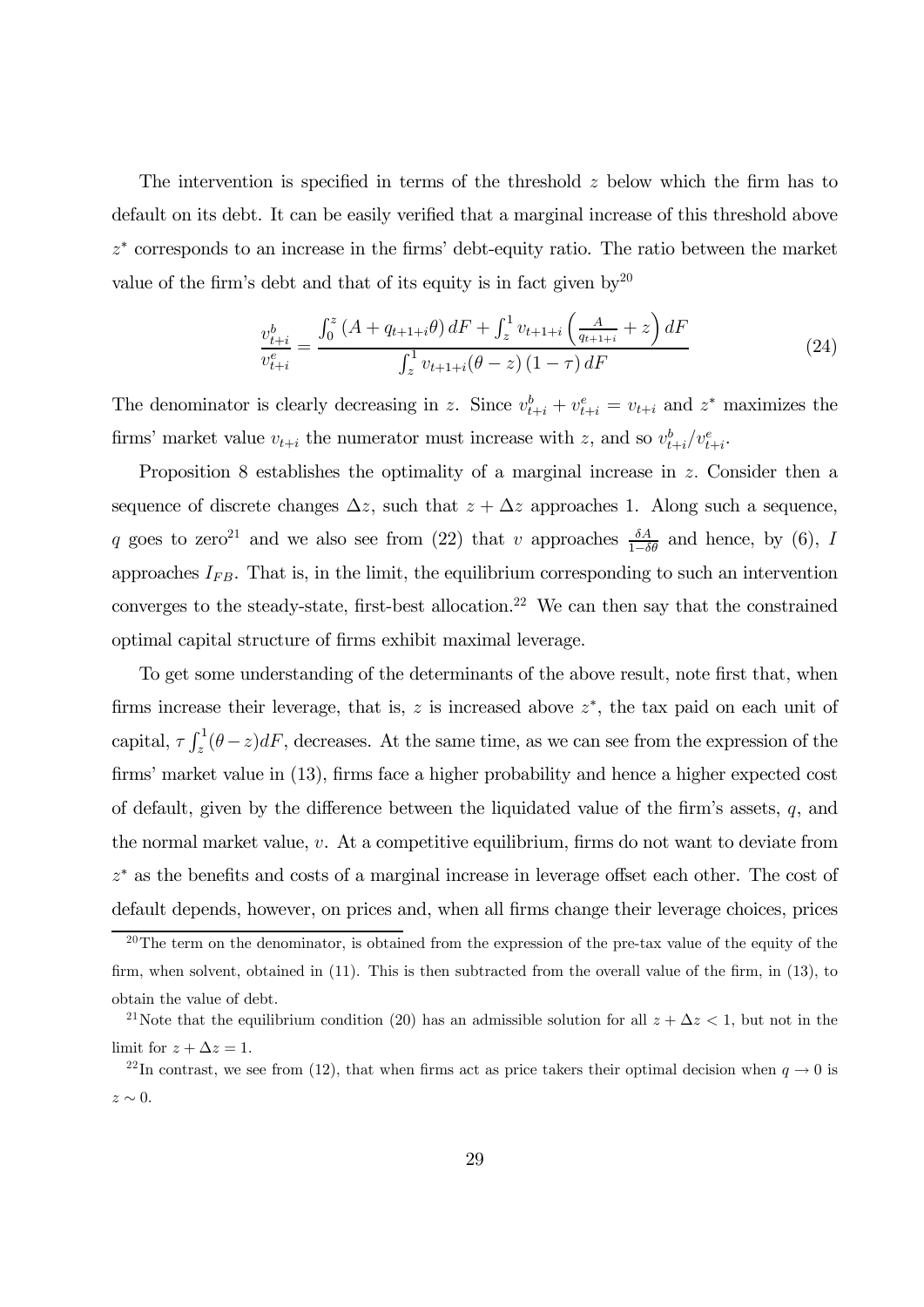The intervention is specified in terms of the threshold  $z$  below which the firm has to default on its debt. It can be easily verified that a marginal increase of this threshold above  $z^*$  corresponds to an increase in the firms' debt-equity ratio. The ratio between the market value of the firm's debt and that of its equity is in fact given  $bv^{20}$ 

$$
\frac{v_{t+i}^b}{v_{t+i}^e} = \frac{\int_0^z (A + q_{t+1+i}\theta) dF + \int_z^1 v_{t+1+i} \left(\frac{A}{q_{t+1+i}} + z\right) dF}{\int_z^1 v_{t+1+i}(\theta - z) (1 - \tau) dF}
$$
(24)

The denominator is clearly decreasing in z. Since  $v_{t+i}^b + v_{t+i}^e = v_{t+i}$  and  $z^*$  maximizes the firms' market value  $v_{t+i}$  the numerator must increase with z, and so  $v_{t+i}^b/v_{t+i}^e$ .

Proposition 8 establishes the optimality of a marginal increase in  $z$ . Consider then a sequence of discrete changes  $\Delta z$ , such that  $z + \Delta z$  approaches 1. Along such a sequence, q goes to zero<sup>21</sup> and we also see from (22) that v approaches  $\frac{\delta A}{1-\delta \theta}$  and hence, by (6), I approaches  $I_{FB}$ . That is, in the limit, the equilibrium corresponding to such an intervention converges to the steady-state, first-best allocation.<sup>22</sup> We can then say that the constrained optimal capital structure of firms exhibit maximal leverage.

To get some understanding of the determinants of the above result, note first that, when firms increase their leverage, that is,  $z$  is increased above  $z^*$ , the tax paid on each unit of capital,  $\tau \int_z^1 (\theta - z) dF$ , decreases. At the same time, as we can see from the expression of the firms' market value in (13), firms face a higher probability and hence a higher expected cost of default, given by the difference between the liquidated value of the firm's assets,  $q$ , and the normal market value,  $v$ . At a competitive equilibrium, firms do not want to deviate from  $z^*$  as the benefits and costs of a marginal increase in leverage offset each other. The cost of default depends, however, on prices and, when all firms change their leverage choices, prices

<sup>&</sup>lt;sup>20</sup>The term on the denominator, is obtained from the expression of the pre-tax value of the equity of the firm, when solvent, obtained in (11). This is then subtracted from the overall value of the firm, in (13), to obtain the value of debt.

<sup>&</sup>lt;sup>21</sup>Note that the equilibrium condition (20) has an admissible solution for all  $z + \Delta z < 1$ , but not in the limit for  $z + \Delta z = 1$ .

<sup>&</sup>lt;sup>22</sup>In contrast, we see from (12), that when firms act as price takers their optimal decision when  $q \to 0$  is  $z \sim 0$ .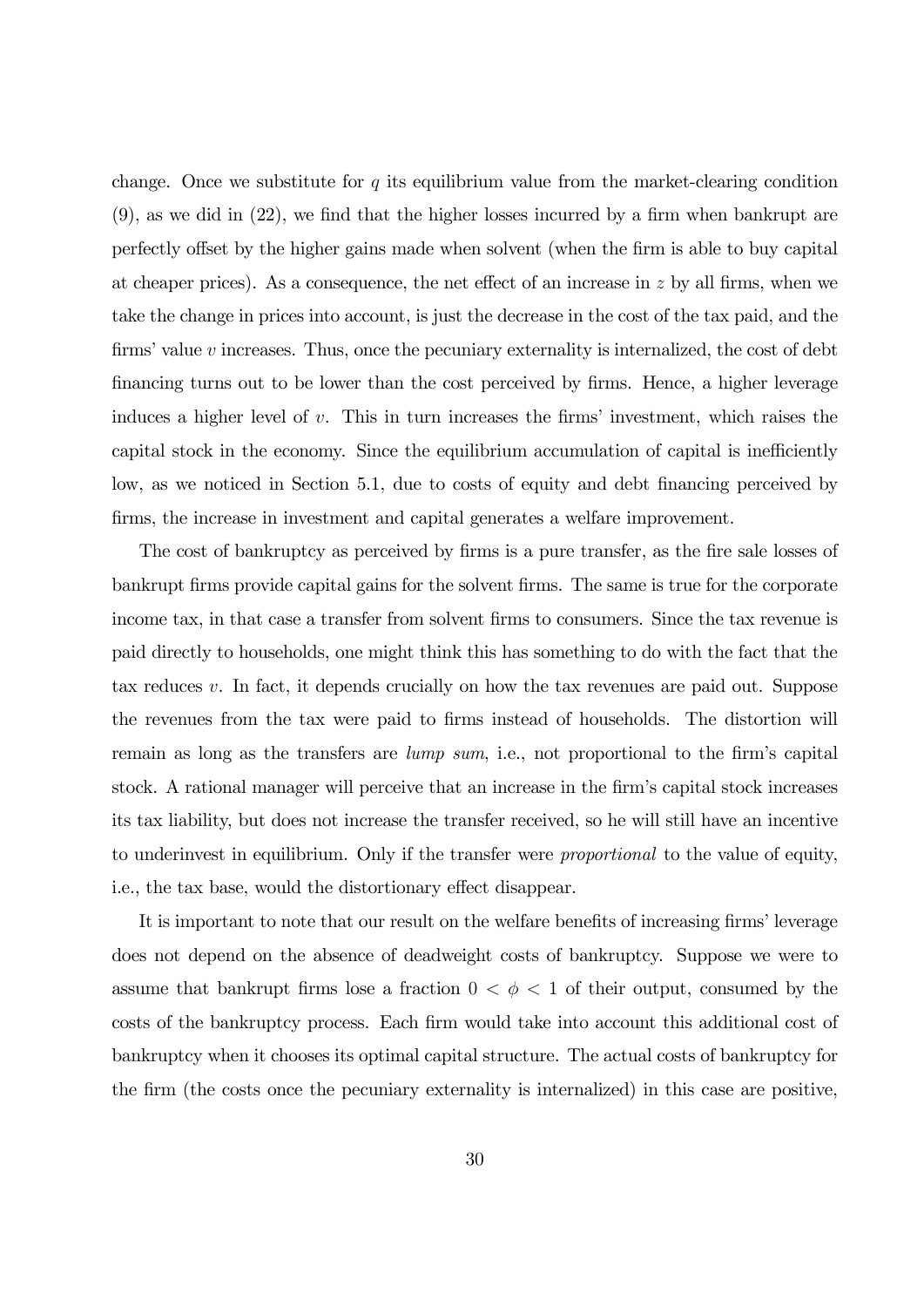change. Once we substitute for q its equilibrium value from the market-clearing condition (9), as we did in (22), we find that the higher losses incurred by a firm when bankrupt are perfectly offset by the higher gains made when solvent (when the firm is able to buy capital at cheaper prices). As a consequence, the net effect of an increase in  $z$  by all firms, when we take the change in prices into account, is just the decrease in the cost of the tax paid, and the firms' value  $v$  increases. Thus, once the pecuniary externality is internalized, the cost of debt financing turns out to be lower than the cost perceived by firms. Hence, a higher leverage induces a higher level of  $v$ . This in turn increases the firms' investment, which raises the capital stock in the economy. Since the equilibrium accumulation of capital is inefficiently low, as we noticed in Section 5.1, due to costs of equity and debt financing perceived by firms, the increase in investment and capital generates a welfare improvement.

The cost of bankruptcy as perceived by firms is a pure transfer, as the fire sale losses of bankrupt firms provide capital gains for the solvent firms. The same is true for the corporate income tax, in that case a transfer from solvent firms to consumers. Since the tax revenue is paid directly to households, one might think this has something to do with the fact that the tax reduces  $v$ . In fact, it depends crucially on how the tax revenues are paid out. Suppose the revenues from the tax were paid to firms instead of households. The distortion will remain as long as the transfers are lump sum, i.e., not proportional to the firm's capital stock. A rational manager will perceive that an increase in the firm's capital stock increases its tax liability, but does not increase the transfer received, so he will still have an incentive to underinvest in equilibrium. Only if the transfer were proportional to the value of equity, i.e., the tax base, would the distortionary effect disappear.

It is important to note that our result on the welfare benefits of increasing firms' leverage does not depend on the absence of deadweight costs of bankruptcy. Suppose we were to assume that bankrupt firms lose a fraction  $0 < \phi < 1$  of their output, consumed by the costs of the bankruptcy process. Each firm would take into account this additional cost of bankruptcy when it chooses its optimal capital structure. The actual costs of bankruptcy for the firm (the costs once the pecuniary externality is internalized) in this case are positive,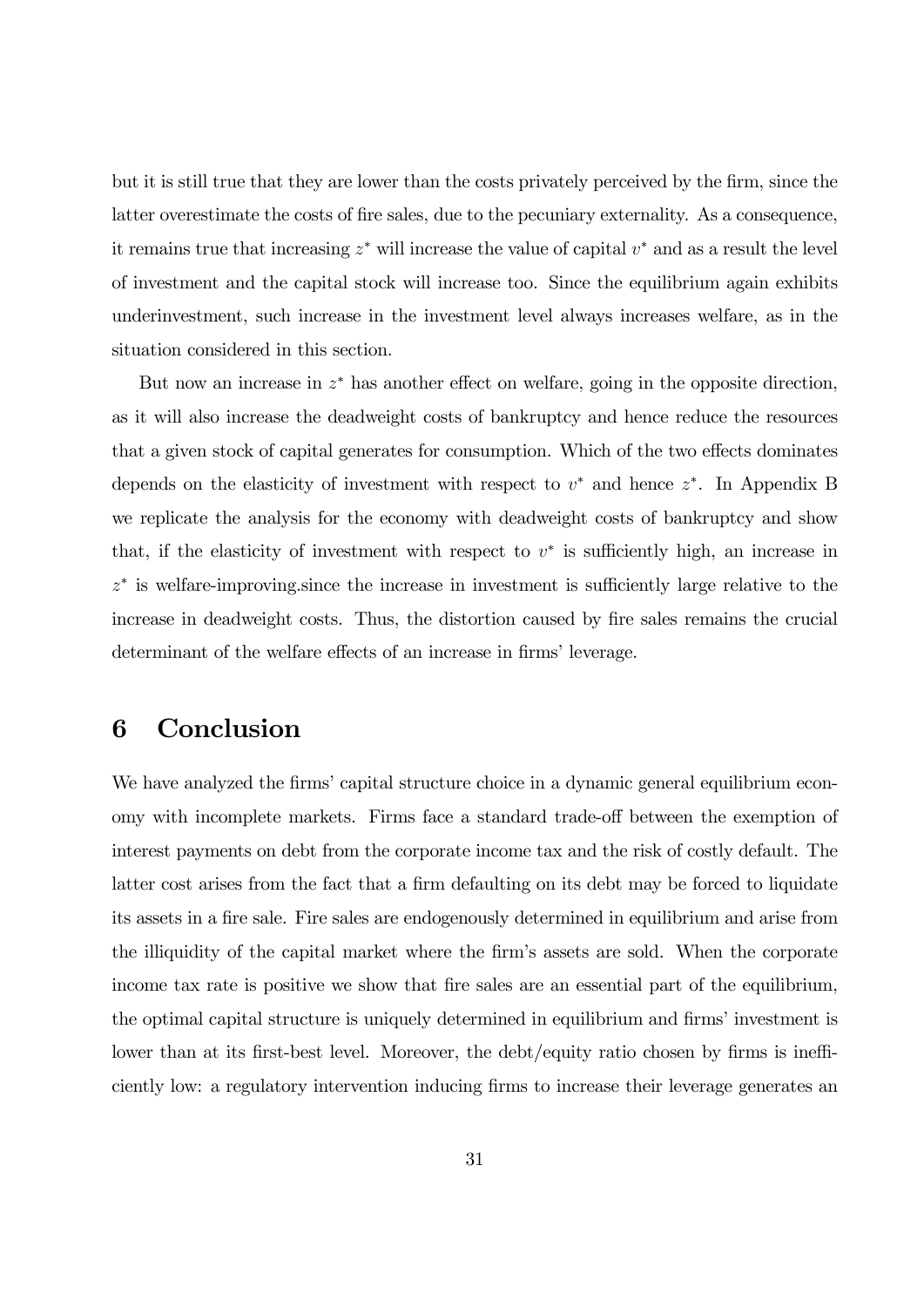but it is still true that they are lower than the costs privately perceived by the firm, since the latter overestimate the costs of fire sales, due to the pecuniary externality. As a consequence, it remains true that increasing  $z^*$  will increase the value of capital  $v^*$  and as a result the level of investment and the capital stock will increase too. Since the equilibrium again exhibits underinvestment, such increase in the investment level always increases welfare, as in the situation considered in this section.

But now an increase in  $z^*$  has another effect on welfare, going in the opposite direction, as it will also increase the deadweight costs of bankruptcy and hence reduce the resources that a given stock of capital generates for consumption. Which of the two effects dominates depends on the elasticity of investment with respect to  $v^*$  and hence  $z^*$ . In Appendix B we replicate the analysis for the economy with deadweight costs of bankruptcy and show that, if the elasticity of investment with respect to  $v^*$  is sufficiently high, an increase in  $z^*$  is welfare-improving since the increase in investment is sufficiently large relative to the increase in deadweight costs. Thus, the distortion caused by fire sales remains the crucial determinant of the welfare effects of an increase in firms' leverage.

# 6 Conclusion

We have analyzed the firms' capital structure choice in a dynamic general equilibrium economy with incomplete markets. Firms face a standard trade-off between the exemption of interest payments on debt from the corporate income tax and the risk of costly default. The latter cost arises from the fact that a firm defaulting on its debt may be forced to liquidate its assets in a fire sale. Fire sales are endogenously determined in equilibrium and arise from the illiquidity of the capital market where the firm's assets are sold. When the corporate income tax rate is positive we show that fire sales are an essential part of the equilibrium, the optimal capital structure is uniquely determined in equilibrium and firms' investment is lower than at its first-best level. Moreover, the debt/equity ratio chosen by firms is inefficiently low: a regulatory intervention inducing firms to increase their leverage generates an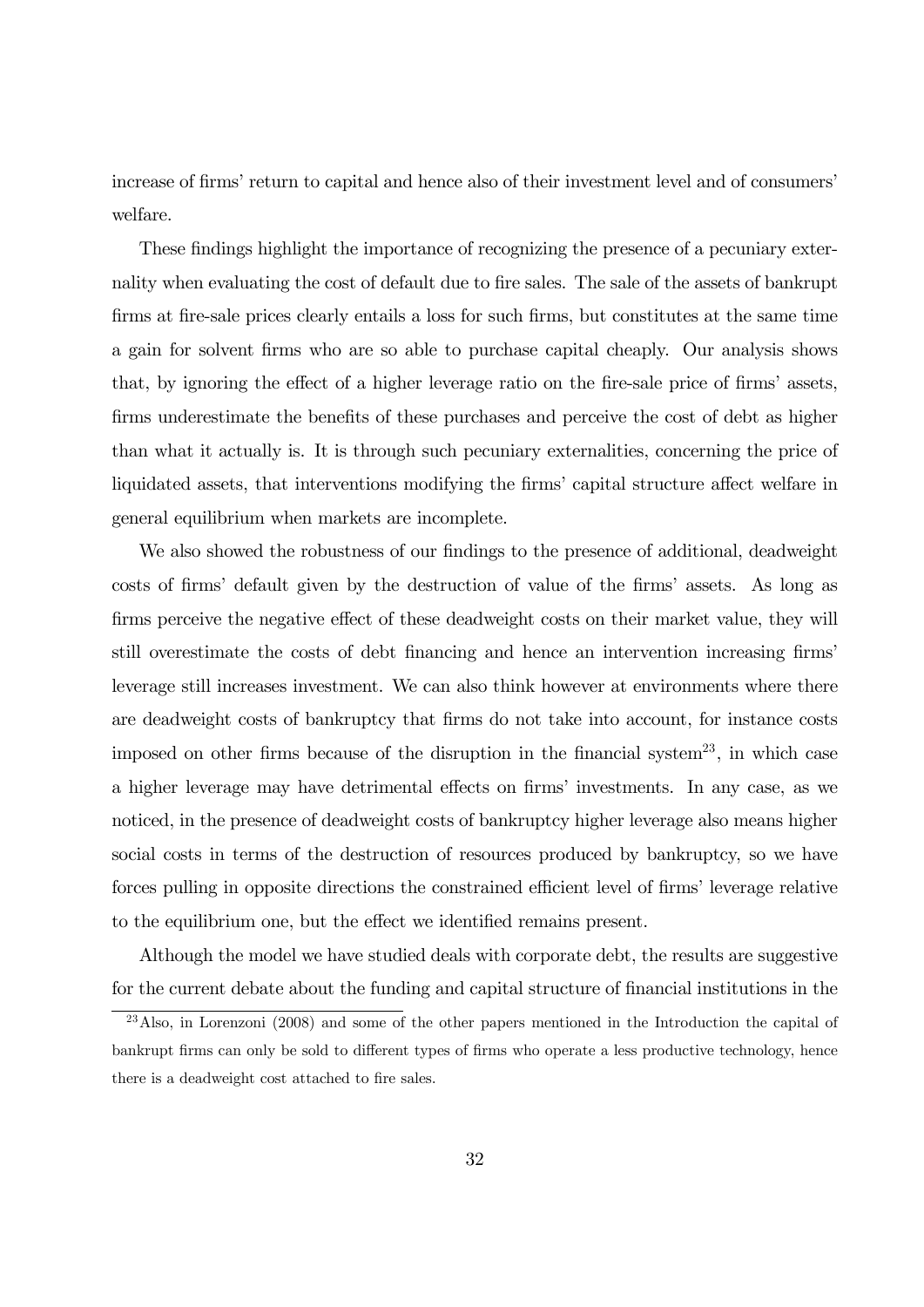increase of firms' return to capital and hence also of their investment level and of consumers' welfare.

These findings highlight the importance of recognizing the presence of a pecuniary externality when evaluating the cost of default due to fire sales. The sale of the assets of bankrupt firms at fire-sale prices clearly entails a loss for such firms, but constitutes at the same time a gain for solvent firms who are so able to purchase capital cheaply. Our analysis shows that, by ignoring the effect of a higher leverage ratio on the fire-sale price of firms' assets, firms underestimate the benefits of these purchases and perceive the cost of debt as higher than what it actually is. It is through such pecuniary externalities, concerning the price of liquidated assets, that interventions modifying the firms' capital structure affect welfare in general equilibrium when markets are incomplete.

We also showed the robustness of our findings to the presence of additional, deadweight costs of firms' default given by the destruction of value of the firms' assets. As long as firms perceive the negative effect of these deadweight costs on their market value, they will still overestimate the costs of debt financing and hence an intervention increasing firms' leverage still increases investment. We can also think however at environments where there are deadweight costs of bankruptcy that firms do not take into account, for instance costs imposed on other firms because of the disruption in the financial system<sup>23</sup>, in which case a higher leverage may have detrimental effects on firms' investments. In any case, as we noticed, in the presence of deadweight costs of bankruptcy higher leverage also means higher social costs in terms of the destruction of resources produced by bankruptcy, so we have forces pulling in opposite directions the constrained efficient level of firms' leverage relative to the equilibrium one, but the effect we identified remains present.

Although the model we have studied deals with corporate debt, the results are suggestive for the current debate about the funding and capital structure of financial institutions in the

 $^{23}$ Also, in Lorenzoni (2008) and some of the other papers mentioned in the Introduction the capital of bankrupt firms can only be sold to different types of firms who operate a less productive technology, hence there is a deadweight cost attached to fire sales.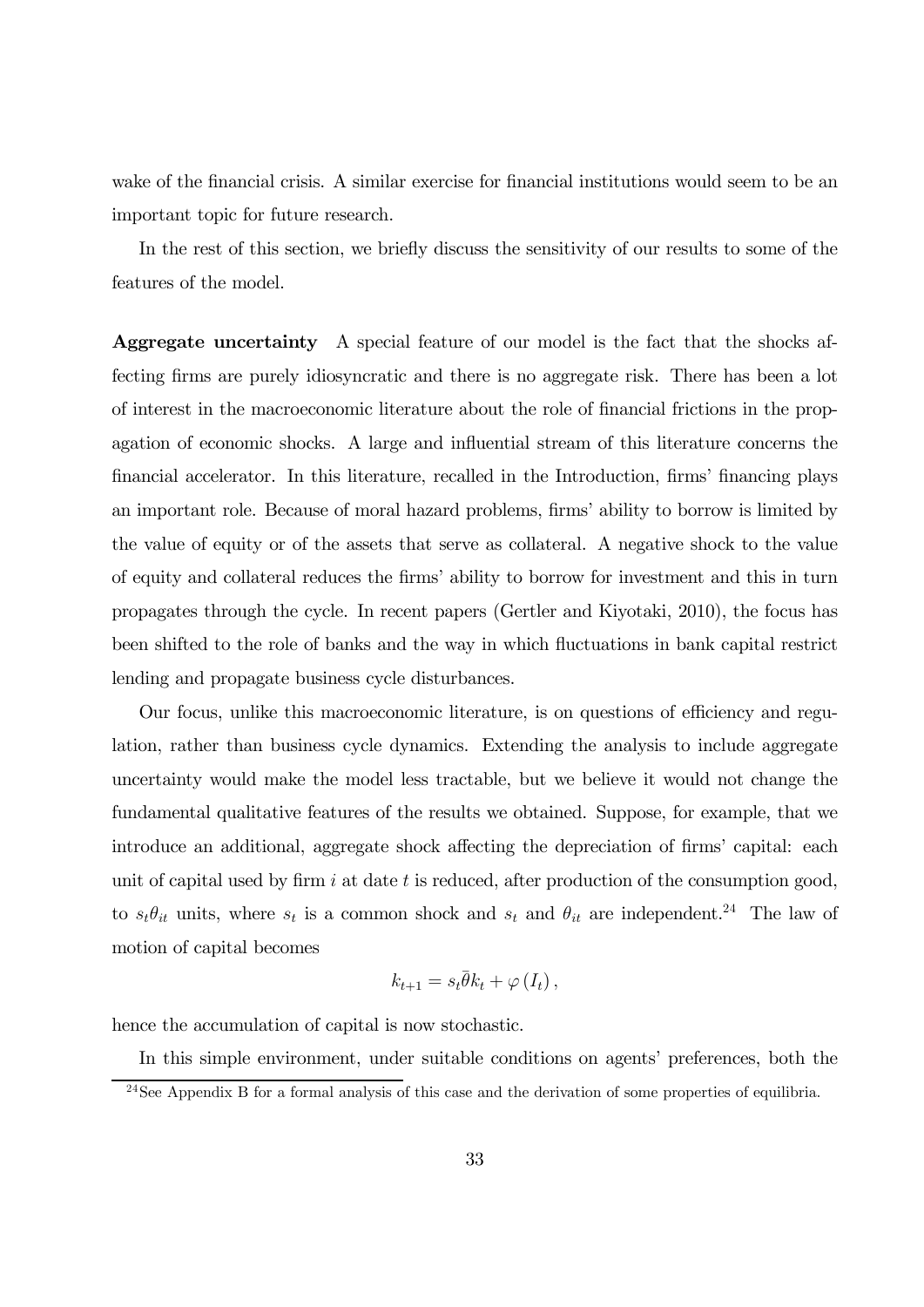wake of the financial crisis. A similar exercise for financial institutions would seem to be an important topic for future research.

In the rest of this section, we briefly discuss the sensitivity of our results to some of the features of the model.

Aggregate uncertainty A special feature of our model is the fact that the shocks affecting firms are purely idiosyncratic and there is no aggregate risk. There has been a lot of interest in the macroeconomic literature about the role of financial frictions in the propagation of economic shocks. A large and influential stream of this literature concerns the financial accelerator. In this literature, recalled in the Introduction, firms' financing plays an important role. Because of moral hazard problems, firms' ability to borrow is limited by the value of equity or of the assets that serve as collateral. A negative shock to the value of equity and collateral reduces the firms' ability to borrow for investment and this in turn propagates through the cycle. In recent papers (Gertler and Kiyotaki, 2010), the focus has been shifted to the role of banks and the way in which fluctuations in bank capital restrict lending and propagate business cycle disturbances.

Our focus, unlike this macroeconomic literature, is on questions of efficiency and regulation, rather than business cycle dynamics. Extending the analysis to include aggregate uncertainty would make the model less tractable, but we believe it would not change the fundamental qualitative features of the results we obtained. Suppose, for example, that we introduce an additional, aggregate shock affecting the depreciation of firms' capital: each unit of capital used by firm  $i$  at date  $t$  is reduced, after production of the consumption good, to  $s_t \theta_{it}$  units, where  $s_t$  is a common shock and  $s_t$  and  $\theta_{it}$  are independent.<sup>24</sup> The law of motion of capital becomes

$$
k_{t+1} = s_t \bar{\theta} k_t + \varphi(I_t) \,,
$$

hence the accumulation of capital is now stochastic.

In this simple environment, under suitable conditions on agents' preferences, both the

<sup>&</sup>lt;sup>24</sup>See Appendix B for a formal analysis of this case and the derivation of some properties of equilibria.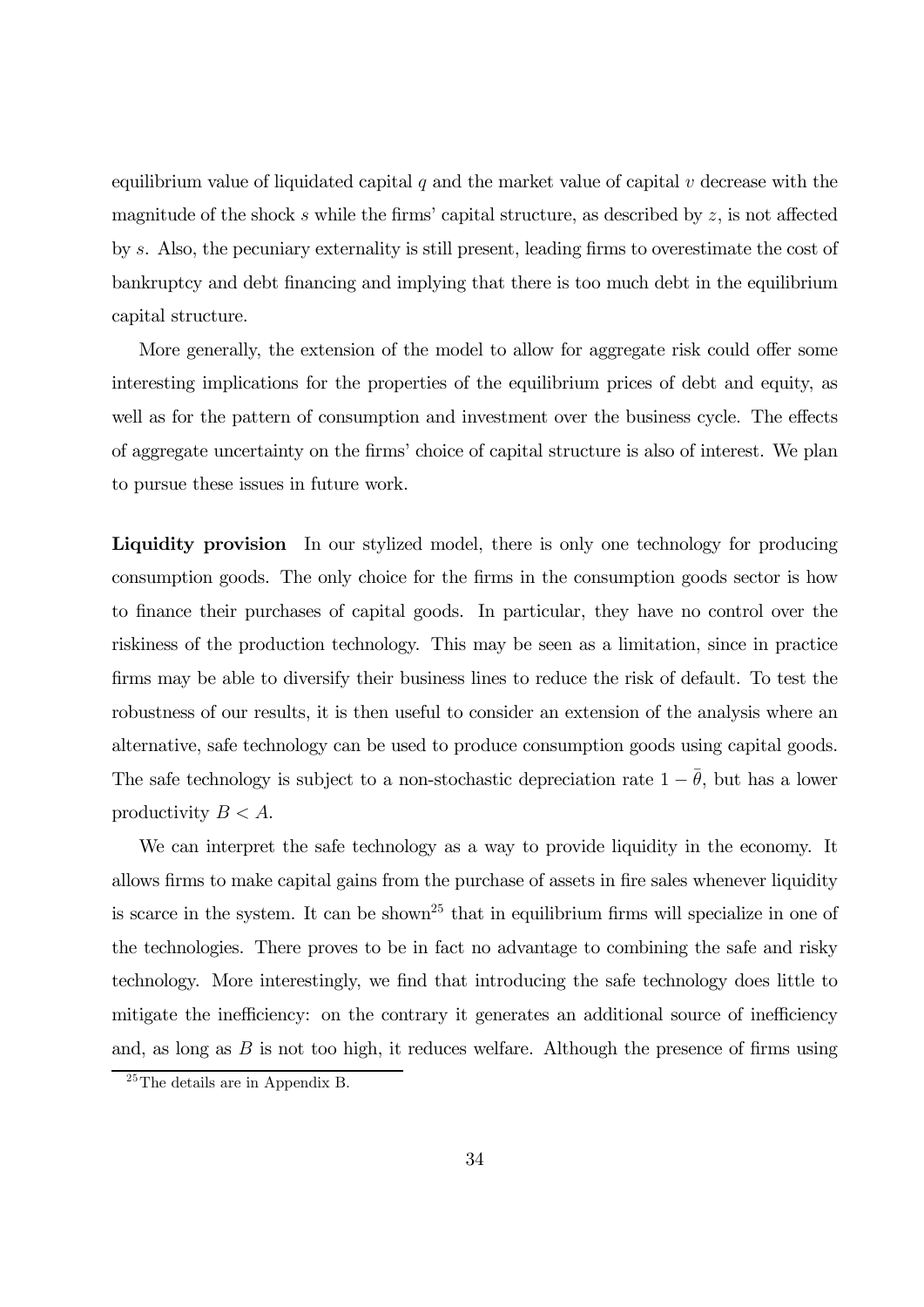equilibrium value of liquidated capital  $q$  and the market value of capital  $v$  decrease with the magnitude of the shock  $s$  while the firms' capital structure, as described by  $z$ , is not affected by . Also, the pecuniary externality is still present, leading firms to overestimate the cost of bankruptcy and debt financing and implying that there is too much debt in the equilibrium capital structure.

More generally, the extension of the model to allow for aggregate risk could offer some interesting implications for the properties of the equilibrium prices of debt and equity, as well as for the pattern of consumption and investment over the business cycle. The effects of aggregate uncertainty on the firms' choice of capital structure is also of interest. We plan to pursue these issues in future work.

Liquidity provision In our stylized model, there is only one technology for producing consumption goods. The only choice for the firms in the consumption goods sector is how to finance their purchases of capital goods. In particular, they have no control over the riskiness of the production technology. This may be seen as a limitation, since in practice firms may be able to diversify their business lines to reduce the risk of default. To test the robustness of our results, it is then useful to consider an extension of the analysis where an alternative, safe technology can be used to produce consumption goods using capital goods. The safe technology is subject to a non-stochastic depreciation rate  $1 - \overline{\theta}$ , but has a lower productivity  $B < A$ .

We can interpret the safe technology as a way to provide liquidity in the economy. It allows firms to make capital gains from the purchase of assets in fire sales whenever liquidity is scarce in the system. It can be shown<sup>25</sup> that in equilibrium firms will specialize in one of the technologies. There proves to be in fact no advantage to combining the safe and risky technology. More interestingly, we find that introducing the safe technology does little to mitigate the inefficiency: on the contrary it generates an additional source of inefficiency and, as long as  $B$  is not too high, it reduces welfare. Although the presence of firms using

<sup>&</sup>lt;sup>25</sup>The details are in Appendix B.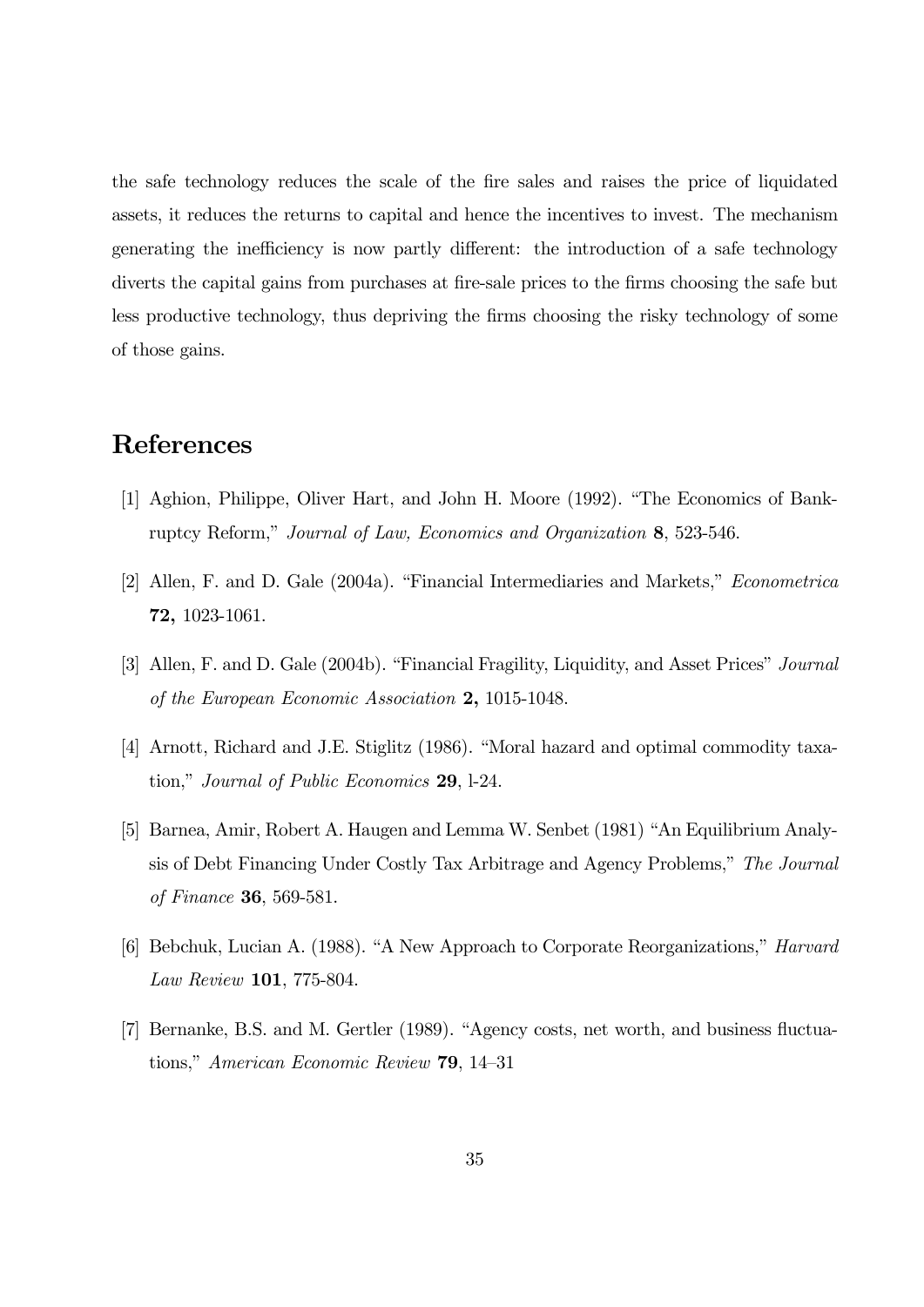the safe technology reduces the scale of the fire sales and raises the price of liquidated assets, it reduces the returns to capital and hence the incentives to invest. The mechanism generating the inefficiency is now partly different: the introduction of a safe technology diverts the capital gains from purchases at fire-sale prices to the firms choosing the safe but less productive technology, thus depriving the firms choosing the risky technology of some of those gains.

# References

- [1] Aghion, Philippe, Oliver Hart, and John H. Moore (1992). "The Economics of Bankruptcy Reform," Journal of Law, Economics and Organization 8, 523-546.
- [2] Allen, F. and D. Gale (2004a). "Financial Intermediaries and Markets," Econometrica 72, 1023-1061.
- [3] Allen, F. and D. Gale (2004b). "Financial Fragility, Liquidity, and Asset Prices" Journal of the European Economic Association 2, 1015-1048.
- [4] Arnott, Richard and J.E. Stiglitz (1986). "Moral hazard and optimal commodity taxation," Journal of Public Economics 29, l-24.
- [5] Barnea, Amir, Robert A. Haugen and Lemma W. Senbet (1981) "An Equilibrium Analysis of Debt Financing Under Costly Tax Arbitrage and Agency Problems," The Journal of Finance 36, 569-581.
- [6] Bebchuk, Lucian A. (1988). "A New Approach to Corporate Reorganizations," Harvard Law Review 101, 775-804.
- [7] Bernanke, B.S. and M. Gertler (1989). "Agency costs, net worth, and business fluctuations," American Economic Review 79, 14—31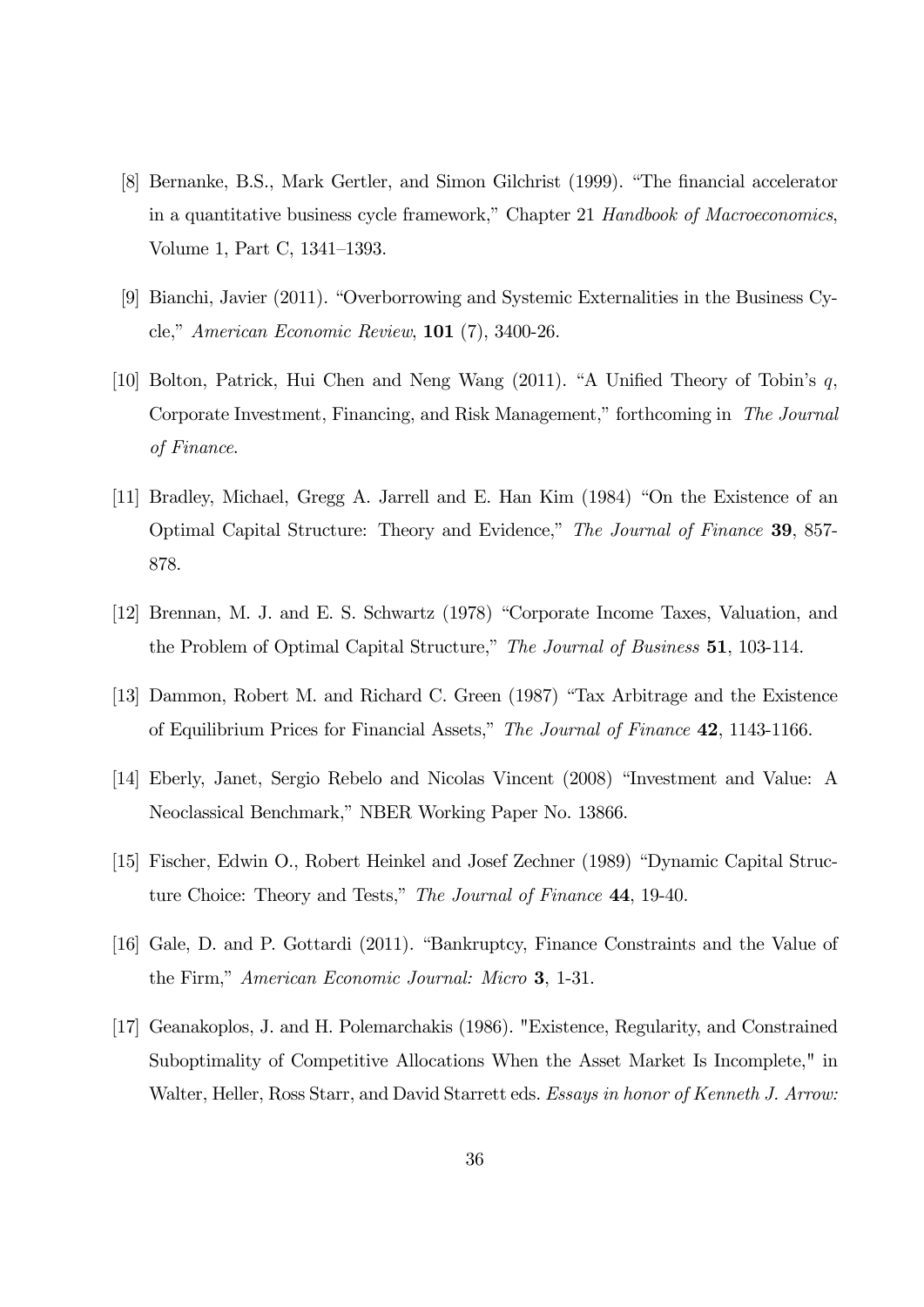- [8] Bernanke, B.S., Mark Gertler, and Simon Gilchrist (1999). "The financial accelerator in a quantitative business cycle framework," Chapter 21 Handbook of Macroeconomics, Volume 1, Part C, 1341—1393.
- [9] Bianchi, Javier (2011). "Overborrowing and Systemic Externalities in the Business Cycle," American Economic Review, 101 (7), 3400-26.
- [10] Bolton, Patrick, Hui Chen and Neng Wang  $(2011)$ . "A Unified Theory of Tobin's  $q$ , Corporate Investment, Financing, and Risk Management," forthcoming in The Journal of Finance.
- [11] Bradley, Michael, Gregg A. Jarrell and E. Han Kim (1984) "On the Existence of an Optimal Capital Structure: Theory and Evidence," The Journal of Finance 39, 857- 878.
- [12] Brennan, M. J. and E. S. Schwartz (1978) "Corporate Income Taxes, Valuation, and the Problem of Optimal Capital Structure," The Journal of Business 51, 103-114.
- [13] Dammon, Robert M. and Richard C. Green (1987) "Tax Arbitrage and the Existence of Equilibrium Prices for Financial Assets," The Journal of Finance 42, 1143-1166.
- [14] Eberly, Janet, Sergio Rebelo and Nicolas Vincent (2008) "Investment and Value: A Neoclassical Benchmark," NBER Working Paper No. 13866.
- [15] Fischer, Edwin O., Robert Heinkel and Josef Zechner (1989) "Dynamic Capital Structure Choice: Theory and Tests," The Journal of Finance 44, 19-40.
- [16] Gale, D. and P. Gottardi (2011). "Bankruptcy, Finance Constraints and the Value of the Firm," American Economic Journal: Micro 3, 1-31.
- [17] Geanakoplos, J. and H. Polemarchakis (1986). "Existence, Regularity, and Constrained Suboptimality of Competitive Allocations When the Asset Market Is Incomplete," in Walter, Heller, Ross Starr, and David Starrett eds. Essays in honor of Kenneth J. Arrow: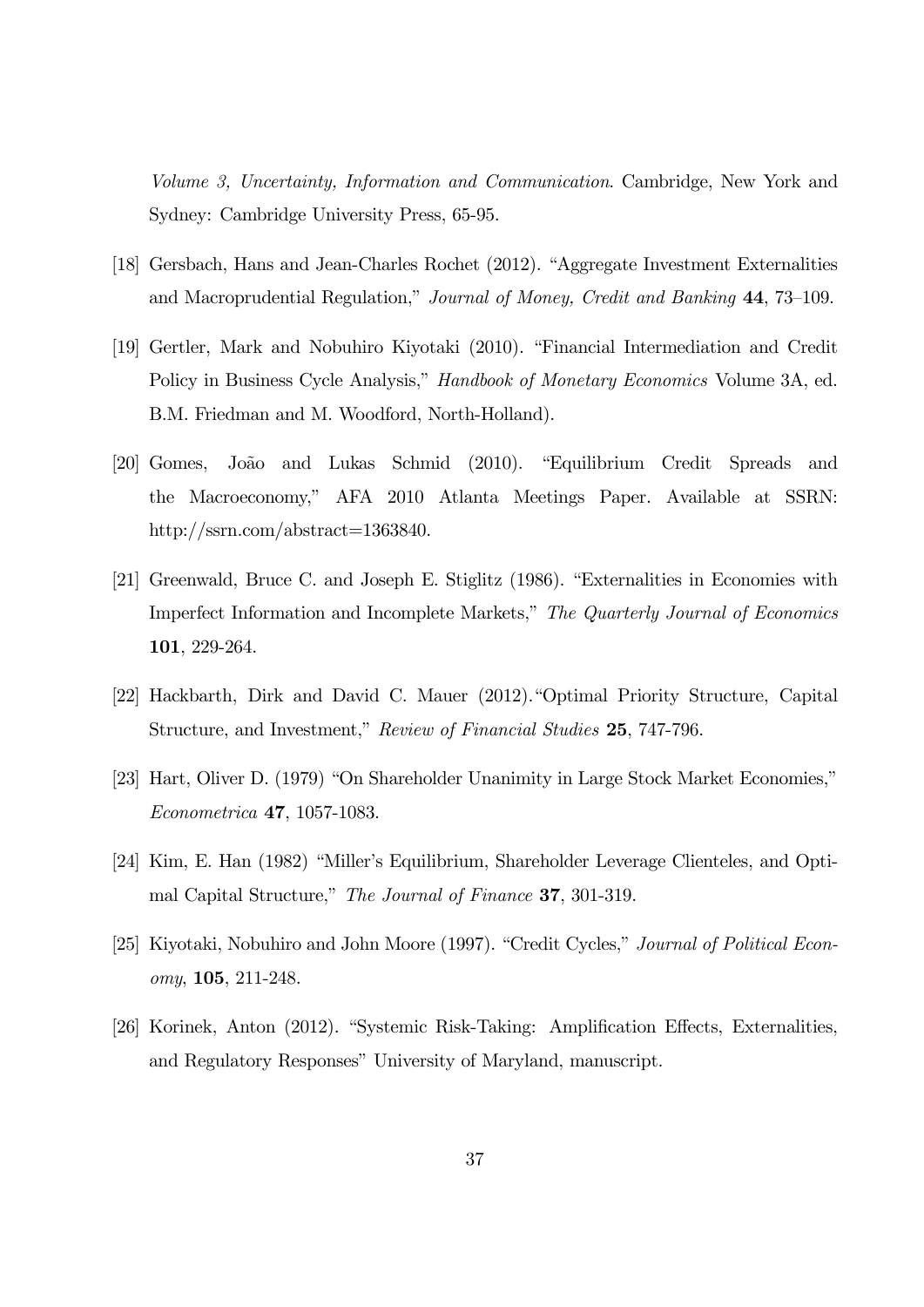Volume 3, Uncertainty, Information and Communication. Cambridge, New York and Sydney: Cambridge University Press, 65-95.

- [18] Gersbach, Hans and Jean-Charles Rochet (2012). "Aggregate Investment Externalities and Macroprudential Regulation," Journal of Money, Credit and Banking 44, 73—109.
- [19] Gertler, Mark and Nobuhiro Kiyotaki (2010). "Financial Intermediation and Credit Policy in Business Cycle Analysis," Handbook of Monetary Economics Volume 3A, ed. B.M. Friedman and M. Woodford, North-Holland).
- [20] Gomes, João and Lukas Schmid (2010). "Equilibrium Credit Spreads and the Macroeconomy," AFA 2010 Atlanta Meetings Paper. Available at SSRN: http://ssrn.com/abstract=1363840.
- [21] Greenwald, Bruce C. and Joseph E. Stiglitz (1986). "Externalities in Economies with Imperfect Information and Incomplete Markets," The Quarterly Journal of Economics 101, 229-264.
- [22] Hackbarth, Dirk and David C. Mauer (2012)."Optimal Priority Structure, Capital Structure, and Investment," Review of Financial Studies 25, 747-796.
- [23] Hart, Oliver D. (1979) "On Shareholder Unanimity in Large Stock Market Economies," Econometrica 47, 1057-1083.
- [24] Kim, E. Han (1982) "Miller's Equilibrium, Shareholder Leverage Clienteles, and Optimal Capital Structure," The Journal of Finance 37, 301-319.
- [25] Kiyotaki, Nobuhiro and John Moore (1997). "Credit Cycles," Journal of Political Economy, 105, 211-248.
- [26] Korinek, Anton (2012). "Systemic Risk-Taking: Amplification Effects, Externalities, and Regulatory Responses" University of Maryland, manuscript.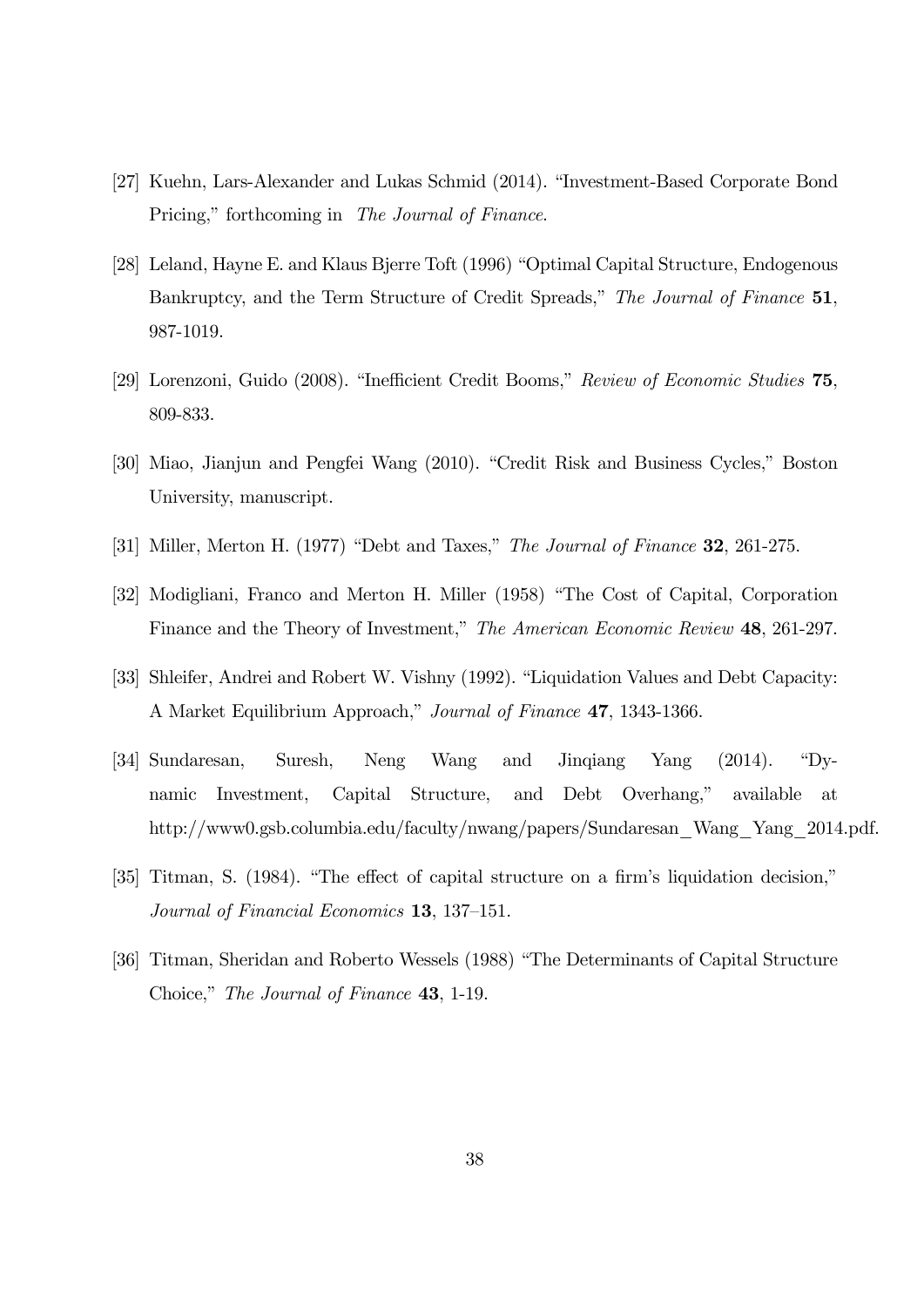- [27] Kuehn, Lars-Alexander and Lukas Schmid (2014). "Investment-Based Corporate Bond Pricing," forthcoming in The Journal of Finance.
- [28] Leland, Hayne E. and Klaus Bjerre Toft (1996) "Optimal Capital Structure, Endogenous Bankruptcy, and the Term Structure of Credit Spreads," The Journal of Finance 51, 987-1019.
- [29] Lorenzoni, Guido (2008). "Inefficient Credit Booms," Review of Economic Studies 75, 809-833.
- [30] Miao, Jianjun and Pengfei Wang (2010). "Credit Risk and Business Cycles," Boston University, manuscript.
- [31] Miller, Merton H. (1977) "Debt and Taxes," The Journal of Finance 32, 261-275.
- [32] Modigliani, Franco and Merton H. Miller (1958) "The Cost of Capital, Corporation Finance and the Theory of Investment," The American Economic Review 48, 261-297.
- [33] Shleifer, Andrei and Robert W. Vishny (1992). "Liquidation Values and Debt Capacity: A Market Equilibrium Approach," Journal of Finance 47, 1343-1366.
- [34] Sundaresan, Suresh, Neng Wang and Jinqiang Yang (2014). "Dynamic Investment, Capital Structure, and Debt Overhang," available at http://www0.gsb.columbia.edu/faculty/nwang/papers/Sundaresan\_Wang\_Yang\_2014.pdf.
- [35] Titman, S. (1984). "The effect of capital structure on a firm's liquidation decision," Journal of Financial Economics 13, 137—151.
- [36] Titman, Sheridan and Roberto Wessels (1988) "The Determinants of Capital Structure Choice," The Journal of Finance 43, 1-19.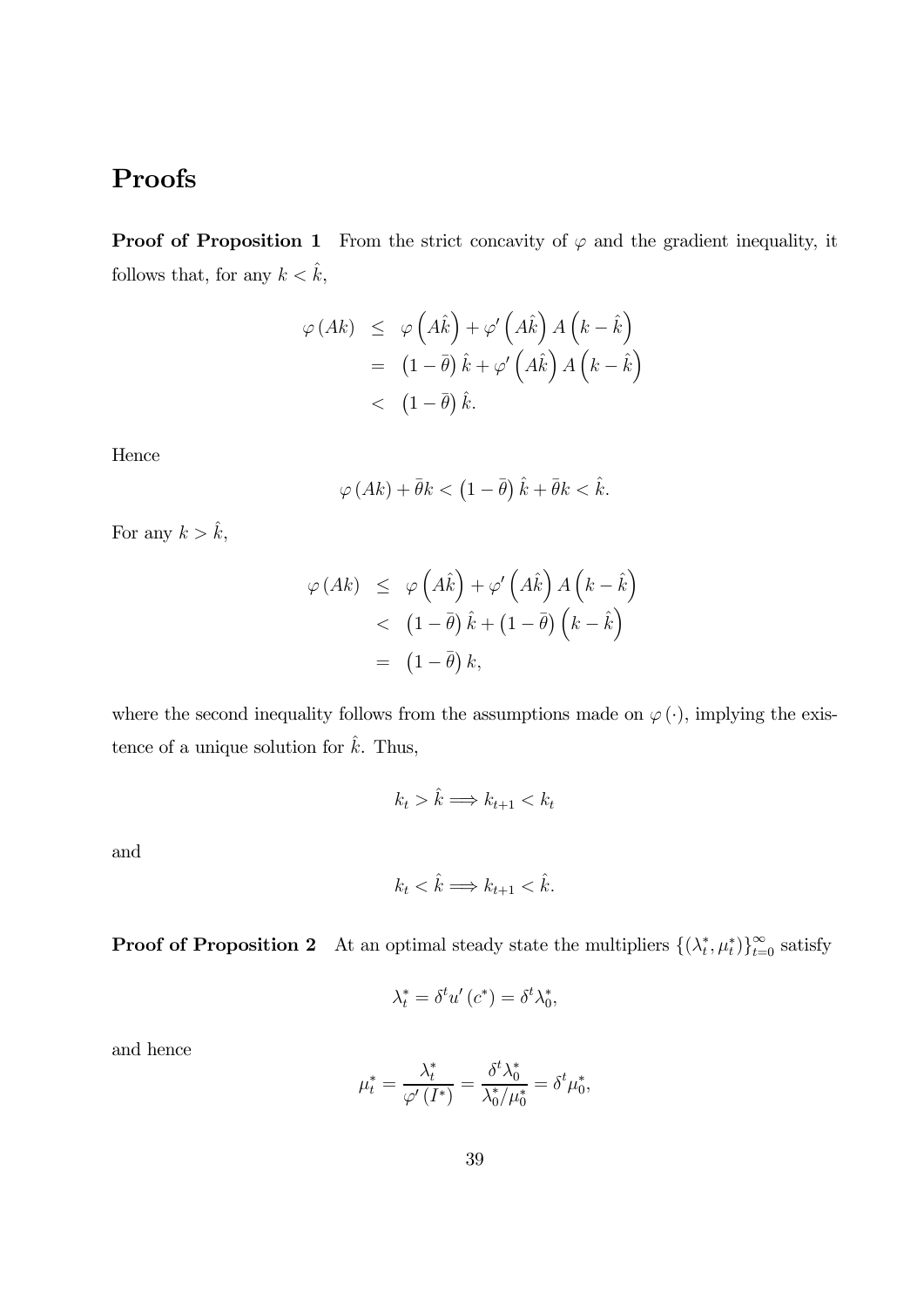# Proofs

**Proof of Proposition 1** From the strict concavity of  $\varphi$  and the gradient inequality, it follows that, for any  $k < \hat{k}$ ,

$$
\varphi(Ak) \leq \varphi(A\hat{k}) + \varphi'(A\hat{k}) A(k - \hat{k})
$$
  
=  $(1 - \bar{\theta}) \hat{k} + \varphi'(A\hat{k}) A(k - \hat{k})$   
<  $(1 - \bar{\theta}) \hat{k}$ .

Hence

$$
\varphi\left(Ak\right) + \bar{\theta}k < \left(1 - \bar{\theta}\right)\hat{k} + \bar{\theta}k < \hat{k}.
$$

For any  $k > \hat{k}$ ,

$$
\varphi\left(Ak\right) \leq \varphi\left(A\hat{k}\right) + \varphi'\left(A\hat{k}\right) A\left(k - \hat{k}\right) \n< \left(1 - \bar{\theta}\right)\hat{k} + \left(1 - \bar{\theta}\right)\left(k - \hat{k}\right) \n= \left(1 - \bar{\theta}\right)k,
$$

where the second inequality follows from the assumptions made on  $\varphi(\cdot)$ , implying the existence of a unique solution for  $\hat{k}$ . Thus,

$$
k_t > \hat{k} \Longrightarrow k_{t+1} < k_t
$$

and

$$
k_t < \hat{k} \Longrightarrow k_{t+1} < \hat{k}.
$$

**Proof of Proposition 2** At an optimal steady state the multipliers  $\{(\lambda_t^*, \mu_t^*)\}_{t=0}^{\infty}$  satisfy

$$
\lambda_t^* = \delta^t u' (c^*) = \delta^t \lambda_0^*,
$$

and hence

$$
\mu_t^* = \frac{\lambda_t^*}{\varphi'\left(I^*\right)} = \frac{\delta^t \lambda_0^*}{\lambda_0^*/\mu_0^*} = \delta^t \mu_0^*,
$$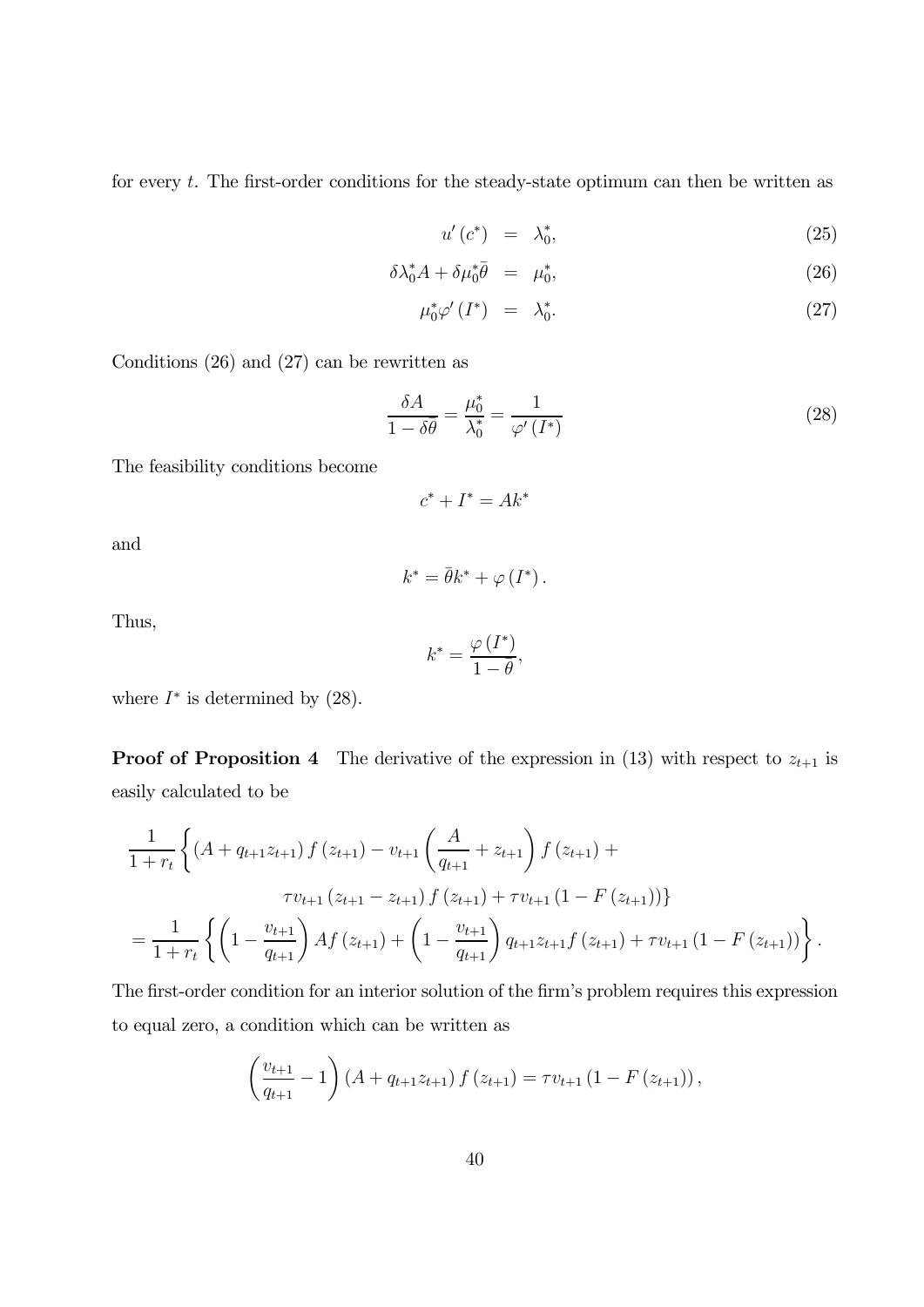for every  $t$ . The first-order conditions for the steady-state optimum can then be written as

$$
u'(c^*) = \lambda_0^*, \tag{25}
$$

$$
\delta \lambda_0^* A + \delta \mu_0^* \bar{\theta} = \mu_0^*, \tag{26}
$$

$$
\mu_0^* \varphi'(I^*) = \lambda_0^*.
$$
\n(27)

Conditions (26) and (27) can be rewritten as

$$
\frac{\delta A}{1 - \delta \bar{\theta}} = \frac{\mu_0^*}{\lambda_0^*} = \frac{1}{\varphi'(I^*)}
$$
\n(28)

The feasibility conditions become

$$
c^* + I^* = Ak^*
$$

and

$$
k^* = \bar{\theta}k^* + \varphi(I^*).
$$

Thus,

$$
k^* = \frac{\varphi\left(I^*\right)}{1-\bar{\theta}},
$$

where  $I^*$  is determined by  $(28)$ .

**Proof of Proposition 4** The derivative of the expression in (13) with respect to  $z_{t+1}$  is easily calculated to be

$$
\frac{1}{1+r_t} \left\{ (A+q_{t+1}z_{t+1}) f(z_{t+1}) - v_{t+1} \left( \frac{A}{q_{t+1}} + z_{t+1} \right) f(z_{t+1}) + \frac{\tau v_{t+1} (z_{t+1} - z_{t+1}) f(z_{t+1}) + \tau v_{t+1} (1 - F(z_{t+1})) }{\tau v_{t+1} (z_{t+1} - z_{t+1}) f(z_{t+1}) + \tau v_{t+1} (1 - F(z_{t+1})) } \right\}.
$$

The first-order condition for an interior solution of the firm's problem requires this expression to equal zero, a condition which can be written as

$$
\left(\frac{v_{t+1}}{q_{t+1}}-1\right)\left(A+q_{t+1}z_{t+1}\right)f\left(z_{t+1}\right)=\tau v_{t+1}\left(1-F\left(z_{t+1}\right)\right),\,
$$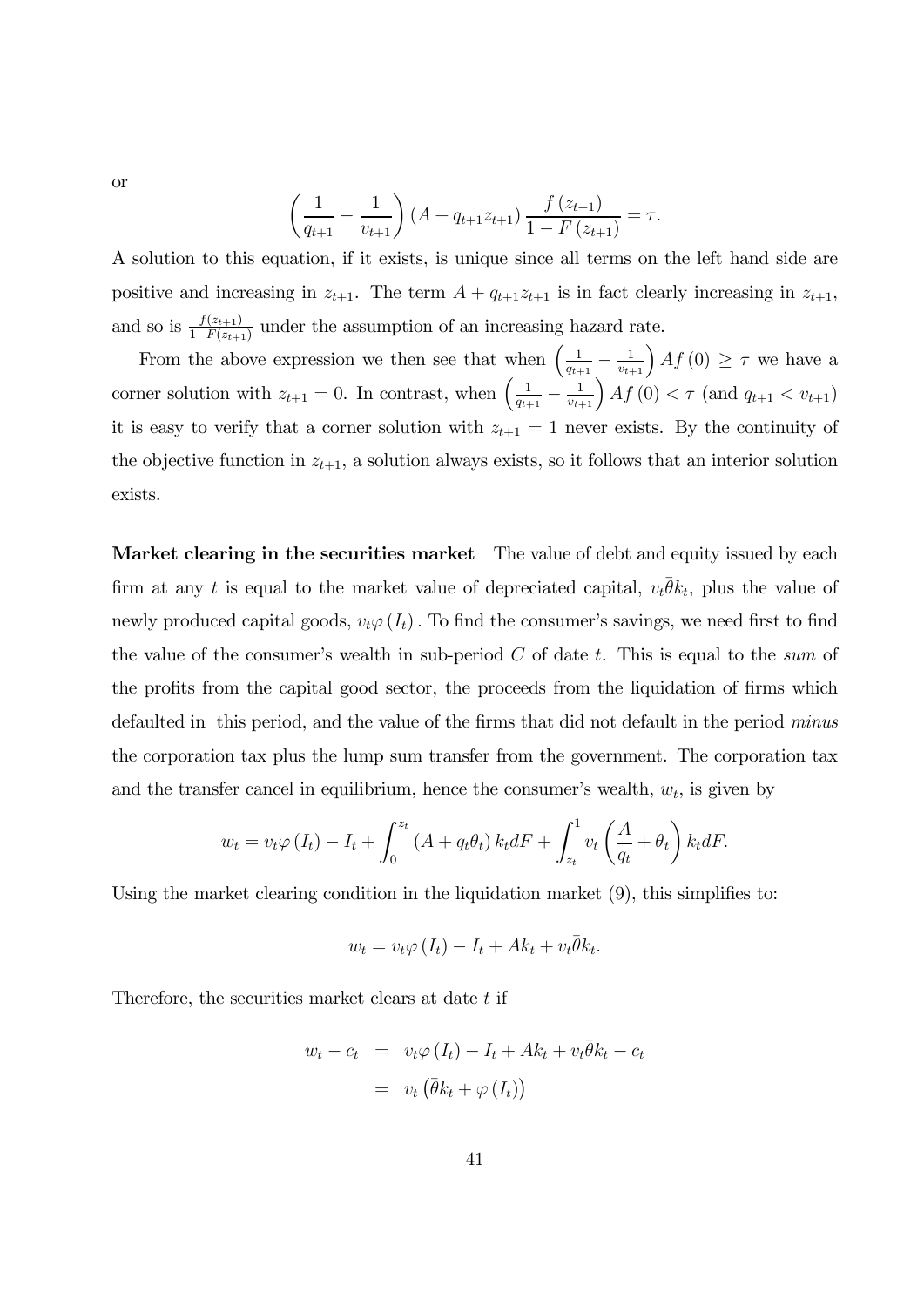or

$$
\left(\frac{1}{q_{t+1}} - \frac{1}{v_{t+1}}\right) \left(A + q_{t+1} z_{t+1}\right) \frac{f(z_{t+1})}{1 - F(z_{t+1})} = \tau.
$$

A solution to this equation, if it exists, is unique since all terms on the left hand side are positive and increasing in  $z_{t+1}$ . The term  $A + q_{t+1}z_{t+1}$  is in fact clearly increasing in  $z_{t+1}$ , and so is  $\frac{f(z_{t+1})}{1-F(z_{t+1})}$  under the assumption of an increasing hazard rate.

From the above expression we then see that when  $\left(\frac{1}{q_{t+1}} - \frac{1}{v_{t+1}}\right) Af(0) \geq \tau$  we have a corner solution with  $z_{t+1} = 0$ . In contrast, when  $\left(\frac{1}{q_{t+1}} - \frac{1}{v_{t+1}}\right) A f(0) < \tau$  (and  $q_{t+1} < v_{t+1}$ ) it is easy to verify that a corner solution with  $z_{t+1} = 1$  never exists. By the continuity of the objective function in  $z_{t+1}$ , a solution always exists, so it follows that an interior solution exists.

Market clearing in the securities market The value of debt and equity issued by each firm at any t is equal to the market value of depreciated capital,  $v_t\overline{\theta}k_t$ , plus the value of newly produced capital goods,  $v_t\varphi(I_t)$ . To find the consumer's savings, we need first to find the value of the consumer's wealth in sub-period  $C$  of date  $t$ . This is equal to the sum of the profits from the capital good sector, the proceeds from the liquidation of firms which defaulted in this period, and the value of the firms that did not default in the period minus the corporation tax plus the lump sum transfer from the government. The corporation tax and the transfer cancel in equilibrium, hence the consumer's wealth,  $w_t$ , is given by

$$
w_t = v_t \varphi(I_t) - I_t + \int_0^{z_t} (A + q_t \theta_t) k_t dF + \int_{z_t}^1 v_t \left(\frac{A}{q_t} + \theta_t\right) k_t dF.
$$

Using the market clearing condition in the liquidation market  $(9)$ , this simplifies to:

$$
w_t = v_t \varphi(I_t) - I_t + Ak_t + v_t \overline{\theta} k_t.
$$

Therefore, the securities market clears at date t if

$$
w_t - c_t = v_t \varphi(I_t) - I_t + Ak_t + v_t \overline{\theta} k_t - c_t
$$

$$
= v_t (\overline{\theta} k_t + \varphi(I_t))
$$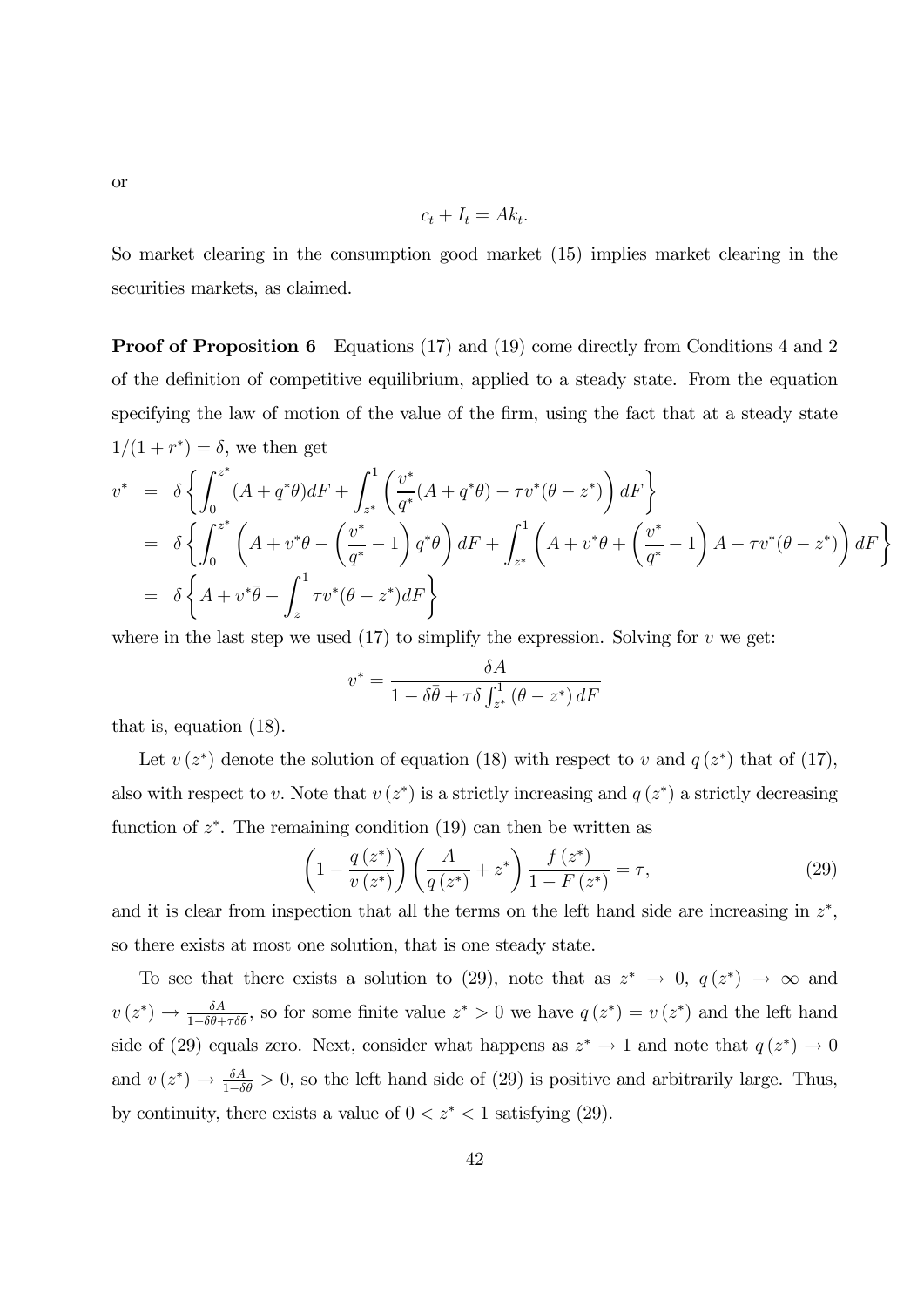or

$$
c_t + I_t = Ak_t.
$$

So market clearing in the consumption good market (15) implies market clearing in the securities markets, as claimed.

Proof of Proposition 6 Equations (17) and (19) come directly from Conditions 4 and 2 of the definition of competitive equilibrium, applied to a steady state. From the equation specifying the law of motion of the value of the firm, using the fact that at a steady state  $1/(1 + r^*) = \delta$ , we then get

$$
v^* = \delta \left\{ \int_0^{z^*} (A + q^* \theta) dF + \int_{z^*}^1 \left( \frac{v^*}{q^*} (A + q^* \theta) - \tau v^* (\theta - z^*) \right) dF \right\}
$$
  
=  $\delta \left\{ \int_0^{z^*} \left( A + v^* \theta - \left( \frac{v^*}{q^*} - 1 \right) q^* \theta \right) dF + \int_{z^*}^1 \left( A + v^* \theta + \left( \frac{v^*}{q^*} - 1 \right) A - \tau v^* (\theta - z^*) \right) dF \right\}$   
=  $\delta \left\{ A + v^* \overline{\theta} - \int_z^1 \tau v^* (\theta - z^*) dF \right\}$ 

where in the last step we used  $(17)$  to simplify the expression. Solving for  $v$  we get:

$$
v^* = \frac{\delta A}{1 - \delta \bar{\theta} + \tau \delta \int_{z^*}^1 (\theta - z^*) dF}
$$

that is, equation (18).

Let  $v(z^*)$  denote the solution of equation (18) with respect to v and  $q(z^*)$  that of (17), also with respect to v. Note that  $v(z^*)$  is a strictly increasing and  $q(z^*)$  a strictly decreasing function of  $z^*$ . The remaining condition (19) can then be written as

$$
\left(1 - \frac{q(z^*)}{v(z^*)}\right) \left(\frac{A}{q(z^*)} + z^*\right) \frac{f(z^*)}{1 - F(z^*)} = \tau,\tag{29}
$$

and it is clear from inspection that all the terms on the left hand side are increasing in  $z^*$ , so there exists at most one solution, that is one steady state.

To see that there exists a solution to (29), note that as  $z^* \to 0$ ,  $q(z^*) \to \infty$  and  $v(z^*) \to \frac{\delta A}{1-\delta \theta+\tau \delta \theta}$ , so for some finite value  $z^* > 0$  we have  $q(z^*) = v(z^*)$  and the left hand side of (29) equals zero. Next, consider what happens as  $z^* \to 1$  and note that  $q(z^*) \to 0$ and  $v(z^*) \to \frac{\delta A}{1-\delta \theta} > 0$ , so the left hand side of (29) is positive and arbitrarily large. Thus, by continuity, there exists a value of  $0 < z^* < 1$  satisfying (29).